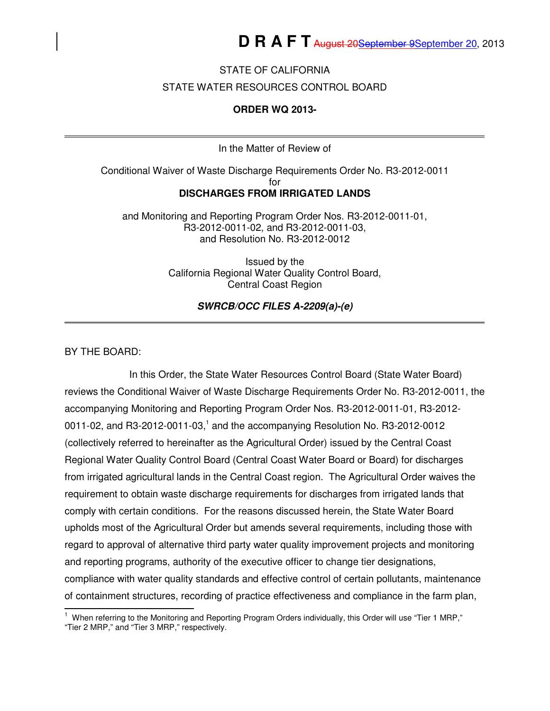### STATE OF CALIFORNIA

#### STATE WATER RESOURCES CONTROL BOARD

#### **ORDER WQ 2013-**

In the Matter of Review of

Conditional Waiver of Waste Discharge Requirements Order No. R3-2012-0011 for **DISCHARGES FROM IRRIGATED LANDS** 

and Monitoring and Reporting Program Order Nos. R3-2012-0011-01, R3-2012-0011-02, and R3-2012-0011-03, and Resolution No. R3-2012-0012

> Issued by the California Regional Water Quality Control Board, Central Coast Region

> > **SWRCB/OCC FILES A-2209(a)-(e)**

#### BY THE BOARD:

In this Order, the State Water Resources Control Board (State Water Board) reviews the Conditional Waiver of Waste Discharge Requirements Order No. R3-2012-0011, the accompanying Monitoring and Reporting Program Order Nos. R3-2012-0011-01, R3-2012- 0011-02, and R3-2012-0011-03,<sup>1</sup> and the accompanying Resolution No. R3-2012-0012 (collectively referred to hereinafter as the Agricultural Order) issued by the Central Coast Regional Water Quality Control Board (Central Coast Water Board or Board) for discharges from irrigated agricultural lands in the Central Coast region. The Agricultural Order waives the requirement to obtain waste discharge requirements for discharges from irrigated lands that comply with certain conditions. For the reasons discussed herein, the State Water Board upholds most of the Agricultural Order but amends several requirements, including those with regard to approval of alternative third party water quality improvement projects and monitoring and reporting programs, authority of the executive officer to change tier designations, compliance with water quality standards and effective control of certain pollutants, maintenance of containment structures, recording of practice effectiveness and compliance in the farm plan,

 1 When referring to the Monitoring and Reporting Program Orders individually, this Order will use "Tier 1 MRP," "Tier 2 MRP," and "Tier 3 MRP," respectively.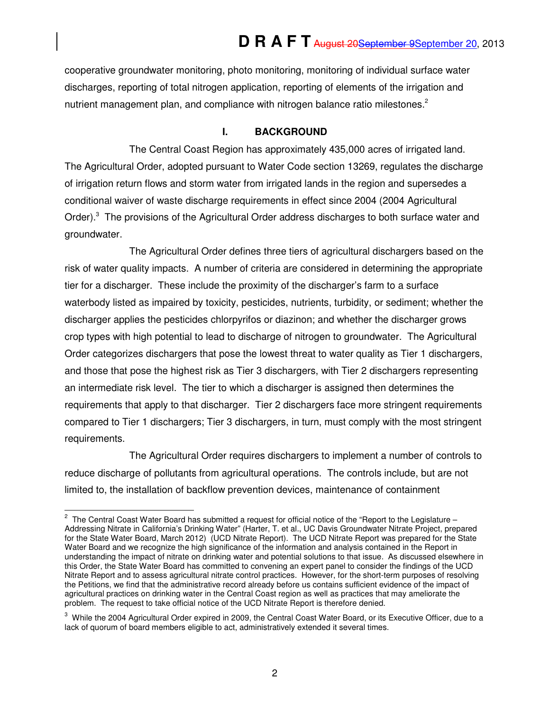cooperative groundwater monitoring, photo monitoring, monitoring of individual surface water discharges, reporting of total nitrogen application, reporting of elements of the irrigation and nutrient management plan, and compliance with nitrogen balance ratio milestones.<sup>2</sup>

### **I. BACKGROUND**

The Central Coast Region has approximately 435,000 acres of irrigated land. The Agricultural Order, adopted pursuant to Water Code section 13269, regulates the discharge of irrigation return flows and storm water from irrigated lands in the region and supersedes a conditional waiver of waste discharge requirements in effect since 2004 (2004 Agricultural Order).<sup>3</sup> The provisions of the Agricultural Order address discharges to both surface water and groundwater.

The Agricultural Order defines three tiers of agricultural dischargers based on the risk of water quality impacts. A number of criteria are considered in determining the appropriate tier for a discharger. These include the proximity of the discharger's farm to a surface waterbody listed as impaired by toxicity, pesticides, nutrients, turbidity, or sediment; whether the discharger applies the pesticides chlorpyrifos or diazinon; and whether the discharger grows crop types with high potential to lead to discharge of nitrogen to groundwater. The Agricultural Order categorizes dischargers that pose the lowest threat to water quality as Tier 1 dischargers, and those that pose the highest risk as Tier 3 dischargers, with Tier 2 dischargers representing an intermediate risk level. The tier to which a discharger is assigned then determines the requirements that apply to that discharger. Tier 2 dischargers face more stringent requirements compared to Tier 1 dischargers; Tier 3 dischargers, in turn, must comply with the most stringent requirements.

The Agricultural Order requires dischargers to implement a number of controls to reduce discharge of pollutants from agricultural operations. The controls include, but are not limited to, the installation of backflow prevention devices, maintenance of containment

 2 The Central Coast Water Board has submitted a request for official notice of the "Report to the Legislature – Addressing Nitrate in California's Drinking Water" (Harter, T. et al., UC Davis Groundwater Nitrate Project, prepared for the State Water Board, March 2012) (UCD Nitrate Report). The UCD Nitrate Report was prepared for the State Water Board and we recognize the high significance of the information and analysis contained in the Report in understanding the impact of nitrate on drinking water and potential solutions to that issue. As discussed elsewhere in this Order, the State Water Board has committed to convening an expert panel to consider the findings of the UCD Nitrate Report and to assess agricultural nitrate control practices. However, for the short-term purposes of resolving the Petitions, we find that the administrative record already before us contains sufficient evidence of the impact of agricultural practices on drinking water in the Central Coast region as well as practices that may ameliorate the problem. The request to take official notice of the UCD Nitrate Report is therefore denied.

 $3$  While the 2004 Agricultural Order expired in 2009, the Central Coast Water Board, or its Executive Officer, due to a lack of quorum of board members eligible to act, administratively extended it several times.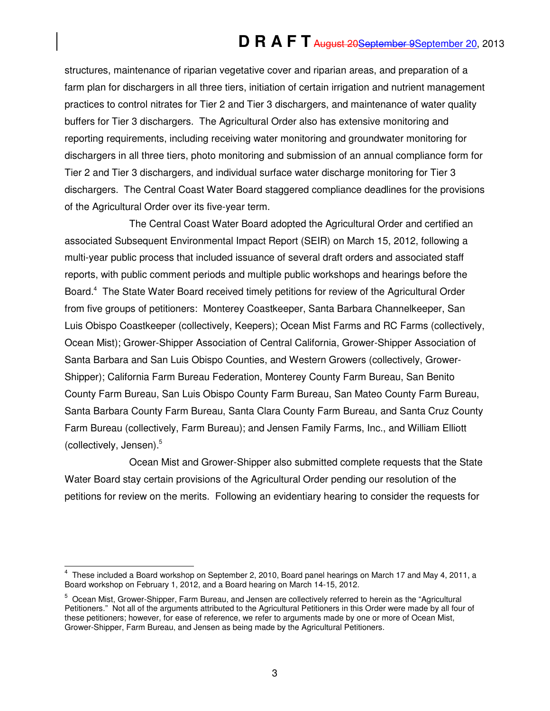structures, maintenance of riparian vegetative cover and riparian areas, and preparation of a farm plan for dischargers in all three tiers, initiation of certain irrigation and nutrient management practices to control nitrates for Tier 2 and Tier 3 dischargers, and maintenance of water quality buffers for Tier 3 dischargers. The Agricultural Order also has extensive monitoring and reporting requirements, including receiving water monitoring and groundwater monitoring for dischargers in all three tiers, photo monitoring and submission of an annual compliance form for Tier 2 and Tier 3 dischargers, and individual surface water discharge monitoring for Tier 3 dischargers. The Central Coast Water Board staggered compliance deadlines for the provisions of the Agricultural Order over its five-year term.

The Central Coast Water Board adopted the Agricultural Order and certified an associated Subsequent Environmental Impact Report (SEIR) on March 15, 2012, following a multi-year public process that included issuance of several draft orders and associated staff reports, with public comment periods and multiple public workshops and hearings before the Board.<sup>4</sup> The State Water Board received timely petitions for review of the Agricultural Order from five groups of petitioners: Monterey Coastkeeper, Santa Barbara Channelkeeper, San Luis Obispo Coastkeeper (collectively, Keepers); Ocean Mist Farms and RC Farms (collectively, Ocean Mist); Grower-Shipper Association of Central California, Grower-Shipper Association of Santa Barbara and San Luis Obispo Counties, and Western Growers (collectively, Grower-Shipper); California Farm Bureau Federation, Monterey County Farm Bureau, San Benito County Farm Bureau, San Luis Obispo County Farm Bureau, San Mateo County Farm Bureau, Santa Barbara County Farm Bureau, Santa Clara County Farm Bureau, and Santa Cruz County Farm Bureau (collectively, Farm Bureau); and Jensen Family Farms, Inc., and William Elliott (collectively, Jensen).<sup>5</sup>

Ocean Mist and Grower-Shipper also submitted complete requests that the State Water Board stay certain provisions of the Agricultural Order pending our resolution of the petitions for review on the merits. Following an evidentiary hearing to consider the requests for

j 4 These included a Board workshop on September 2, 2010, Board panel hearings on March 17 and May 4, 2011, a Board workshop on February 1, 2012, and a Board hearing on March 14-15, 2012.

<sup>&</sup>lt;sup>5</sup> Ocean Mist, Grower-Shipper, Farm Bureau, and Jensen are collectively referred to herein as the "Agricultural Petitioners." Not all of the arguments attributed to the Agricultural Petitioners in this Order were made by all four of these petitioners; however, for ease of reference, we refer to arguments made by one or more of Ocean Mist, Grower-Shipper, Farm Bureau, and Jensen as being made by the Agricultural Petitioners.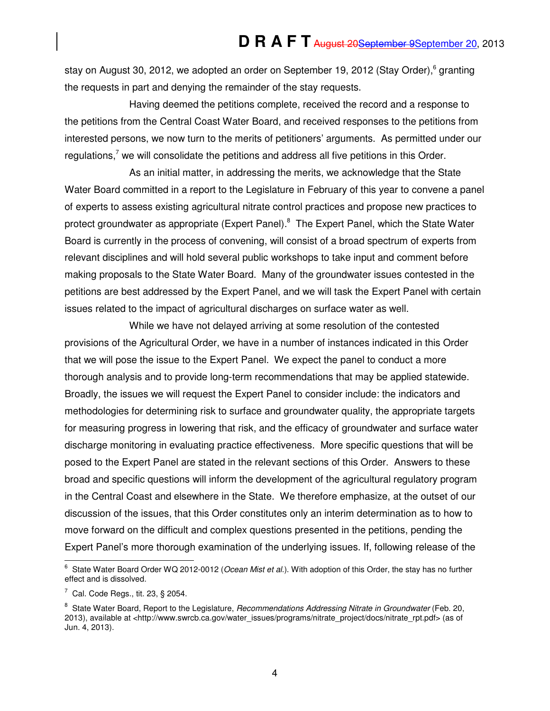stay on August 30, 2012, we adopted an order on September 19, 2012 (Stay Order),<sup>6</sup> granting the requests in part and denying the remainder of the stay requests.

Having deemed the petitions complete, received the record and a response to the petitions from the Central Coast Water Board, and received responses to the petitions from interested persons, we now turn to the merits of petitioners' arguments. As permitted under our regulations,<sup>7</sup> we will consolidate the petitions and address all five petitions in this Order.

As an initial matter, in addressing the merits, we acknowledge that the State Water Board committed in a report to the Legislature in February of this year to convene a panel of experts to assess existing agricultural nitrate control practices and propose new practices to protect groundwater as appropriate (Expert Panel).<sup>8</sup> The Expert Panel, which the State Water Board is currently in the process of convening, will consist of a broad spectrum of experts from relevant disciplines and will hold several public workshops to take input and comment before making proposals to the State Water Board. Many of the groundwater issues contested in the petitions are best addressed by the Expert Panel, and we will task the Expert Panel with certain issues related to the impact of agricultural discharges on surface water as well.

While we have not delayed arriving at some resolution of the contested provisions of the Agricultural Order, we have in a number of instances indicated in this Order that we will pose the issue to the Expert Panel. We expect the panel to conduct a more thorough analysis and to provide long-term recommendations that may be applied statewide. Broadly, the issues we will request the Expert Panel to consider include: the indicators and methodologies for determining risk to surface and groundwater quality, the appropriate targets for measuring progress in lowering that risk, and the efficacy of groundwater and surface water discharge monitoring in evaluating practice effectiveness. More specific questions that will be posed to the Expert Panel are stated in the relevant sections of this Order. Answers to these broad and specific questions will inform the development of the agricultural regulatory program in the Central Coast and elsewhere in the State. We therefore emphasize, at the outset of our discussion of the issues, that this Order constitutes only an interim determination as to how to move forward on the difficult and complex questions presented in the petitions, pending the Expert Panel's more thorough examination of the underlying issues. If, following release of the

<sup>&</sup>lt;u>.</u><br><sup>6</sup> State Water Board Order WQ 2012-0012 (*Ocean Mist et al*.). With adoption of this Order, the stay has no further effect and is dissolved.

 $^7$  Cal. Code Regs., tit. 23, § 2054.

<sup>&</sup>lt;sup>8</sup> State Water Board, Report to the Legislature, *Recommendations Addressing Nitrate in Groundwater* (Feb. 20, 2013), available at <http://www.swrcb.ca.gov/water\_issues/programs/nitrate\_project/docs/nitrate\_rpt.pdf> (as of Jun. 4, 2013).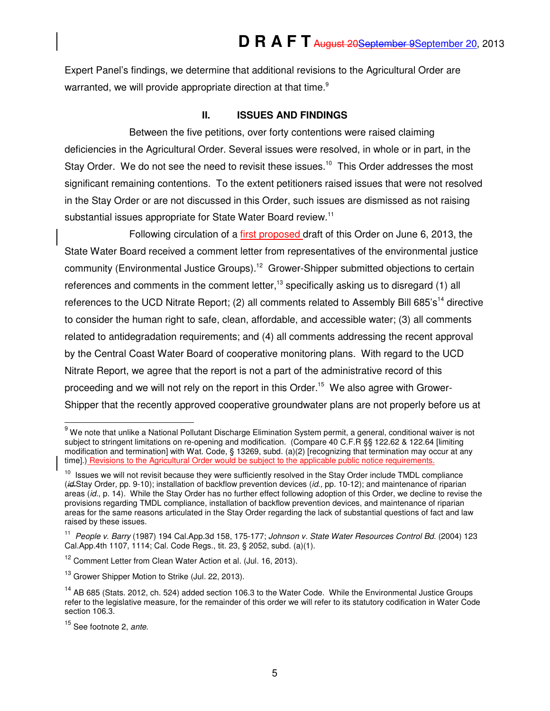Expert Panel's findings, we determine that additional revisions to the Agricultural Order are warranted, we will provide appropriate direction at that time.<sup>9</sup>

### **II. ISSUES AND FINDINGS**

Between the five petitions, over forty contentions were raised claiming deficiencies in the Agricultural Order. Several issues were resolved, in whole or in part, in the Stay Order. We do not see the need to revisit these issues.<sup>10</sup> This Order addresses the most significant remaining contentions. To the extent petitioners raised issues that were not resolved in the Stay Order or are not discussed in this Order, such issues are dismissed as not raising substantial issues appropriate for State Water Board review.<sup>11</sup>

Following circulation of a first proposed draft of this Order on June 6, 2013, the State Water Board received a comment letter from representatives of the environmental justice community (Environmental Justice Groups).<sup>12</sup> Grower-Shipper submitted objections to certain references and comments in the comment letter,<sup>13</sup> specifically asking us to disregard (1) all references to the UCD Nitrate Report; (2) all comments related to Assembly Bill 685's<sup>14</sup> directive to consider the human right to safe, clean, affordable, and accessible water; (3) all comments related to antidegradation requirements; and (4) all comments addressing the recent approval by the Central Coast Water Board of cooperative monitoring plans. With regard to the UCD Nitrate Report, we agree that the report is not a part of the administrative record of this proceeding and we will not rely on the report in this Order.<sup>15</sup> We also agree with Grower-Shipper that the recently approved cooperative groundwater plans are not properly before us at

<sup>&</sup>lt;u>.</u><br><sup>9</sup> We note that unlike a National Pollutant Discharge Elimination System permit, a general, conditional waiver is not subject to stringent limitations on re-opening and modification. (Compare 40 C.F.R §§ 122.62 & 122.64 [limiting modification and termination] with Wat. Code, § 13269, subd. (a)(2) [recognizing that termination may occur at any time].) Revisions to the Agricultural Order would be subject to the applicable public notice requirements.

 $10$  Issues we will not revisit because they were sufficiently resolved in the Stay Order include TMDL compliance (id.Stay Order, pp. 9-10); installation of backflow prevention devices (id., pp. 10-12); and maintenance of riparian areas (id., p. 14). While the Stay Order has no further effect following adoption of this Order, we decline to revise the provisions regarding TMDL compliance, installation of backflow prevention devices, and maintenance of riparian areas for the same reasons articulated in the Stay Order regarding the lack of substantial questions of fact and law raised by these issues.

<sup>&</sup>lt;sup>11</sup> People v. Barry (1987) 194 Cal.App.3d 158, 175-177; Johnson v. State Water Resources Control Bd. (2004) 123 Cal.App.4th 1107, 1114; Cal. Code Regs., tit. 23, § 2052, subd. (a)(1).

<sup>&</sup>lt;sup>12</sup> Comment Letter from Clean Water Action et al. (Jul. 16, 2013).

<sup>&</sup>lt;sup>13</sup> Grower Shipper Motion to Strike (Jul. 22, 2013).

<sup>&</sup>lt;sup>14</sup> AB 685 (Stats. 2012, ch. 524) added section 106.3 to the Water Code. While the Environmental Justice Groups refer to the legislative measure, for the remainder of this order we will refer to its statutory codification in Water Code section 106.3.

<sup>&</sup>lt;sup>15</sup> See footnote 2, ante.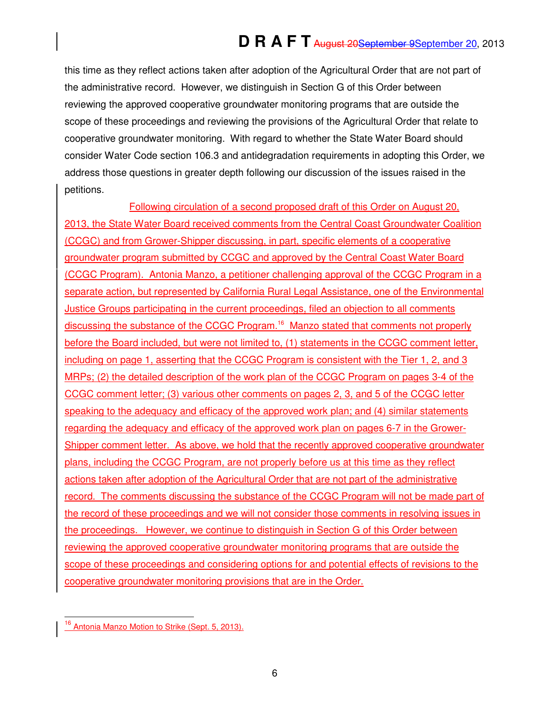this time as they reflect actions taken after adoption of the Agricultural Order that are not part of the administrative record. However, we distinguish in Section G of this Order between reviewing the approved cooperative groundwater monitoring programs that are outside the scope of these proceedings and reviewing the provisions of the Agricultural Order that relate to cooperative groundwater monitoring. With regard to whether the State Water Board should consider Water Code section 106.3 and antidegradation requirements in adopting this Order, we address those questions in greater depth following our discussion of the issues raised in the petitions.

Following circulation of a second proposed draft of this Order on August 20, 2013, the State Water Board received comments from the Central Coast Groundwater Coalition (CCGC) and from Grower-Shipper discussing, in part, specific elements of a cooperative groundwater program submitted by CCGC and approved by the Central Coast Water Board (CCGC Program). Antonia Manzo, a petitioner challenging approval of the CCGC Program in a separate action, but represented by California Rural Legal Assistance, one of the Environmental **Justice Groups participating in the current proceedings, filed an objection to all comments** discussing the substance of the CCGC Program.<sup>16</sup> Manzo stated that comments not properly before the Board included, but were not limited to, (1) statements in the CCGC comment letter, including on page 1, asserting that the CCGC Program is consistent with the Tier 1, 2, and 3 MRPs; (2) the detailed description of the work plan of the CCGC Program on pages 3-4 of the CCGC comment letter; (3) various other comments on pages 2, 3, and 5 of the CCGC letter speaking to the adequacy and efficacy of the approved work plan; and (4) similar statements regarding the adequacy and efficacy of the approved work plan on pages 6-7 in the Grower-Shipper comment letter. As above, we hold that the recently approved cooperative groundwater plans, including the CCGC Program, are not properly before us at this time as they reflect actions taken after adoption of the Agricultural Order that are not part of the administrative record. The comments discussing the substance of the CCGC Program will not be made part of the record of these proceedings and we will not consider those comments in resolving issues in the proceedings. However, we continue to distinguish in Section G of this Order between reviewing the approved cooperative groundwater monitoring programs that are outside the scope of these proceedings and considering options for and potential effects of revisions to the cooperative groundwater monitoring provisions that are in the Order.

j Antonia Manzo Motion to Strike (Sept. 5, 2013).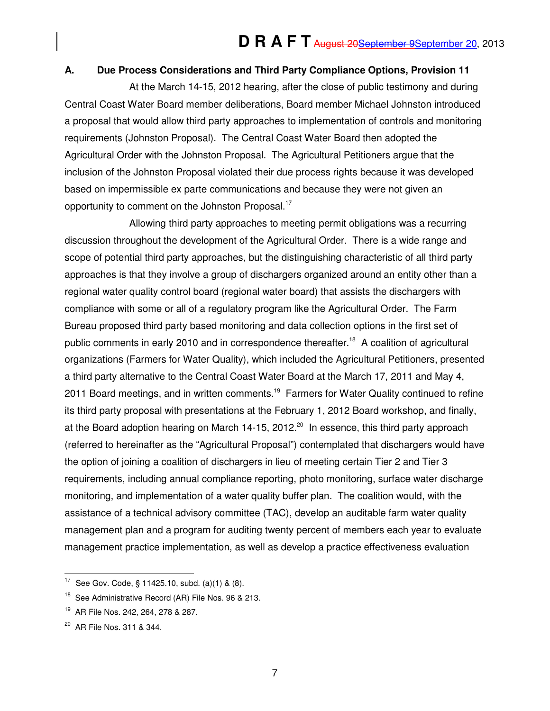### **A. Due Process Considerations and Third Party Compliance Options, Provision 11**

At the March 14-15, 2012 hearing, after the close of public testimony and during Central Coast Water Board member deliberations, Board member Michael Johnston introduced a proposal that would allow third party approaches to implementation of controls and monitoring requirements (Johnston Proposal). The Central Coast Water Board then adopted the Agricultural Order with the Johnston Proposal. The Agricultural Petitioners argue that the inclusion of the Johnston Proposal violated their due process rights because it was developed based on impermissible ex parte communications and because they were not given an opportunity to comment on the Johnston Proposal.<sup>17</sup>

Allowing third party approaches to meeting permit obligations was a recurring discussion throughout the development of the Agricultural Order. There is a wide range and scope of potential third party approaches, but the distinguishing characteristic of all third party approaches is that they involve a group of dischargers organized around an entity other than a regional water quality control board (regional water board) that assists the dischargers with compliance with some or all of a regulatory program like the Agricultural Order. The Farm Bureau proposed third party based monitoring and data collection options in the first set of public comments in early 2010 and in correspondence thereafter.<sup>18</sup> A coalition of agricultural organizations (Farmers for Water Quality), which included the Agricultural Petitioners, presented a third party alternative to the Central Coast Water Board at the March 17, 2011 and May 4, 2011 Board meetings, and in written comments.<sup>19</sup> Farmers for Water Quality continued to refine its third party proposal with presentations at the February 1, 2012 Board workshop, and finally, at the Board adoption hearing on March 14-15, 2012.<sup>20</sup> In essence, this third party approach (referred to hereinafter as the "Agricultural Proposal") contemplated that dischargers would have the option of joining a coalition of dischargers in lieu of meeting certain Tier 2 and Tier 3 requirements, including annual compliance reporting, photo monitoring, surface water discharge monitoring, and implementation of a water quality buffer plan. The coalition would, with the assistance of a technical advisory committee (TAC), develop an auditable farm water quality management plan and a program for auditing twenty percent of members each year to evaluate management practice implementation, as well as develop a practice effectiveness evaluation

7

 17 See Gov. Code, § 11425.10, subd. (a)(1) & (8).

<sup>&</sup>lt;sup>18</sup> See Administrative Record (AR) File Nos. 96 & 213.

<sup>&</sup>lt;sup>19</sup> AR File Nos. 242, 264, 278 & 287.

<sup>20</sup> AR File Nos. 311 & 344.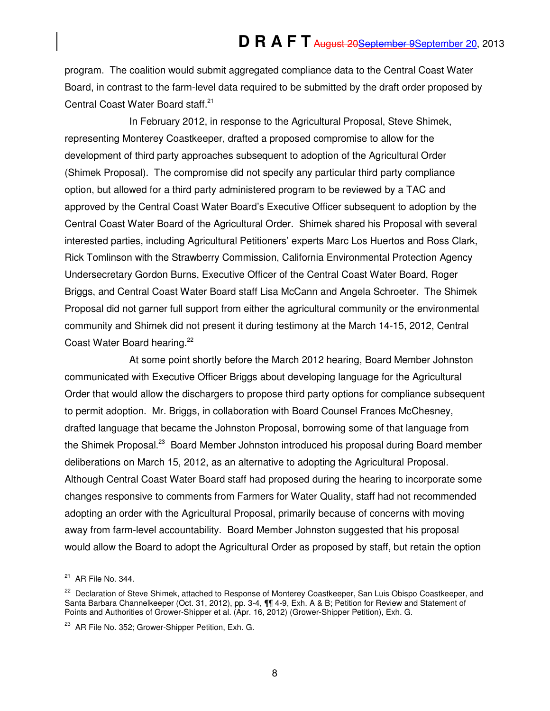program. The coalition would submit aggregated compliance data to the Central Coast Water Board, in contrast to the farm-level data required to be submitted by the draft order proposed by Central Coast Water Board staff.<sup>21</sup>

In February 2012, in response to the Agricultural Proposal, Steve Shimek, representing Monterey Coastkeeper, drafted a proposed compromise to allow for the development of third party approaches subsequent to adoption of the Agricultural Order (Shimek Proposal). The compromise did not specify any particular third party compliance option, but allowed for a third party administered program to be reviewed by a TAC and approved by the Central Coast Water Board's Executive Officer subsequent to adoption by the Central Coast Water Board of the Agricultural Order. Shimek shared his Proposal with several interested parties, including Agricultural Petitioners' experts Marc Los Huertos and Ross Clark, Rick Tomlinson with the Strawberry Commission, California Environmental Protection Agency Undersecretary Gordon Burns, Executive Officer of the Central Coast Water Board, Roger Briggs, and Central Coast Water Board staff Lisa McCann and Angela Schroeter. The Shimek Proposal did not garner full support from either the agricultural community or the environmental community and Shimek did not present it during testimony at the March 14-15, 2012, Central Coast Water Board hearing.<sup>22</sup>

At some point shortly before the March 2012 hearing, Board Member Johnston communicated with Executive Officer Briggs about developing language for the Agricultural Order that would allow the dischargers to propose third party options for compliance subsequent to permit adoption. Mr. Briggs, in collaboration with Board Counsel Frances McChesney, drafted language that became the Johnston Proposal, borrowing some of that language from the Shimek Proposal.<sup>23</sup> Board Member Johnston introduced his proposal during Board member deliberations on March 15, 2012, as an alternative to adopting the Agricultural Proposal. Although Central Coast Water Board staff had proposed during the hearing to incorporate some changes responsive to comments from Farmers for Water Quality, staff had not recommended adopting an order with the Agricultural Proposal, primarily because of concerns with moving away from farm-level accountability. Board Member Johnston suggested that his proposal would allow the Board to adopt the Agricultural Order as proposed by staff, but retain the option

 $\overline{a}$ 

 $21$  AR File No. 344.

<sup>&</sup>lt;sup>22</sup> Declaration of Steve Shimek, attached to Response of Monterey Coastkeeper, San Luis Obispo Coastkeeper, and Santa Barbara Channelkeeper (Oct. 31, 2012), pp. 3-4, ¶¶ 4-9, Exh. A & B; Petition for Review and Statement of Points and Authorities of Grower-Shipper et al. (Apr. 16, 2012) (Grower-Shipper Petition), Exh. G.

<sup>&</sup>lt;sup>23</sup> AR File No. 352; Grower-Shipper Petition, Exh. G.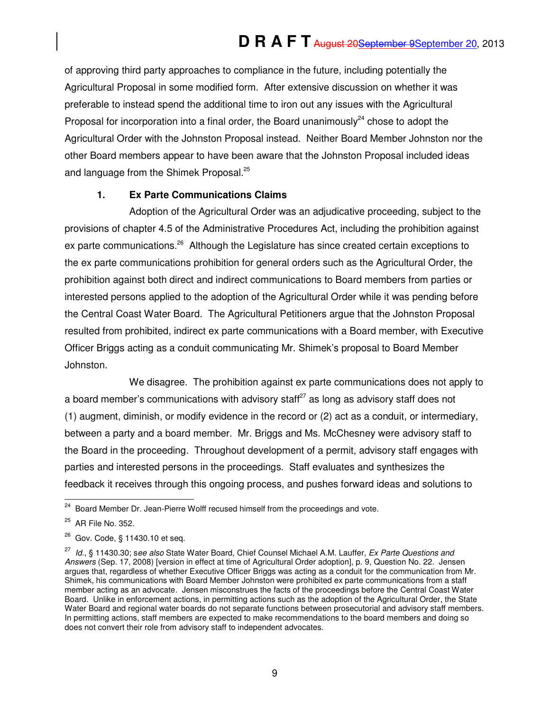of approving third party approaches to compliance in the future, including potentially the Agricultural Proposal in some modified form. After extensive discussion on whether it was preferable to instead spend the additional time to iron out any issues with the Agricultural Proposal for incorporation into a final order, the Board unanimously<sup>24</sup> chose to adopt the Agricultural Order with the Johnston Proposal instead. Neither Board Member Johnston nor the other Board members appear to have been aware that the Johnston Proposal included ideas and language from the Shimek Proposal.<sup>25</sup>

### **1. Ex Parte Communications Claims**

Adoption of the Agricultural Order was an adjudicative proceeding, subject to the provisions of chapter 4.5 of the Administrative Procedures Act, including the prohibition against ex parte communications.<sup>26</sup> Although the Legislature has since created certain exceptions to the ex parte communications prohibition for general orders such as the Agricultural Order, the prohibition against both direct and indirect communications to Board members from parties or interested persons applied to the adoption of the Agricultural Order while it was pending before the Central Coast Water Board. The Agricultural Petitioners argue that the Johnston Proposal resulted from prohibited, indirect ex parte communications with a Board member, with Executive Officer Briggs acting as a conduit communicating Mr. Shimek's proposal to Board Member Johnston.

We disagree. The prohibition against ex parte communications does not apply to a board member's communications with advisory staff $^{27}$  as long as advisory staff does not (1) augment, diminish, or modify evidence in the record or (2) act as a conduit, or intermediary, between a party and a board member. Mr. Briggs and Ms. McChesney were advisory staff to the Board in the proceeding. Throughout development of a permit, advisory staff engages with parties and interested persons in the proceedings. Staff evaluates and synthesizes the feedback it receives through this ongoing process, and pushes forward ideas and solutions to

 $\overline{a}$ <sup>24</sup> Board Member Dr. Jean-Pierre Wolff recused himself from the proceedings and vote.

<sup>25</sup> AR File No. 352.

<sup>26</sup> Gov. Code, § 11430.10 et seq.

<sup>&</sup>lt;sup>27</sup> Id., § 11430.30; see also State Water Board, Chief Counsel Michael A.M. Lauffer, Ex Parte Questions and Answers (Sep. 17, 2008) [version in effect at time of Agricultural Order adoption], p. 9, Question No. 22. Jensen argues that, regardless of whether Executive Officer Briggs was acting as a conduit for the communication from Mr. Shimek, his communications with Board Member Johnston were prohibited ex parte communications from a staff member acting as an advocate. Jensen misconstrues the facts of the proceedings before the Central Coast Water Board. Unlike in enforcement actions, in permitting actions such as the adoption of the Agricultural Order, the State Water Board and regional water boards do not separate functions between prosecutorial and advisory staff members. In permitting actions, staff members are expected to make recommendations to the board members and doing so does not convert their role from advisory staff to independent advocates.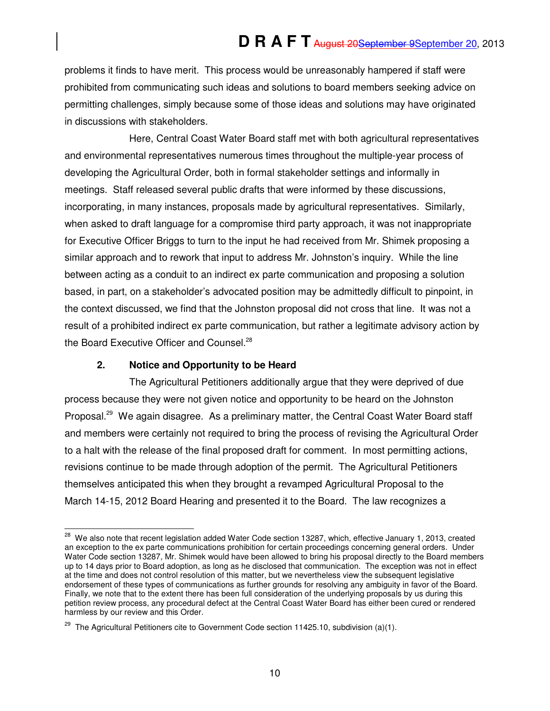problems it finds to have merit. This process would be unreasonably hampered if staff were prohibited from communicating such ideas and solutions to board members seeking advice on permitting challenges, simply because some of those ideas and solutions may have originated in discussions with stakeholders.

Here, Central Coast Water Board staff met with both agricultural representatives and environmental representatives numerous times throughout the multiple-year process of developing the Agricultural Order, both in formal stakeholder settings and informally in meetings. Staff released several public drafts that were informed by these discussions, incorporating, in many instances, proposals made by agricultural representatives. Similarly, when asked to draft language for a compromise third party approach, it was not inappropriate for Executive Officer Briggs to turn to the input he had received from Mr. Shimek proposing a similar approach and to rework that input to address Mr. Johnston's inquiry. While the line between acting as a conduit to an indirect ex parte communication and proposing a solution based, in part, on a stakeholder's advocated position may be admittedly difficult to pinpoint, in the context discussed, we find that the Johnston proposal did not cross that line. It was not a result of a prohibited indirect ex parte communication, but rather a legitimate advisory action by the Board Executive Officer and Counsel.<sup>28</sup>

### **2. Notice and Opportunity to be Heard**

The Agricultural Petitioners additionally argue that they were deprived of due process because they were not given notice and opportunity to be heard on the Johnston Proposal.<sup>29</sup> We again disagree. As a preliminary matter, the Central Coast Water Board staff and members were certainly not required to bring the process of revising the Agricultural Order to a halt with the release of the final proposed draft for comment. In most permitting actions, revisions continue to be made through adoption of the permit. The Agricultural Petitioners themselves anticipated this when they brought a revamped Agricultural Proposal to the March 14-15, 2012 Board Hearing and presented it to the Board. The law recognizes a

j  $^{28}$  We also note that recent legislation added Water Code section 13287, which, effective January 1, 2013, created an exception to the ex parte communications prohibition for certain proceedings concerning general orders. Under Water Code section 13287, Mr. Shimek would have been allowed to bring his proposal directly to the Board members up to 14 days prior to Board adoption, as long as he disclosed that communication. The exception was not in effect at the time and does not control resolution of this matter, but we nevertheless view the subsequent legislative endorsement of these types of communications as further grounds for resolving any ambiguity in favor of the Board. Finally, we note that to the extent there has been full consideration of the underlying proposals by us during this petition review process, any procedural defect at the Central Coast Water Board has either been cured or rendered harmless by our review and this Order.

<sup>&</sup>lt;sup>29</sup> The Agricultural Petitioners cite to Government Code section 11425.10, subdivision (a)(1).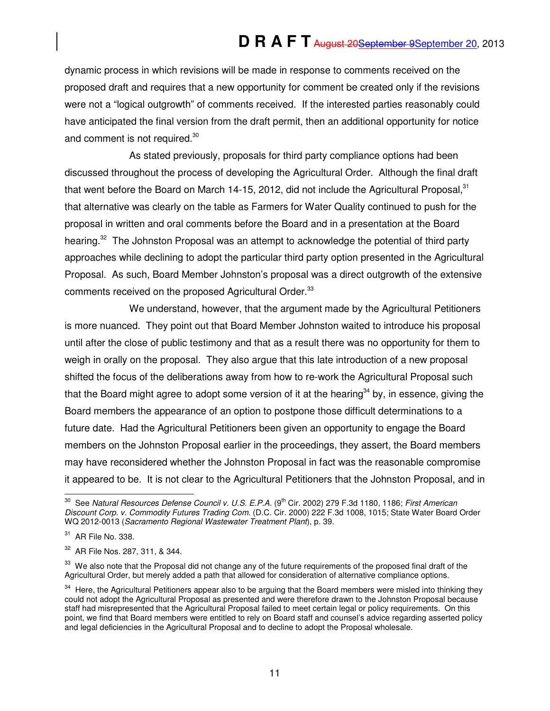dynamic process in which revisions will be made in response to comments received on the proposed draft and requires that a new opportunity for comment be created only if the revisions were not a "logical outgrowth" of comments received. If the interested parties reasonably could have anticipated the final version from the draft permit, then an additional opportunity for notice and comment is not required.<sup>30</sup>

As stated previously, proposals for third party compliance options had been discussed throughout the process of developing the Agricultural Order. Although the final draft that went before the Board on March 14-15, 2012, did not include the Agricultural Proposal, $31$ that alternative was clearly on the table as Farmers for Water Quality continued to push for the proposal in written and oral comments before the Board and in a presentation at the Board hearing.<sup>32</sup> The Johnston Proposal was an attempt to acknowledge the potential of third party approaches while declining to adopt the particular third party option presented in the Agricultural Proposal. As such, Board Member Johnston's proposal was a direct outgrowth of the extensive comments received on the proposed Agricultural Order.<sup>33</sup>

We understand, however, that the argument made by the Agricultural Petitioners is more nuanced. They point out that Board Member Johnston waited to introduce his proposal until after the close of public testimony and that as a result there was no opportunity for them to weigh in orally on the proposal. They also argue that this late introduction of a new proposal shifted the focus of the deliberations away from how to re-work the Agricultural Proposal such that the Board might agree to adopt some version of it at the hearing<sup>34</sup> by, in essence, giving the Board members the appearance of an option to postpone those difficult determinations to a future date. Had the Agricultural Petitioners been given an opportunity to engage the Board members on the Johnston Proposal earlier in the proceedings, they assert, the Board members may have reconsidered whether the Johnston Proposal in fact was the reasonable compromise it appeared to be. It is not clear to the Agricultural Petitioners that the Johnston Proposal, and in

 $\overline{a}$ <sup>30</sup> See Natural Resources Defense Council v. U.S. E.P.A. (9<sup>th</sup> Cir. 2002) 279 F.3d 1180, 1186; First American Discount Corp. v. Commodity Futures Trading Com. (D.C. Cir. 2000) 222 F.3d 1008, 1015; State Water Board Order WQ 2012-0013 (Sacramento Regional Wastewater Treatment Plant), p. 39.

<sup>31</sup> AR File No. 338.

<sup>32</sup> AR File Nos. 287, 311, & 344.

<sup>&</sup>lt;sup>33</sup> We also note that the Proposal did not change any of the future requirements of the proposed final draft of the Agricultural Order, but merely added a path that allowed for consideration of alternative compliance options.

<sup>&</sup>lt;sup>34</sup> Here, the Agricultural Petitioners appear also to be arguing that the Board members were misled into thinking they could not adopt the Agricultural Proposal as presented and were therefore drawn to the Johnston Proposal because staff had misrepresented that the Agricultural Proposal failed to meet certain legal or policy requirements. On this point, we find that Board members were entitled to rely on Board staff and counsel's advice regarding asserted policy and legal deficiencies in the Agricultural Proposal and to decline to adopt the Proposal wholesale.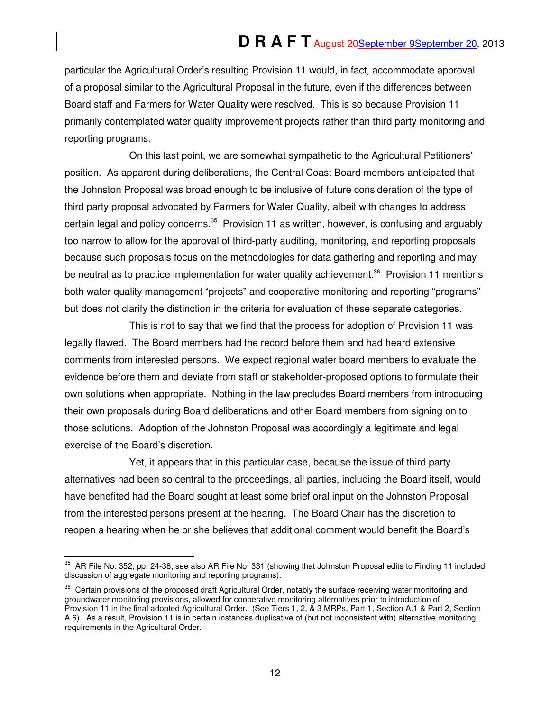particular the Agricultural Order's resulting Provision 11 would, in fact, accommodate approval of a proposal similar to the Agricultural Proposal in the future, even if the differences between Board staff and Farmers for Water Quality were resolved. This is so because Provision 11 primarily contemplated water quality improvement projects rather than third party monitoring and reporting programs.

On this last point, we are somewhat sympathetic to the Agricultural Petitioners' position. As apparent during deliberations, the Central Coast Board members anticipated that the Johnston Proposal was broad enough to be inclusive of future consideration of the type of third party proposal advocated by Farmers for Water Quality, albeit with changes to address certain legal and policy concerns.<sup>35</sup> Provision 11 as written, however, is confusing and arguably too narrow to allow for the approval of third-party auditing, monitoring, and reporting proposals because such proposals focus on the methodologies for data gathering and reporting and may be neutral as to practice implementation for water quality achievement.<sup>36</sup> Provision 11 mentions both water quality management "projects" and cooperative monitoring and reporting "programs" but does not clarify the distinction in the criteria for evaluation of these separate categories.

This is not to say that we find that the process for adoption of Provision 11 was legally flawed. The Board members had the record before them and had heard extensive comments from interested persons. We expect regional water board members to evaluate the evidence before them and deviate from staff or stakeholder-proposed options to formulate their own solutions when appropriate. Nothing in the law precludes Board members from introducing their own proposals during Board deliberations and other Board members from signing on to those solutions. Adoption of the Johnston Proposal was accordingly a legitimate and legal exercise of the Board's discretion.

Yet, it appears that in this particular case, because the issue of third party alternatives had been so central to the proceedings, all parties, including the Board itself, would have benefited had the Board sought at least some brief oral input on the Johnston Proposal from the interested persons present at the hearing. The Board Chair has the discretion to reopen a hearing when he or she believes that additional comment would benefit the Board's

 $\overline{a}$  $35$  AR File No. 352, pp. 24-38; see also AR File No. 331 (showing that Johnston Proposal edits to Finding 11 included discussion of aggregate monitoring and reporting programs).

<sup>&</sup>lt;sup>36</sup> Certain provisions of the proposed draft Agricultural Order, notably the surface receiving water monitoring and groundwater monitoring provisions, allowed for cooperative monitoring alternatives prior to introduction of Provision 11 in the final adopted Agricultural Order. (See Tiers 1, 2, & 3 MRPs, Part 1, Section A.1 & Part 2, Section A.6). As a result, Provision 11 is in certain instances duplicative of (but not inconsistent with) alternative monitoring requirements in the Agricultural Order.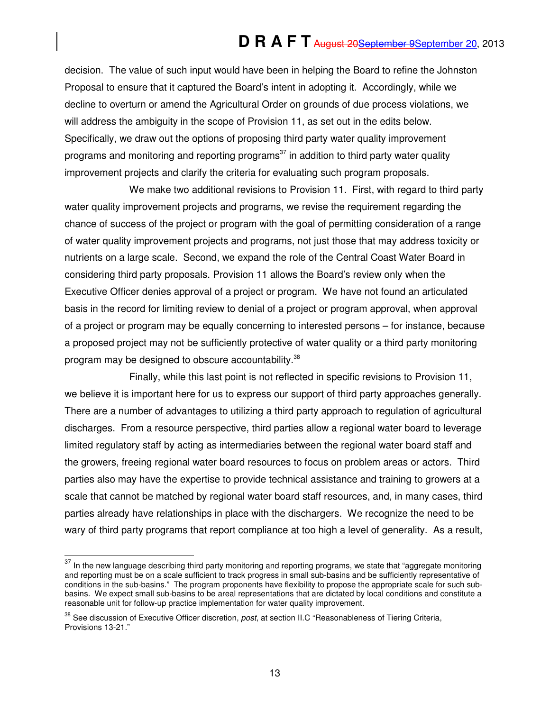decision. The value of such input would have been in helping the Board to refine the Johnston Proposal to ensure that it captured the Board's intent in adopting it. Accordingly, while we decline to overturn or amend the Agricultural Order on grounds of due process violations, we will address the ambiguity in the scope of Provision 11, as set out in the edits below. Specifically, we draw out the options of proposing third party water quality improvement programs and monitoring and reporting programs<sup>37</sup> in addition to third party water quality improvement projects and clarify the criteria for evaluating such program proposals.

We make two additional revisions to Provision 11. First, with regard to third party water quality improvement projects and programs, we revise the requirement regarding the chance of success of the project or program with the goal of permitting consideration of a range of water quality improvement projects and programs, not just those that may address toxicity or nutrients on a large scale. Second, we expand the role of the Central Coast Water Board in considering third party proposals. Provision 11 allows the Board's review only when the Executive Officer denies approval of a project or program. We have not found an articulated basis in the record for limiting review to denial of a project or program approval, when approval of a project or program may be equally concerning to interested persons – for instance, because a proposed project may not be sufficiently protective of water quality or a third party monitoring program may be designed to obscure accountability.<sup>38</sup>

Finally, while this last point is not reflected in specific revisions to Provision 11, we believe it is important here for us to express our support of third party approaches generally. There are a number of advantages to utilizing a third party approach to regulation of agricultural discharges. From a resource perspective, third parties allow a regional water board to leverage limited regulatory staff by acting as intermediaries between the regional water board staff and the growers, freeing regional water board resources to focus on problem areas or actors. Third parties also may have the expertise to provide technical assistance and training to growers at a scale that cannot be matched by regional water board staff resources, and, in many cases, third parties already have relationships in place with the dischargers. We recognize the need to be wary of third party programs that report compliance at too high a level of generality. As a result,

 $\overline{a}$ 

 $37$  In the new language describing third party monitoring and reporting programs, we state that "aggregate monitoring and reporting must be on a scale sufficient to track progress in small sub-basins and be sufficiently representative of conditions in the sub-basins." The program proponents have flexibility to propose the appropriate scale for such subbasins. We expect small sub-basins to be areal representations that are dictated by local conditions and constitute a reasonable unit for follow-up practice implementation for water quality improvement.

<sup>&</sup>lt;sup>38</sup> See discussion of Executive Officer discretion, post, at section II.C "Reasonableness of Tiering Criteria, Provisions 13-21."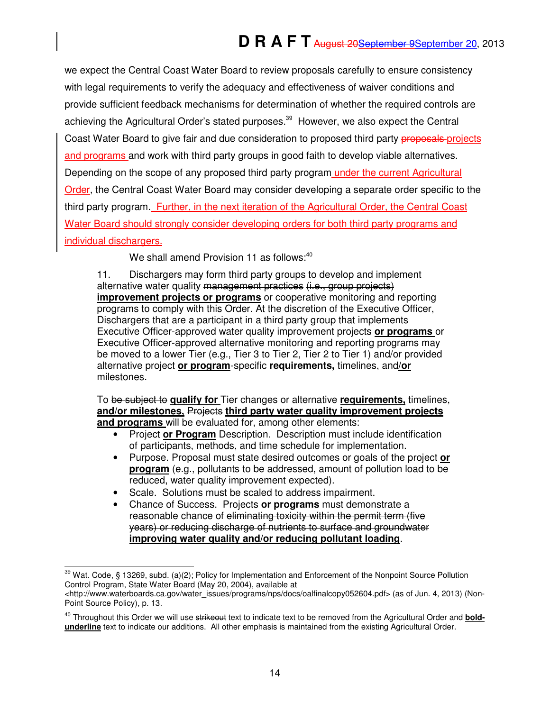we expect the Central Coast Water Board to review proposals carefully to ensure consistency with legal requirements to verify the adequacy and effectiveness of waiver conditions and provide sufficient feedback mechanisms for determination of whether the required controls are achieving the Agricultural Order's stated purposes.<sup>39</sup> However, we also expect the Central Coast Water Board to give fair and due consideration to proposed third party proposals-projects and programs and work with third party groups in good faith to develop viable alternatives. Depending on the scope of any proposed third party program under the current Agricultural Order, the Central Coast Water Board may consider developing a separate order specific to the third party program. Further, in the next iteration of the Agricultural Order, the Central Coast Water Board should strongly consider developing orders for both third party programs and individual dischargers.

We shall amend Provision 11 as follows: $40$ 

11. Dischargers may form third party groups to develop and implement alternative water quality management practices (i.e., group projects) **improvement projects or programs** or cooperative monitoring and reporting programs to comply with this Order. At the discretion of the Executive Officer, Dischargers that are a participant in a third party group that implements Executive Officer-approved water quality improvement projects **or programs** or Executive Officer-approved alternative monitoring and reporting programs may be moved to a lower Tier (e.g., Tier 3 to Tier 2, Tier 2 to Tier 1) and/or provided alternative project **or program**-specific **requirements,** timelines, and**/or** milestones.

To be subject to **qualify for** Tier changes or alternative **requirements,** timelines, **and/or milestones,** Projects **third party water quality improvement projects and programs** will be evaluated for, among other elements:

- Project **or Program** Description. Description must include identification of participants, methods, and time schedule for implementation.
- Purpose. Proposal must state desired outcomes or goals of the project **or program** (e.g., pollutants to be addressed, amount of pollution load to be reduced, water quality improvement expected).
- Scale. Solutions must be scaled to address impairment.
- Chance of Success. Projects **or programs** must demonstrate a reasonable chance of eliminating toxicity within the permit term (five years) or reducing discharge of nutrients to surface and groundwater **improving water quality and/or reducing pollutant loading**.

j <sup>39</sup> Wat. Code, § 13269, subd. (a)(2); Policy for Implementation and Enforcement of the Nonpoint Source Pollution Control Program, State Water Board (May 20, 2004), available at

<sup>&</sup>lt;http://www.waterboards.ca.gov/water\_issues/programs/nps/docs/oalfinalcopy052604.pdf> (as of Jun. 4, 2013) (Non-Point Source Policy), p. 13.

<sup>&</sup>lt;sup>40</sup> Throughout this Order we will use strikeout text to indicate text to be removed from the Agricultural Order and **boldunderline** text to indicate our additions. All other emphasis is maintained from the existing Agricultural Order.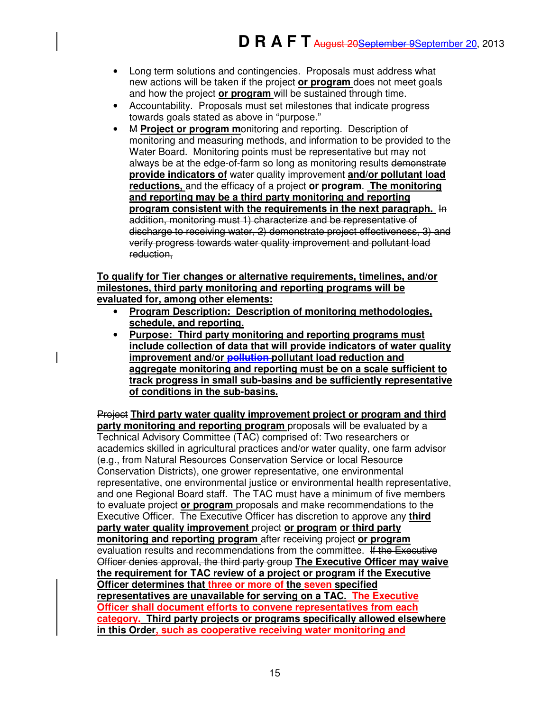- Long term solutions and contingencies. Proposals must address what new actions will be taken if the project **or program** does not meet goals and how the project **or program** will be sustained through time.
- Accountability. Proposals must set milestones that indicate progress towards goals stated as above in "purpose."
- M **Project or program m**onitoring and reporting. Description of monitoring and measuring methods, and information to be provided to the Water Board. Monitoring points must be representative but may not always be at the edge-of-farm so long as monitoring results demonstrate **provide indicators of** water quality improvement **and/or pollutant load reductions,** and the efficacy of a project **or program**. **The monitoring and reporting may be a third party monitoring and reporting program consistent with the requirements in the next paragraph.** In addition, monitoring must 1) characterize and be representative of discharge to receiving water, 2) demonstrate project effectiveness, 3) and verify progress towards water quality improvement and pollutant load reduction,

#### **To qualify for Tier changes or alternative requirements, timelines, and/or milestones, third party monitoring and reporting programs will be evaluated for, among other elements:**

- **Program Description: Description of monitoring methodologies, schedule, and reporting.**
- **Purpose: Third party monitoring and reporting programs must include collection of data that will provide indicators of water quality improvement and/or pollution pollutant load reduction and aggregate monitoring and reporting must be on a scale sufficient to track progress in small sub-basins and be sufficiently representative of conditions in the sub-basins.**

Project **Third party water quality improvement project or program and third party monitoring and reporting program** proposals will be evaluated by a Technical Advisory Committee (TAC) comprised of: Two researchers or academics skilled in agricultural practices and/or water quality, one farm advisor (e.g., from Natural Resources Conservation Service or local Resource Conservation Districts), one grower representative, one environmental representative, one environmental justice or environmental health representative, and one Regional Board staff. The TAC must have a minimum of five members to evaluate project **or program** proposals and make recommendations to the Executive Officer. The Executive Officer has discretion to approve any **third party water quality improvement** project **or program or third party monitoring and reporting program** after receiving project **or program**  evaluation results and recommendations from the committee. If the Executive Officer denies approval, the third party group **The Executive Officer may waive the requirement for TAC review of a project or program if the Executive Officer determines that three or more of the seven specified representatives are unavailable for serving on a TAC. The Executive Officer shall document efforts to convene representatives from each category. Third party projects or programs specifically allowed elsewhere in this Order, such as cooperative receiving water monitoring and**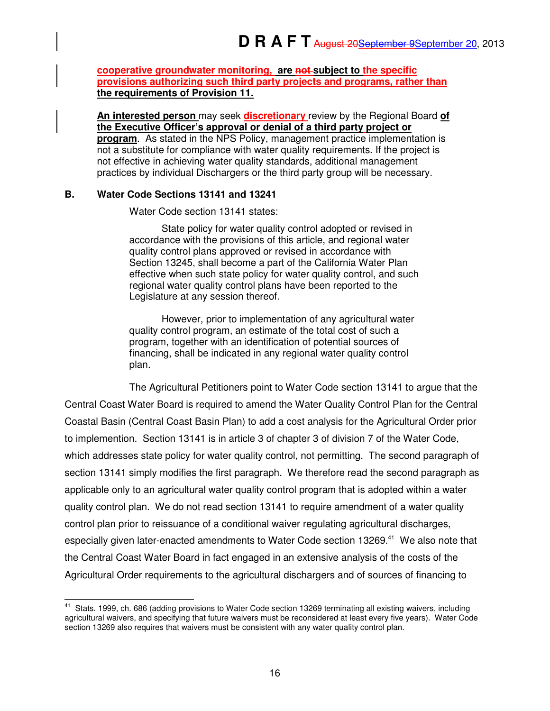**cooperative groundwater monitoring, are not subject to the specific provisions authorizing such third party projects and programs, rather than the requirements of Provision 11.** 

**An interested person** may seek **discretionary** review by the Regional Board **of the Executive Officer's approval or denial of a third party project or program**. As stated in the NPS Policy, management practice implementation is not a substitute for compliance with water quality requirements. If the project is not effective in achieving water quality standards, additional management practices by individual Dischargers or the third party group will be necessary.

### **B. Water Code Sections 13141 and 13241**

Water Code section 13141 states:

State policy for water quality control adopted or revised in accordance with the provisions of this article, and regional water quality control plans approved or revised in accordance with Section 13245, shall become a part of the California Water Plan effective when such state policy for water quality control, and such regional water quality control plans have been reported to the Legislature at any session thereof.

However, prior to implementation of any agricultural water quality control program, an estimate of the total cost of such a program, together with an identification of potential sources of financing, shall be indicated in any regional water quality control plan.

The Agricultural Petitioners point to Water Code section 13141 to argue that the Central Coast Water Board is required to amend the Water Quality Control Plan for the Central Coastal Basin (Central Coast Basin Plan) to add a cost analysis for the Agricultural Order prior to implemention. Section 13141 is in article 3 of chapter 3 of division 7 of the Water Code, which addresses state policy for water quality control, not permitting. The second paragraph of section 13141 simply modifies the first paragraph. We therefore read the second paragraph as applicable only to an agricultural water quality control program that is adopted within a water quality control plan. We do not read section 13141 to require amendment of a water quality control plan prior to reissuance of a conditional waiver regulating agricultural discharges, especially given later-enacted amendments to Water Code section 13269.<sup>41</sup> We also note that the Central Coast Water Board in fact engaged in an extensive analysis of the costs of the Agricultural Order requirements to the agricultural dischargers and of sources of financing to

 $\overline{a}$ <sup>41</sup> Stats. 1999, ch. 686 (adding provisions to Water Code section 13269 terminating all existing waivers, including agricultural waivers, and specifying that future waivers must be reconsidered at least every five years). Water Code section 13269 also requires that waivers must be consistent with any water quality control plan.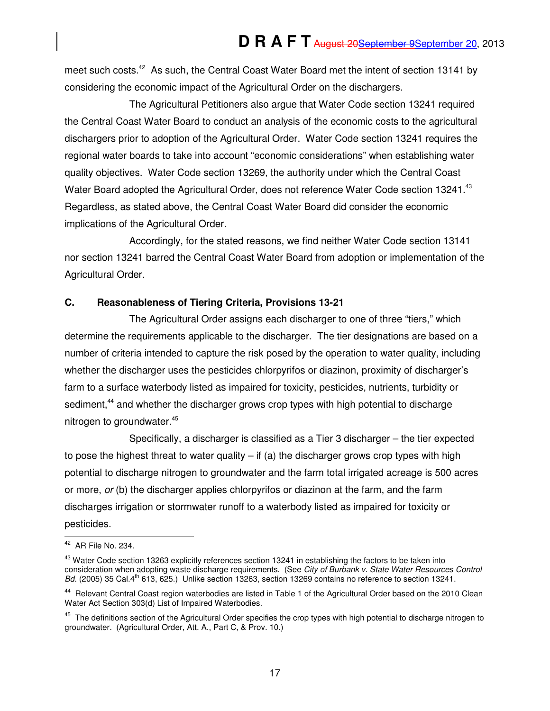meet such costs.<sup>42</sup> As such, the Central Coast Water Board met the intent of section 13141 by considering the economic impact of the Agricultural Order on the dischargers.

The Agricultural Petitioners also argue that Water Code section 13241 required the Central Coast Water Board to conduct an analysis of the economic costs to the agricultural dischargers prior to adoption of the Agricultural Order. Water Code section 13241 requires the regional water boards to take into account "economic considerations" when establishing water quality objectives. Water Code section 13269, the authority under which the Central Coast Water Board adopted the Agricultural Order, does not reference Water Code section 13241.<sup>43</sup> Regardless, as stated above, the Central Coast Water Board did consider the economic implications of the Agricultural Order.

Accordingly, for the stated reasons, we find neither Water Code section 13141 nor section 13241 barred the Central Coast Water Board from adoption or implementation of the Agricultural Order.

### **C. Reasonableness of Tiering Criteria, Provisions 13-21**

The Agricultural Order assigns each discharger to one of three "tiers," which determine the requirements applicable to the discharger. The tier designations are based on a number of criteria intended to capture the risk posed by the operation to water quality, including whether the discharger uses the pesticides chlorpyrifos or diazinon, proximity of discharger's farm to a surface waterbody listed as impaired for toxicity, pesticides, nutrients, turbidity or sediment,<sup>44</sup> and whether the discharger grows crop types with high potential to discharge nitrogen to groundwater.<sup>45</sup>

Specifically, a discharger is classified as a Tier 3 discharger – the tier expected to pose the highest threat to water quality  $-$  if (a) the discharger grows crop types with high potential to discharge nitrogen to groundwater and the farm total irrigated acreage is 500 acres or more, or (b) the discharger applies chlorpyrifos or diazinon at the farm, and the farm discharges irrigation or stormwater runoff to a waterbody listed as impaired for toxicity or pesticides.

j  $42$  AR File No. 234.

 $^{43}$  Water Code section 13263 explicitly references section 13241 in establishing the factors to be taken into consideration when adopting waste discharge requirements. (See City of Burbank v. State Water Resources Control Bd. (2005) 35 Cal.4<sup>th</sup> 613, 625.) Unlike section 13263, section 13269 contains no reference to section 13241.

<sup>44</sup> Relevant Central Coast region waterbodies are listed in Table 1 of the Agricultural Order based on the 2010 Clean Water Act Section 303(d) List of Impaired Waterbodies.

<sup>&</sup>lt;sup>45</sup> The definitions section of the Agricultural Order specifies the crop types with high potential to discharge nitrogen to groundwater. (Agricultural Order, Att. A., Part C, & Prov. 10.)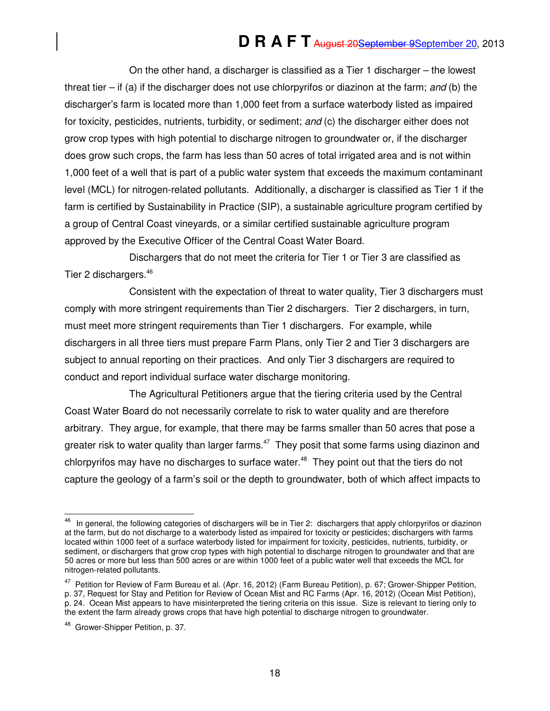On the other hand, a discharger is classified as a Tier 1 discharger – the lowest threat tier – if (a) if the discharger does not use chlorpyrifos or diazinon at the farm; and (b) the discharger's farm is located more than 1,000 feet from a surface waterbody listed as impaired for toxicity, pesticides, nutrients, turbidity, or sediment; and (c) the discharger either does not grow crop types with high potential to discharge nitrogen to groundwater or, if the discharger does grow such crops, the farm has less than 50 acres of total irrigated area and is not within 1,000 feet of a well that is part of a public water system that exceeds the maximum contaminant level (MCL) for nitrogen-related pollutants. Additionally, a discharger is classified as Tier 1 if the farm is certified by Sustainability in Practice (SIP), a sustainable agriculture program certified by a group of Central Coast vineyards, or a similar certified sustainable agriculture program approved by the Executive Officer of the Central Coast Water Board.

Dischargers that do not meet the criteria for Tier 1 or Tier 3 are classified as Tier 2 dischargers.<sup>46</sup>

Consistent with the expectation of threat to water quality, Tier 3 dischargers must comply with more stringent requirements than Tier 2 dischargers. Tier 2 dischargers, in turn, must meet more stringent requirements than Tier 1 dischargers. For example, while dischargers in all three tiers must prepare Farm Plans, only Tier 2 and Tier 3 dischargers are subject to annual reporting on their practices. And only Tier 3 dischargers are required to conduct and report individual surface water discharge monitoring.

The Agricultural Petitioners argue that the tiering criteria used by the Central Coast Water Board do not necessarily correlate to risk to water quality and are therefore arbitrary. They argue, for example, that there may be farms smaller than 50 acres that pose a greater risk to water quality than larger farms.<sup>47</sup> They posit that some farms using diazinon and chlorpyrifos may have no discharges to surface water.<sup>48</sup> They point out that the tiers do not capture the geology of a farm's soil or the depth to groundwater, both of which affect impacts to

 46 In general, the following categories of dischargers will be in Tier 2: dischargers that apply chlorpyrifos or diazinon at the farm, but do not discharge to a waterbody listed as impaired for toxicity or pesticides; dischargers with farms located within 1000 feet of a surface waterbody listed for impairment for toxicity, pesticides, nutrients, turbidity, or sediment, or dischargers that grow crop types with high potential to discharge nitrogen to groundwater and that are 50 acres or more but less than 500 acres or are within 1000 feet of a public water well that exceeds the MCL for nitrogen-related pollutants.

<sup>&</sup>lt;sup>47</sup> Petition for Review of Farm Bureau et al. (Apr. 16, 2012) (Farm Bureau Petition), p. 67; Grower-Shipper Petition, p. 37, Request for Stay and Petition for Review of Ocean Mist and RC Farms (Apr. 16, 2012) (Ocean Mist Petition), p. 24. Ocean Mist appears to have misinterpreted the tiering criteria on this issue. Size is relevant to tiering only to the extent the farm already grows crops that have high potential to discharge nitrogen to groundwater.

<sup>&</sup>lt;sup>48</sup> Grower-Shipper Petition, p. 37.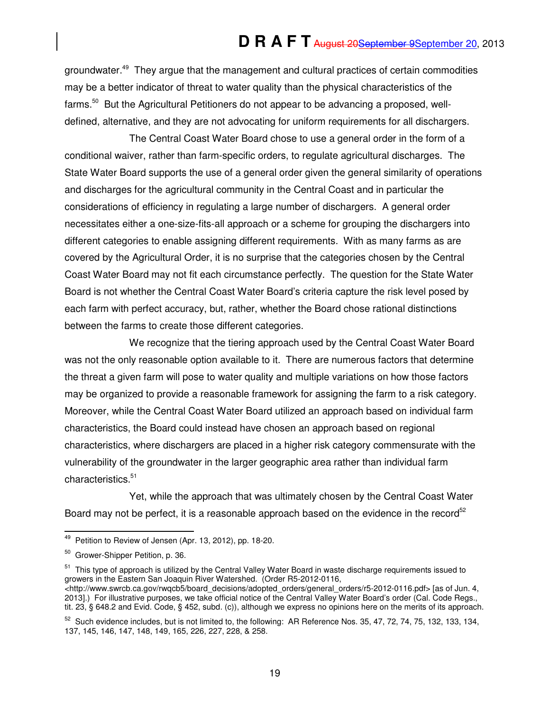groundwater.<sup>49</sup> They argue that the management and cultural practices of certain commodities may be a better indicator of threat to water quality than the physical characteristics of the farms.<sup>50</sup> But the Agricultural Petitioners do not appear to be advancing a proposed, welldefined, alternative, and they are not advocating for uniform requirements for all dischargers.

The Central Coast Water Board chose to use a general order in the form of a conditional waiver, rather than farm-specific orders, to regulate agricultural discharges. The State Water Board supports the use of a general order given the general similarity of operations and discharges for the agricultural community in the Central Coast and in particular the considerations of efficiency in regulating a large number of dischargers. A general order necessitates either a one-size-fits-all approach or a scheme for grouping the dischargers into different categories to enable assigning different requirements. With as many farms as are covered by the Agricultural Order, it is no surprise that the categories chosen by the Central Coast Water Board may not fit each circumstance perfectly. The question for the State Water Board is not whether the Central Coast Water Board's criteria capture the risk level posed by each farm with perfect accuracy, but, rather, whether the Board chose rational distinctions between the farms to create those different categories.

We recognize that the tiering approach used by the Central Coast Water Board was not the only reasonable option available to it. There are numerous factors that determine the threat a given farm will pose to water quality and multiple variations on how those factors may be organized to provide a reasonable framework for assigning the farm to a risk category. Moreover, while the Central Coast Water Board utilized an approach based on individual farm characteristics, the Board could instead have chosen an approach based on regional characteristics, where dischargers are placed in a higher risk category commensurate with the vulnerability of the groundwater in the larger geographic area rather than individual farm characteristics.<sup>51</sup>

Yet, while the approach that was ultimately chosen by the Central Coast Water Board may not be perfect, it is a reasonable approach based on the evidence in the record<sup>52</sup>

j

<sup>51</sup> This type of approach is utilized by the Central Valley Water Board in waste discharge requirements issued to growers in the Eastern San Joaquin River Watershed. (Order R5-2012-0116, <http://www.swrcb.ca.gov/rwqcb5/board\_decisions/adopted\_orders/general\_orders/r5-2012-0116.pdf> [as of Jun. 4, 2013].) For illustrative purposes, we take official notice of the Central Valley Water Board's order (Cal. Code Regs., tit. 23, § 648.2 and Evid. Code, § 452, subd. (c)), although we express no opinions here on the merits of its approach.

<sup>&</sup>lt;sup>49</sup> Petition to Review of Jensen (Apr. 13, 2012), pp. 18-20.

<sup>50</sup> Grower-Shipper Petition, p. 36.

 $52$  Such evidence includes, but is not limited to, the following: AR Reference Nos. 35, 47, 72, 74, 75, 132, 133, 134, 137, 145, 146, 147, 148, 149, 165, 226, 227, 228, & 258.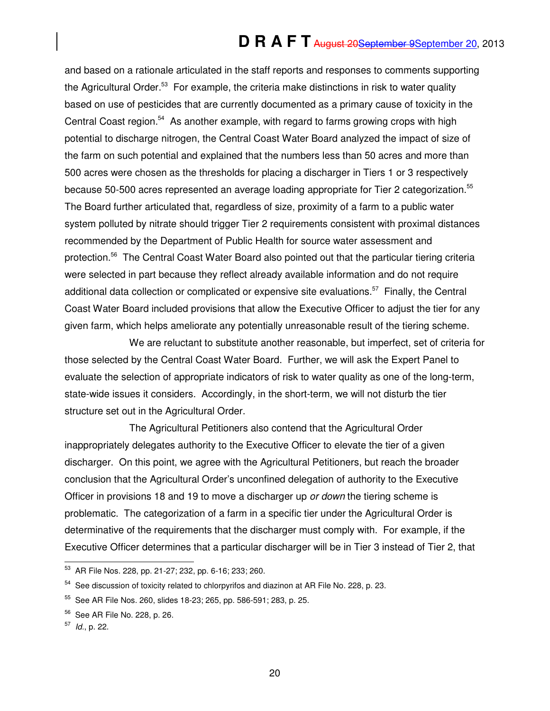and based on a rationale articulated in the staff reports and responses to comments supporting the Agricultural Order.<sup>53</sup> For example, the criteria make distinctions in risk to water quality based on use of pesticides that are currently documented as a primary cause of toxicity in the Central Coast region.<sup>54</sup> As another example, with regard to farms growing crops with high potential to discharge nitrogen, the Central Coast Water Board analyzed the impact of size of the farm on such potential and explained that the numbers less than 50 acres and more than 500 acres were chosen as the thresholds for placing a discharger in Tiers 1 or 3 respectively because 50-500 acres represented an average loading appropriate for Tier 2 categorization.<sup>55</sup> The Board further articulated that, regardless of size, proximity of a farm to a public water system polluted by nitrate should trigger Tier 2 requirements consistent with proximal distances recommended by the Department of Public Health for source water assessment and protection.<sup>56</sup> The Central Coast Water Board also pointed out that the particular tiering criteria were selected in part because they reflect already available information and do not require additional data collection or complicated or expensive site evaluations.<sup>57</sup> Finally, the Central Coast Water Board included provisions that allow the Executive Officer to adjust the tier for any given farm, which helps ameliorate any potentially unreasonable result of the tiering scheme.

We are reluctant to substitute another reasonable, but imperfect, set of criteria for those selected by the Central Coast Water Board. Further, we will ask the Expert Panel to evaluate the selection of appropriate indicators of risk to water quality as one of the long-term, state-wide issues it considers. Accordingly, in the short-term, we will not disturb the tier structure set out in the Agricultural Order.

The Agricultural Petitioners also contend that the Agricultural Order inappropriately delegates authority to the Executive Officer to elevate the tier of a given discharger. On this point, we agree with the Agricultural Petitioners, but reach the broader conclusion that the Agricultural Order's unconfined delegation of authority to the Executive Officer in provisions 18 and 19 to move a discharger up or down the tiering scheme is problematic. The categorization of a farm in a specific tier under the Agricultural Order is determinative of the requirements that the discharger must comply with. For example, if the Executive Officer determines that a particular discharger will be in Tier 3 instead of Tier 2, that

 $\overline{a}$ 

20

<sup>&</sup>lt;sup>53</sup> AR File Nos. 228, pp. 21-27; 232, pp. 6-16; 233; 260.

<sup>&</sup>lt;sup>54</sup> See discussion of toxicity related to chlorpyrifos and diazinon at AR File No. 228, p. 23.

<sup>55</sup> See AR File Nos. 260, slides 18-23; 265, pp. 586-591; 283, p. 25.

<sup>56</sup> See AR File No. 228, p. 26.

<sup>&</sup>lt;sup>57</sup> *ld.*, p. 22.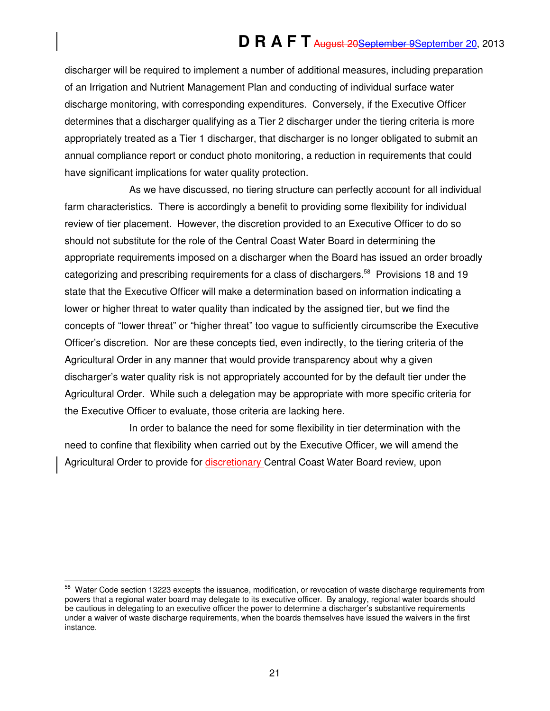discharger will be required to implement a number of additional measures, including preparation of an Irrigation and Nutrient Management Plan and conducting of individual surface water discharge monitoring, with corresponding expenditures. Conversely, if the Executive Officer determines that a discharger qualifying as a Tier 2 discharger under the tiering criteria is more appropriately treated as a Tier 1 discharger, that discharger is no longer obligated to submit an annual compliance report or conduct photo monitoring, a reduction in requirements that could have significant implications for water quality protection.

As we have discussed, no tiering structure can perfectly account for all individual farm characteristics. There is accordingly a benefit to providing some flexibility for individual review of tier placement. However, the discretion provided to an Executive Officer to do so should not substitute for the role of the Central Coast Water Board in determining the appropriate requirements imposed on a discharger when the Board has issued an order broadly categorizing and prescribing requirements for a class of dischargers.<sup>58</sup> Provisions 18 and 19 state that the Executive Officer will make a determination based on information indicating a lower or higher threat to water quality than indicated by the assigned tier, but we find the concepts of "lower threat" or "higher threat" too vague to sufficiently circumscribe the Executive Officer's discretion. Nor are these concepts tied, even indirectly, to the tiering criteria of the Agricultural Order in any manner that would provide transparency about why a given discharger's water quality risk is not appropriately accounted for by the default tier under the Agricultural Order. While such a delegation may be appropriate with more specific criteria for the Executive Officer to evaluate, those criteria are lacking here.

In order to balance the need for some flexibility in tier determination with the need to confine that flexibility when carried out by the Executive Officer, we will amend the Agricultural Order to provide for **discretionary** Central Coast Water Board review, upon

 $\overline{a}$ 

<sup>&</sup>lt;sup>58</sup> Water Code section 13223 excepts the issuance, modification, or revocation of waste discharge requirements from powers that a regional water board may delegate to its executive officer. By analogy, regional water boards should be cautious in delegating to an executive officer the power to determine a discharger's substantive requirements under a waiver of waste discharge requirements, when the boards themselves have issued the waivers in the first instance.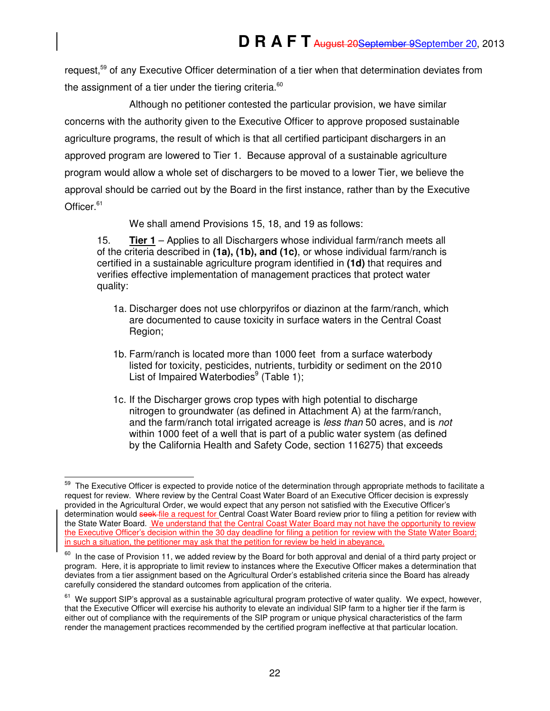request,<sup>59</sup> of any Executive Officer determination of a tier when that determination deviates from the assignment of a tier under the tiering criteria.<sup>60</sup>

Although no petitioner contested the particular provision, we have similar concerns with the authority given to the Executive Officer to approve proposed sustainable agriculture programs, the result of which is that all certified participant dischargers in an approved program are lowered to Tier 1. Because approval of a sustainable agriculture program would allow a whole set of dischargers to be moved to a lower Tier, we believe the approval should be carried out by the Board in the first instance, rather than by the Executive Officer.<sup>61</sup>

We shall amend Provisions 15, 18, and 19 as follows:

15. **Tier 1** – Applies to all Dischargers whose individual farm/ranch meets all of the criteria described in **(1a), (1b), and (1c)**, or whose individual farm/ranch is certified in a sustainable agriculture program identified in **(1d)** that requires and verifies effective implementation of management practices that protect water quality:

- 1a. Discharger does not use chlorpyrifos or diazinon at the farm/ranch, which are documented to cause toxicity in surface waters in the Central Coast Region;
- 1b. Farm/ranch is located more than 1000 feet from a surface waterbody listed for toxicity, pesticides, nutrients, turbidity or sediment on the 2010 List of Impaired Waterbodies $9$  (Table 1);
- 1c. If the Discharger grows crop types with high potential to discharge nitrogen to groundwater (as defined in Attachment A) at the farm/ranch, and the farm/ranch total irrigated acreage is *less than* 50 acres, and is *not* within 1000 feet of a well that is part of a public water system (as defined by the California Health and Safety Code, section 116275) that exceeds

 $\overline{a}$ <sup>59</sup> The Executive Officer is expected to provide notice of the determination through appropriate methods to facilitate a request for review. Where review by the Central Coast Water Board of an Executive Officer decision is expressly provided in the Agricultural Order, we would expect that any person not satisfied with the Executive Officer's determination would seek file a request for Central Coast Water Board review prior to filing a petition for review with the State Water Board. We understand that the Central Coast Water Board may not have the opportunity to review the Executive Officer's decision within the 30 day deadline for filing a petition for review with the State Water Board; in such a situation, the petitioner may ask that the petition for review be held in abeyance.

 $60$  In the case of Provision 11, we added review by the Board for both approval and denial of a third party project or program. Here, it is appropriate to limit review to instances where the Executive Officer makes a determination that deviates from a tier assignment based on the Agricultural Order's established criteria since the Board has already carefully considered the standard outcomes from application of the criteria.

 $61$  We support SIP's approval as a sustainable agricultural program protective of water quality. We expect, however, that the Executive Officer will exercise his authority to elevate an individual SIP farm to a higher tier if the farm is either out of compliance with the requirements of the SIP program or unique physical characteristics of the farm render the management practices recommended by the certified program ineffective at that particular location.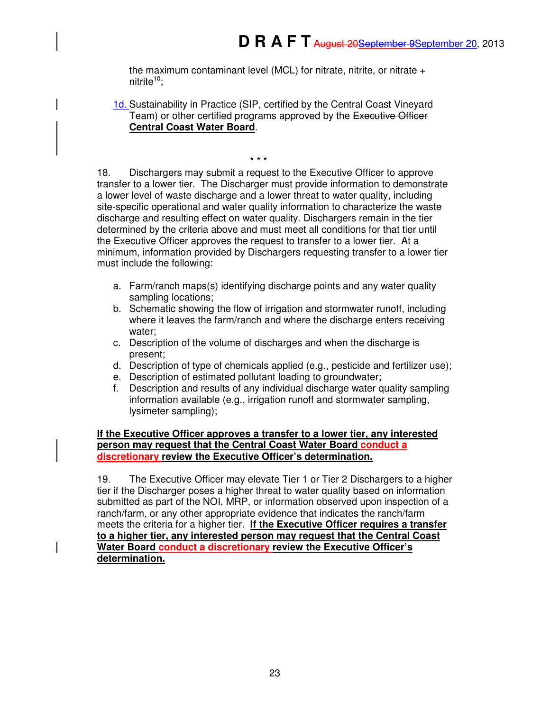the maximum contaminant level (MCL) for nitrate, nitrite, or nitrate + nitrite $10$ :

1d. Sustainability in Practice (SIP, certified by the Central Coast Vineyard Team) or other certified programs approved by the Executive Officer **Central Coast Water Board**.

\* \* \*

18. Dischargers may submit a request to the Executive Officer to approve transfer to a lower tier. The Discharger must provide information to demonstrate a lower level of waste discharge and a lower threat to water quality, including site-specific operational and water quality information to characterize the waste discharge and resulting effect on water quality. Dischargers remain in the tier determined by the criteria above and must meet all conditions for that tier until the Executive Officer approves the request to transfer to a lower tier. At a minimum, information provided by Dischargers requesting transfer to a lower tier must include the following:

- a. Farm/ranch maps(s) identifying discharge points and any water quality sampling locations;
- b. Schematic showing the flow of irrigation and stormwater runoff, including where it leaves the farm/ranch and where the discharge enters receiving water;
- c. Description of the volume of discharges and when the discharge is present;
- d. Description of type of chemicals applied (e.g., pesticide and fertilizer use);
- e. Description of estimated pollutant loading to groundwater;
- f. Description and results of any individual discharge water quality sampling information available (e.g., irrigation runoff and stormwater sampling, lysimeter sampling);

**If the Executive Officer approves a transfer to a lower tier, any interested person may request that the Central Coast Water Board conduct a discretionary review the Executive Officer's determination.** 

19. The Executive Officer may elevate Tier 1 or Tier 2 Dischargers to a higher tier if the Discharger poses a higher threat to water quality based on information submitted as part of the NOI, MRP, or information observed upon inspection of a ranch/farm, or any other appropriate evidence that indicates the ranch/farm meets the criteria for a higher tier. **If the Executive Officer requires a transfer to a higher tier, any interested person may request that the Central Coast Water Board conduct a discretionary review the Executive Officer's determination.**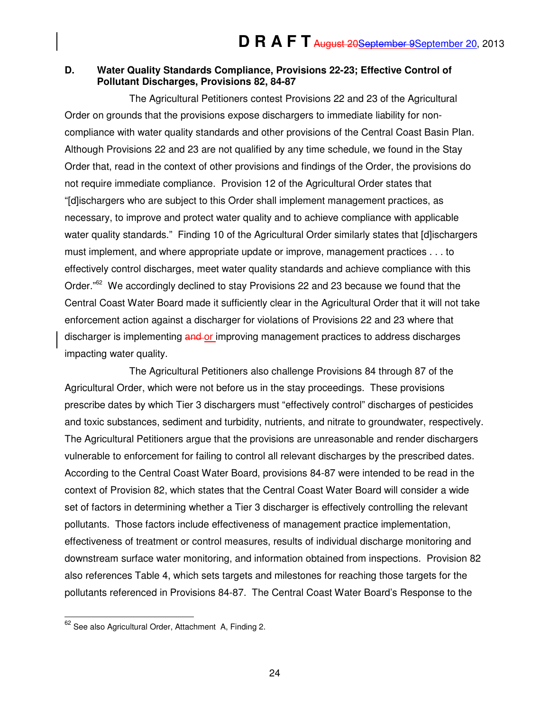### **D. Water Quality Standards Compliance, Provisions 22-23; Effective Control of Pollutant Discharges, Provisions 82, 84-87**

The Agricultural Petitioners contest Provisions 22 and 23 of the Agricultural Order on grounds that the provisions expose dischargers to immediate liability for noncompliance with water quality standards and other provisions of the Central Coast Basin Plan. Although Provisions 22 and 23 are not qualified by any time schedule, we found in the Stay Order that, read in the context of other provisions and findings of the Order, the provisions do not require immediate compliance. Provision 12 of the Agricultural Order states that "[d]ischargers who are subject to this Order shall implement management practices, as necessary, to improve and protect water quality and to achieve compliance with applicable water quality standards." Finding 10 of the Agricultural Order similarly states that [d]ischargers must implement, and where appropriate update or improve, management practices . . . to effectively control discharges, meet water quality standards and achieve compliance with this Order. $^{\cdot\prime\prime\prime\prime}$  We accordingly declined to stay Provisions 22 and 23 because we found that the Central Coast Water Board made it sufficiently clear in the Agricultural Order that it will not take enforcement action against a discharger for violations of Provisions 22 and 23 where that discharger is implementing and or improving management practices to address discharges impacting water quality.

The Agricultural Petitioners also challenge Provisions 84 through 87 of the Agricultural Order, which were not before us in the stay proceedings. These provisions prescribe dates by which Tier 3 dischargers must "effectively control" discharges of pesticides and toxic substances, sediment and turbidity, nutrients, and nitrate to groundwater, respectively. The Agricultural Petitioners argue that the provisions are unreasonable and render dischargers vulnerable to enforcement for failing to control all relevant discharges by the prescribed dates. According to the Central Coast Water Board, provisions 84-87 were intended to be read in the context of Provision 82, which states that the Central Coast Water Board will consider a wide set of factors in determining whether a Tier 3 discharger is effectively controlling the relevant pollutants. Those factors include effectiveness of management practice implementation, effectiveness of treatment or control measures, results of individual discharge monitoring and downstream surface water monitoring, and information obtained from inspections. Provision 82 also references Table 4, which sets targets and milestones for reaching those targets for the pollutants referenced in Provisions 84-87. The Central Coast Water Board's Response to the

j  $62$  See also Agricultural Order, Attachment A, Finding 2.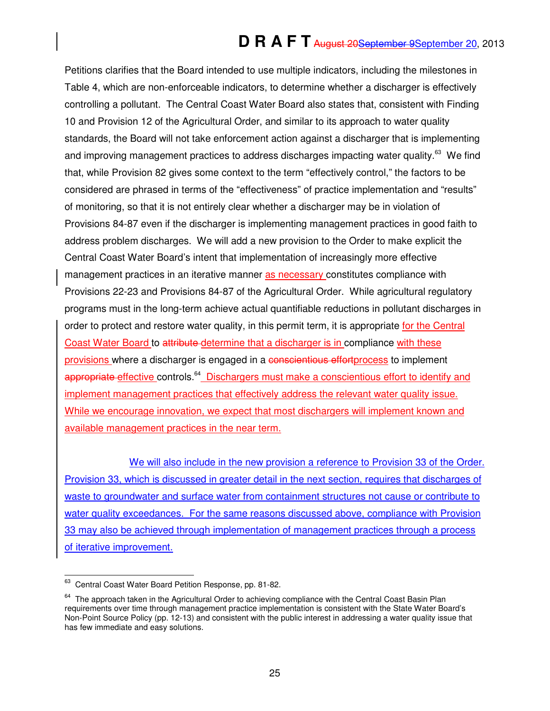Petitions clarifies that the Board intended to use multiple indicators, including the milestones in Table 4, which are non-enforceable indicators, to determine whether a discharger is effectively controlling a pollutant. The Central Coast Water Board also states that, consistent with Finding 10 and Provision 12 of the Agricultural Order, and similar to its approach to water quality standards, the Board will not take enforcement action against a discharger that is implementing and improving management practices to address discharges impacting water quality.<sup>63</sup> We find that, while Provision 82 gives some context to the term "effectively control," the factors to be considered are phrased in terms of the "effectiveness" of practice implementation and "results" of monitoring, so that it is not entirely clear whether a discharger may be in violation of Provisions 84-87 even if the discharger is implementing management practices in good faith to address problem discharges. We will add a new provision to the Order to make explicit the Central Coast Water Board's intent that implementation of increasingly more effective management practices in an iterative manner as necessary constitutes compliance with Provisions 22-23 and Provisions 84-87 of the Agricultural Order. While agricultural regulatory programs must in the long-term achieve actual quantifiable reductions in pollutant discharges in order to protect and restore water quality, in this permit term, it is appropriate for the Central Coast Water Board to attribute determine that a discharger is in compliance with these provisions where a discharger is engaged in a conscientious effortprocess to implement appropriate effective controls.<sup>64</sup> Dischargers must make a conscientious effort to identify and implement management practices that effectively address the relevant water quality issue. While we encourage innovation, we expect that most dischargers will implement known and available management practices in the near term.

We will also include in the new provision a reference to Provision 33 of the Order. Provision 33, which is discussed in greater detail in the next section, requires that discharges of waste to groundwater and surface water from containment structures not cause or contribute to water quality exceedances. For the same reasons discussed above, compliance with Provision 33 may also be achieved through implementation of management practices through a process of iterative improvement.

<sup>63</sup> <sup>63</sup> Central Coast Water Board Petition Response, pp. 81-82.

<sup>&</sup>lt;sup>64</sup> The approach taken in the Agricultural Order to achieving compliance with the Central Coast Basin Plan requirements over time through management practice implementation is consistent with the State Water Board's Non-Point Source Policy (pp. 12-13) and consistent with the public interest in addressing a water quality issue that has few immediate and easy solutions.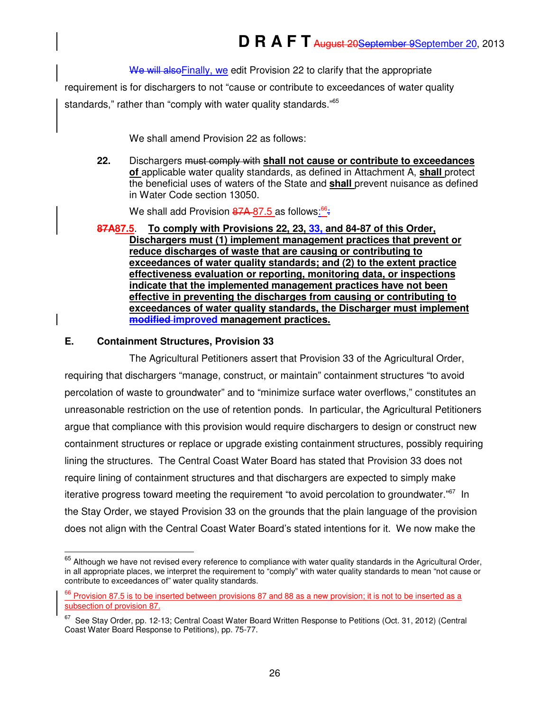We will also Finally, we edit Provision 22 to clarify that the appropriate

requirement is for dischargers to not "cause or contribute to exceedances of water quality standards," rather than "comply with water quality standards."<sup>65</sup>

We shall amend Provision 22 as follows:

**22.** Dischargers must comply with **shall not cause or contribute to exceedances of** applicable water quality standards, as defined in Attachment A, **shall** protect the beneficial uses of waters of the State and **shall** prevent nuisance as defined in Water Code section 13050.

We shall add Provision 87A 87.5 as follows<u>:<sup>66</sup>;</u>

**87A87.5**. **To comply with Provisions 22, 23, 33, and 84-87 of this Order, Dischargers must (1) implement management practices that prevent or reduce discharges of waste that are causing or contributing to exceedances of water quality standards; and (2) to the extent practice effectiveness evaluation or reporting, monitoring data, or inspections indicate that the implemented management practices have not been effective in preventing the discharges from causing or contributing to exceedances of water quality standards, the Discharger must implement modified improved management practices.**

#### **E. Containment Structures, Provision 33**

j

The Agricultural Petitioners assert that Provision 33 of the Agricultural Order, requiring that dischargers "manage, construct, or maintain" containment structures "to avoid percolation of waste to groundwater" and to "minimize surface water overflows," constitutes an unreasonable restriction on the use of retention ponds. In particular, the Agricultural Petitioners argue that compliance with this provision would require dischargers to design or construct new containment structures or replace or upgrade existing containment structures, possibly requiring lining the structures. The Central Coast Water Board has stated that Provision 33 does not require lining of containment structures and that dischargers are expected to simply make iterative progress toward meeting the requirement "to avoid percolation to groundwater."<sup>67</sup> In the Stay Order, we stayed Provision 33 on the grounds that the plain language of the provision does not align with the Central Coast Water Board's stated intentions for it. We now make the

 $65$  Although we have not revised every reference to compliance with water quality standards in the Agricultural Order, in all appropriate places, we interpret the requirement to "comply" with water quality standards to mean "not cause or contribute to exceedances of" water quality standards.

<sup>&</sup>lt;sup>66</sup> Provision 87.5 is to be inserted between provisions 87 and 88 as a new provision; it is not to be inserted as a subsection of provision 87.

 $67$  See Stay Order, pp. 12-13; Central Coast Water Board Written Response to Petitions (Oct. 31, 2012) (Central Coast Water Board Response to Petitions), pp. 75-77.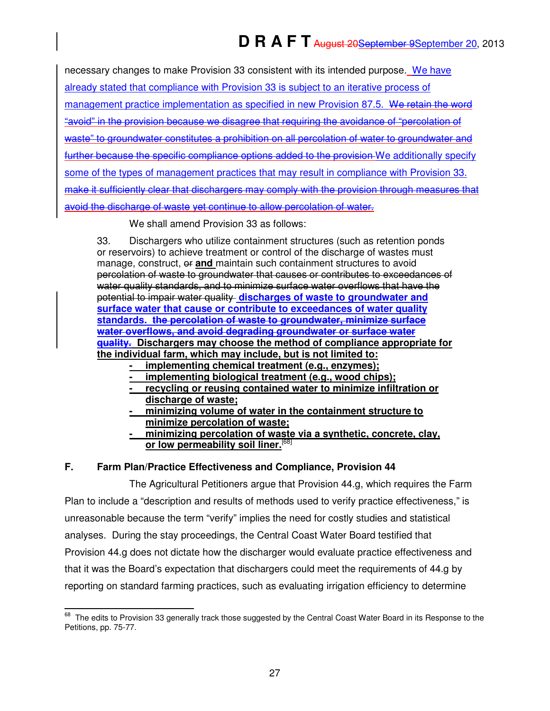| necessary changes to make Provision 33 consistent with its intended purpose. We have            |
|-------------------------------------------------------------------------------------------------|
| already stated that compliance with Provision 33 is subject to an iterative process of          |
| management practice implementation as specified in new Provision 87.5. We retain the word       |
| "avoid" in the provision because we disagree that requiring the avoidance of "percolation of    |
| waste" to groundwater constitutes a prohibition on all percolation of water to groundwater and  |
| further because the specific compliance options added to the provision We additionally specify  |
| some of the types of management practices that may result in compliance with Provision 33.      |
| make it sufficiently clear that dischargers may comply with the provision through measures that |
| avoid the discharge of waste yet continue to allow percolation of water.                        |

We shall amend Provision 33 as follows:

33. Dischargers who utilize containment structures (such as retention ponds or reservoirs) to achieve treatment or control of the discharge of wastes must manage, construct,  $e\mathbf{r}$  and maintain such containment structures to avoid percolation of waste to groundwater that causes or contributes to exceedances of water quality standards, and to minimize surface water overflows that have the potential to impair water quality **discharges of waste to groundwater and surface water that cause or contribute to exceedances of water quality standards. the percolation of waste to groundwater, minimize surface water overflows, and avoid degrading groundwater or surface water quality. Dischargers may choose the method of compliance appropriate for the individual farm, which may include, but is not limited to:** 

- **implementing chemical treatment (e.g., enzymes);**
- implementing biological treatment (e.g., wood chips);
- **recycling or reusing contained water to minimize infiltration or discharge of waste;**
- **minimizing volume of water in the containment structure to minimize percolation of waste;**
- **minimizing percolation of waste via a synthetic, concrete, clay, or low permeability soil liner.**[68]

### **F. Farm Plan/Practice Effectiveness and Compliance, Provision 44**

The Agricultural Petitioners argue that Provision 44.g, which requires the Farm Plan to include a "description and results of methods used to verify practice effectiveness," is unreasonable because the term "verify" implies the need for costly studies and statistical analyses. During the stay proceedings, the Central Coast Water Board testified that Provision 44.g does not dictate how the discharger would evaluate practice effectiveness and that it was the Board's expectation that dischargers could meet the requirements of 44.g by reporting on standard farming practices, such as evaluating irrigation efficiency to determine

 $\overline{a}$  $^{68}$  The edits to Provision 33 generally track those suggested by the Central Coast Water Board in its Response to the Petitions, pp. 75-77.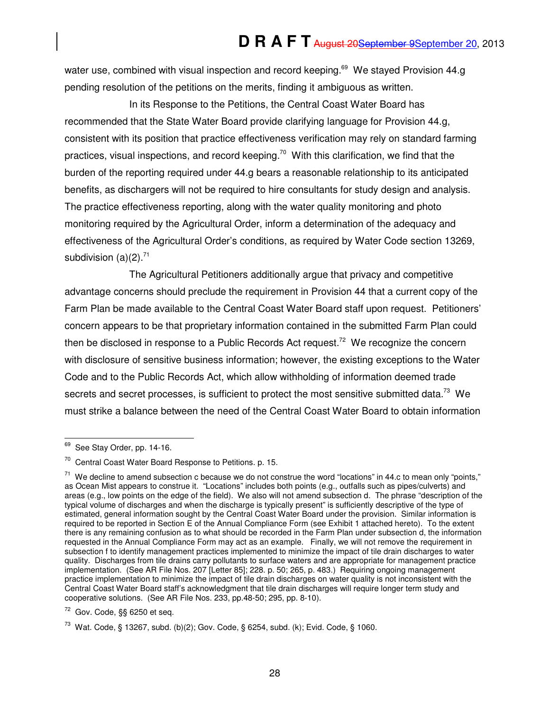water use, combined with visual inspection and record keeping.<sup>69</sup> We stayed Provision 44.g pending resolution of the petitions on the merits, finding it ambiguous as written.

In its Response to the Petitions, the Central Coast Water Board has recommended that the State Water Board provide clarifying language for Provision 44.g, consistent with its position that practice effectiveness verification may rely on standard farming practices, visual inspections, and record keeping.<sup>70</sup> With this clarification, we find that the burden of the reporting required under 44.g bears a reasonable relationship to its anticipated benefits, as dischargers will not be required to hire consultants for study design and analysis. The practice effectiveness reporting, along with the water quality monitoring and photo monitoring required by the Agricultural Order, inform a determination of the adequacy and effectiveness of the Agricultural Order's conditions, as required by Water Code section 13269, subdivision  $(a)(2)$ .<sup>71</sup>

The Agricultural Petitioners additionally argue that privacy and competitive advantage concerns should preclude the requirement in Provision 44 that a current copy of the Farm Plan be made available to the Central Coast Water Board staff upon request. Petitioners' concern appears to be that proprietary information contained in the submitted Farm Plan could then be disclosed in response to a Public Records Act request.<sup>72</sup> We recognize the concern with disclosure of sensitive business information; however, the existing exceptions to the Water Code and to the Public Records Act, which allow withholding of information deemed trade secrets and secret processes, is sufficient to protect the most sensitive submitted data.<sup>73</sup> We must strike a balance between the need of the Central Coast Water Board to obtain information

 $\overline{a}$ 

<sup>&</sup>lt;sup>69</sup> See Stay Order, pp. 14-16.

<sup>70</sup> Central Coast Water Board Response to Petitions. p. 15.

 $71$  We decline to amend subsection c because we do not construe the word "locations" in 44.c to mean only "points." as Ocean Mist appears to construe it. "Locations" includes both points (e.g., outfalls such as pipes/culverts) and areas (e.g., low points on the edge of the field). We also will not amend subsection d. The phrase "description of the typical volume of discharges and when the discharge is typically present" is sufficiently descriptive of the type of estimated, general information sought by the Central Coast Water Board under the provision. Similar information is required to be reported in Section E of the Annual Compliance Form (see Exhibit 1 attached hereto). To the extent there is any remaining confusion as to what should be recorded in the Farm Plan under subsection d, the information requested in the Annual Compliance Form may act as an example. Finally, we will not remove the requirement in subsection f to identify management practices implemented to minimize the impact of tile drain discharges to water quality. Discharges from tile drains carry pollutants to surface waters and are appropriate for management practice implementation. (See AR File Nos. 207 [Letter 85]; 228. p. 50; 265, p. 483.) Requiring ongoing management practice implementation to minimize the impact of tile drain discharges on water quality is not inconsistent with the Central Coast Water Board staff's acknowledgment that tile drain discharges will require longer term study and cooperative solutions. (See AR File Nos. 233, pp.48-50; 295, pp. 8-10).

 $72$  Gov. Code, §§ 6250 et seq.

<sup>&</sup>lt;sup>73</sup> Wat. Code, § 13267, subd. (b)(2); Gov. Code, § 6254, subd. (k); Evid. Code, § 1060.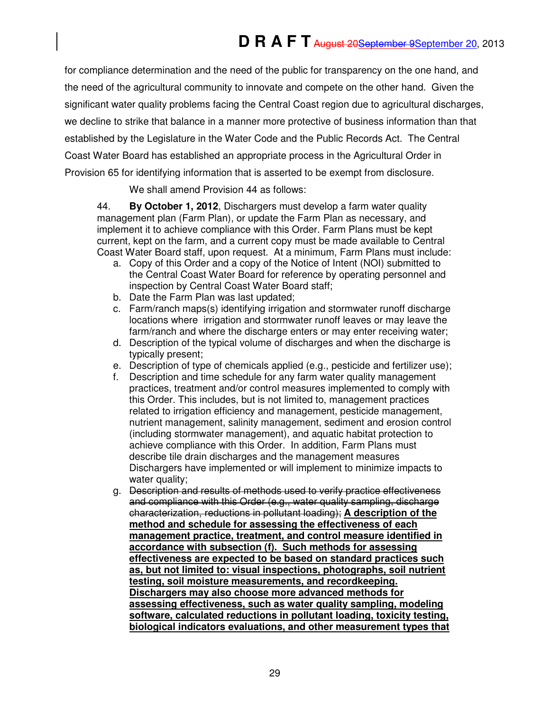for compliance determination and the need of the public for transparency on the one hand, and the need of the agricultural community to innovate and compete on the other hand. Given the significant water quality problems facing the Central Coast region due to agricultural discharges, we decline to strike that balance in a manner more protective of business information than that established by the Legislature in the Water Code and the Public Records Act. The Central Coast Water Board has established an appropriate process in the Agricultural Order in Provision 65 for identifying information that is asserted to be exempt from disclosure.

We shall amend Provision 44 as follows:

44. **By October 1, 2012**, Dischargers must develop a farm water quality management plan (Farm Plan), or update the Farm Plan as necessary, and implement it to achieve compliance with this Order. Farm Plans must be kept current, kept on the farm, and a current copy must be made available to Central Coast Water Board staff, upon request. At a minimum, Farm Plans must include:

- a. Copy of this Order and a copy of the Notice of Intent (NOI) submitted to the Central Coast Water Board for reference by operating personnel and inspection by Central Coast Water Board staff;
- b. Date the Farm Plan was last updated;
- c. Farm/ranch maps(s) identifying irrigation and stormwater runoff discharge locations where irrigation and stormwater runoff leaves or may leave the farm/ranch and where the discharge enters or may enter receiving water;
- d. Description of the typical volume of discharges and when the discharge is typically present;
- e. Description of type of chemicals applied (e.g., pesticide and fertilizer use);
- f. Description and time schedule for any farm water quality management practices, treatment and/or control measures implemented to comply with this Order. This includes, but is not limited to, management practices related to irrigation efficiency and management, pesticide management, nutrient management, salinity management, sediment and erosion control (including stormwater management), and aquatic habitat protection to achieve compliance with this Order. In addition, Farm Plans must describe tile drain discharges and the management measures Dischargers have implemented or will implement to minimize impacts to water quality;
- g. Description and results of methods used to verify practice effectiveness and compliance with this Order (e.g., water quality sampling, discharge characterization, reductions in pollutant loading); **A description of the method and schedule for assessing the effectiveness of each management practice, treatment, and control measure identified in accordance with subsection (f). Such methods for assessing effectiveness are expected to be based on standard practices such as, but not limited to: visual inspections, photographs, soil nutrient testing, soil moisture measurements, and recordkeeping. Dischargers may also choose more advanced methods for assessing effectiveness, such as water quality sampling, modeling software, calculated reductions in pollutant loading, toxicity testing, biological indicators evaluations, and other measurement types that**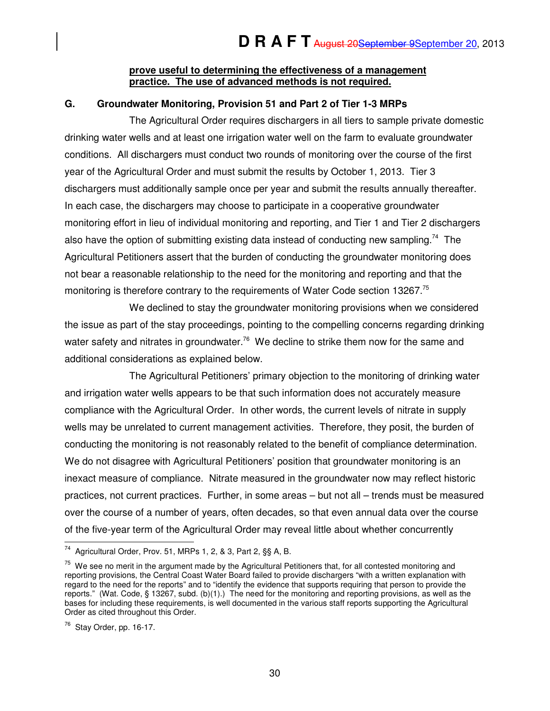#### **prove useful to determining the effectiveness of a management practice. The use of advanced methods is not required.**

### **G. Groundwater Monitoring, Provision 51 and Part 2 of Tier 1-3 MRPs**

The Agricultural Order requires dischargers in all tiers to sample private domestic drinking water wells and at least one irrigation water well on the farm to evaluate groundwater conditions. All dischargers must conduct two rounds of monitoring over the course of the first year of the Agricultural Order and must submit the results by October 1, 2013. Tier 3 dischargers must additionally sample once per year and submit the results annually thereafter. In each case, the dischargers may choose to participate in a cooperative groundwater monitoring effort in lieu of individual monitoring and reporting, and Tier 1 and Tier 2 dischargers also have the option of submitting existing data instead of conducting new sampling.<sup>74</sup> The Agricultural Petitioners assert that the burden of conducting the groundwater monitoring does not bear a reasonable relationship to the need for the monitoring and reporting and that the monitoring is therefore contrary to the requirements of Water Code section 13267.<sup>75</sup>

We declined to stay the groundwater monitoring provisions when we considered the issue as part of the stay proceedings, pointing to the compelling concerns regarding drinking water safety and nitrates in groundwater.<sup>76</sup> We decline to strike them now for the same and additional considerations as explained below.

The Agricultural Petitioners' primary objection to the monitoring of drinking water and irrigation water wells appears to be that such information does not accurately measure compliance with the Agricultural Order. In other words, the current levels of nitrate in supply wells may be unrelated to current management activities. Therefore, they posit, the burden of conducting the monitoring is not reasonably related to the benefit of compliance determination. We do not disagree with Agricultural Petitioners' position that groundwater monitoring is an inexact measure of compliance. Nitrate measured in the groundwater now may reflect historic practices, not current practices. Further, in some areas – but not all – trends must be measured over the course of a number of years, often decades, so that even annual data over the course of the five-year term of the Agricultural Order may reveal little about whether concurrently

 $\overline{a}$  $74$  Agricultural Order, Prov. 51, MRPs 1, 2, & 3, Part 2, §§ A, B.

 $75$  We see no merit in the argument made by the Agricultural Petitioners that, for all contested monitoring and reporting provisions, the Central Coast Water Board failed to provide dischargers "with a written explanation with regard to the need for the reports" and to "identify the evidence that supports requiring that person to provide the reports." (Wat. Code, § 13267, subd. (b)(1).) The need for the monitoring and reporting provisions, as well as the bases for including these requirements, is well documented in the various staff reports supporting the Agricultural Order as cited throughout this Order.

 $76$  Stay Order, pp. 16-17.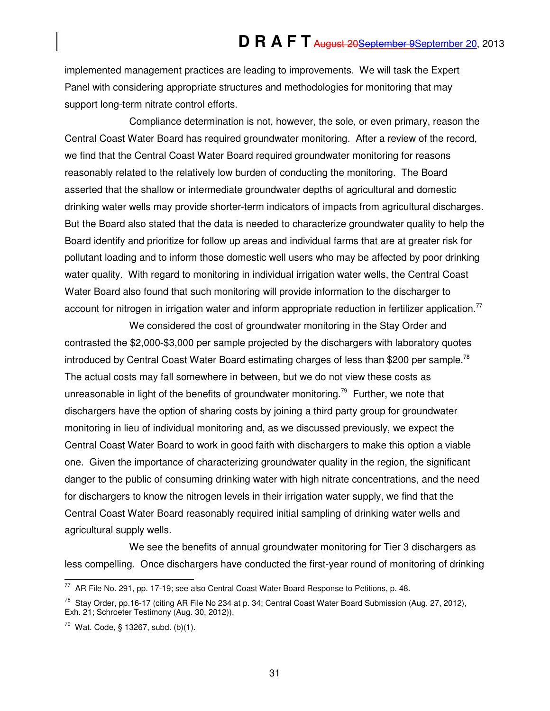implemented management practices are leading to improvements. We will task the Expert Panel with considering appropriate structures and methodologies for monitoring that may support long-term nitrate control efforts.

Compliance determination is not, however, the sole, or even primary, reason the Central Coast Water Board has required groundwater monitoring. After a review of the record, we find that the Central Coast Water Board required groundwater monitoring for reasons reasonably related to the relatively low burden of conducting the monitoring. The Board asserted that the shallow or intermediate groundwater depths of agricultural and domestic drinking water wells may provide shorter-term indicators of impacts from agricultural discharges. But the Board also stated that the data is needed to characterize groundwater quality to help the Board identify and prioritize for follow up areas and individual farms that are at greater risk for pollutant loading and to inform those domestic well users who may be affected by poor drinking water quality. With regard to monitoring in individual irrigation water wells, the Central Coast Water Board also found that such monitoring will provide information to the discharger to account for nitrogen in irrigation water and inform appropriate reduction in fertilizer application.<sup>77</sup>

We considered the cost of groundwater monitoring in the Stay Order and contrasted the \$2,000-\$3,000 per sample projected by the dischargers with laboratory quotes introduced by Central Coast Water Board estimating charges of less than \$200 per sample.<sup>78</sup> The actual costs may fall somewhere in between, but we do not view these costs as unreasonable in light of the benefits of groundwater monitoring.<sup>79</sup> Further, we note that dischargers have the option of sharing costs by joining a third party group for groundwater monitoring in lieu of individual monitoring and, as we discussed previously, we expect the Central Coast Water Board to work in good faith with dischargers to make this option a viable one. Given the importance of characterizing groundwater quality in the region, the significant danger to the public of consuming drinking water with high nitrate concentrations, and the need for dischargers to know the nitrogen levels in their irrigation water supply, we find that the Central Coast Water Board reasonably required initial sampling of drinking water wells and agricultural supply wells.

We see the benefits of annual groundwater monitoring for Tier 3 dischargers as less compelling. Once dischargers have conducted the first-year round of monitoring of drinking

 $\overline{a}$ 

 $77$  AR File No. 291, pp. 17-19; see also Central Coast Water Board Response to Petitions, p. 48.

<sup>&</sup>lt;sup>78</sup> Stay Order, pp.16-17 (citing AR File No 234 at p. 34; Central Coast Water Board Submission (Aug. 27, 2012), Exh. 21; Schroeter Testimony (Aug. 30, 2012)).

 $79$  Wat. Code, § 13267, subd. (b)(1).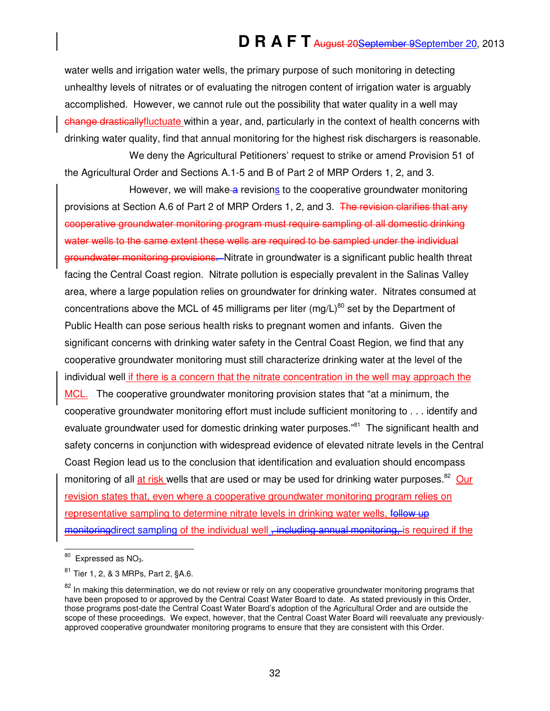water wells and irrigation water wells, the primary purpose of such monitoring in detecting unhealthy levels of nitrates or of evaluating the nitrogen content of irrigation water is arguably accomplished. However, we cannot rule out the possibility that water quality in a well may change drasticallyfluctuate within a year, and, particularly in the context of health concerns with drinking water quality, find that annual monitoring for the highest risk dischargers is reasonable.

We deny the Agricultural Petitioners' request to strike or amend Provision 51 of the Agricultural Order and Sections A.1-5 and B of Part 2 of MRP Orders 1, 2, and 3.

However, we will make a revisions to the cooperative groundwater monitoring provisions at Section A.6 of Part 2 of MRP Orders 1, 2, and 3. The revision clarifies that any cooperative groundwater monitoring program must require sampling of all domestic drinking water wells to the same extent these wells are required to be sampled under the individual groundwater monitoring provisions. Nitrate in groundwater is a significant public health threat facing the Central Coast region. Nitrate pollution is especially prevalent in the Salinas Valley area, where a large population relies on groundwater for drinking water. Nitrates consumed at concentrations above the MCL of 45 milligrams per liter (mg/L)<sup>80</sup> set by the Department of Public Health can pose serious health risks to pregnant women and infants. Given the significant concerns with drinking water safety in the Central Coast Region, we find that any cooperative groundwater monitoring must still characterize drinking water at the level of the individual well if there is a concern that the nitrate concentration in the well may approach the MCL. The cooperative groundwater monitoring provision states that "at a minimum, the cooperative groundwater monitoring effort must include sufficient monitoring to . . . identify and evaluate groundwater used for domestic drinking water purposes.<sup>"81</sup> The significant health and safety concerns in conjunction with widespread evidence of elevated nitrate levels in the Central Coast Region lead us to the conclusion that identification and evaluation should encompass monitoring of all at risk wells that are used or may be used for drinking water purposes.<sup>82</sup> Our revision states that, even where a cooperative groundwater monitoring program relies on representative sampling to determine nitrate levels in drinking water wells, follow up monitoring direct sampling of the individual well, including annual monitoring, is required if the

 $\overline{a}$  $80$  Expressed as NO<sub>3</sub>.

<sup>81</sup> Tier 1, 2, & 3 MRPs, Part 2, §A.6.

<sup>&</sup>lt;sup>82</sup> In making this determination, we do not review or rely on any cooperative groundwater monitoring programs that have been proposed to or approved by the Central Coast Water Board to date. As stated previously in this Order, those programs post-date the Central Coast Water Board's adoption of the Agricultural Order and are outside the scope of these proceedings. We expect, however, that the Central Coast Water Board will reevaluate any previouslyapproved cooperative groundwater monitoring programs to ensure that they are consistent with this Order.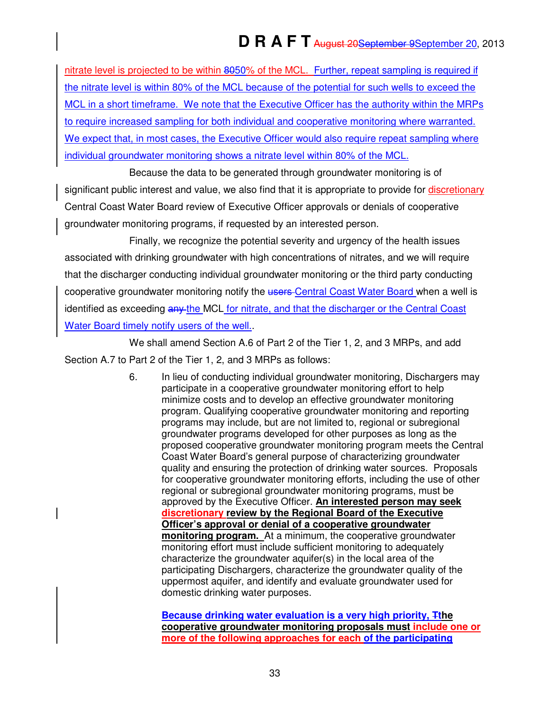nitrate level is projected to be within 8050% of the MCL. Further, repeat sampling is required if the nitrate level is within 80% of the MCL because of the potential for such wells to exceed the MCL in a short timeframe. We note that the Executive Officer has the authority within the MRPs to require increased sampling for both individual and cooperative monitoring where warranted. We expect that, in most cases, the Executive Officer would also require repeat sampling where individual groundwater monitoring shows a nitrate level within 80% of the MCL.

Because the data to be generated through groundwater monitoring is of significant public interest and value, we also find that it is appropriate to provide for discretionary Central Coast Water Board review of Executive Officer approvals or denials of cooperative groundwater monitoring programs, if requested by an interested person.

Finally, we recognize the potential severity and urgency of the health issues associated with drinking groundwater with high concentrations of nitrates, and we will require that the discharger conducting individual groundwater monitoring or the third party conducting cooperative groundwater monitoring notify the users-Central Coast Water Board when a well is identified as exceeding any the MCL for nitrate, and that the discharger or the Central Coast Water Board timely notify users of the well.

We shall amend Section A.6 of Part 2 of the Tier 1, 2, and 3 MRPs, and add Section A.7 to Part 2 of the Tier 1, 2, and 3 MRPs as follows:

> 6. In lieu of conducting individual groundwater monitoring, Dischargers may participate in a cooperative groundwater monitoring effort to help minimize costs and to develop an effective groundwater monitoring program. Qualifying cooperative groundwater monitoring and reporting programs may include, but are not limited to, regional or subregional groundwater programs developed for other purposes as long as the proposed cooperative groundwater monitoring program meets the Central Coast Water Board's general purpose of characterizing groundwater quality and ensuring the protection of drinking water sources. Proposals for cooperative groundwater monitoring efforts, including the use of other regional or subregional groundwater monitoring programs, must be approved by the Executive Officer. **An interested person may seek discretionary review by the Regional Board of the Executive Officer's approval or denial of a cooperative groundwater monitoring program.** At a minimum, the cooperative groundwater monitoring effort must include sufficient monitoring to adequately characterize the groundwater aquifer(s) in the local area of the participating Dischargers, characterize the groundwater quality of the uppermost aquifer, and identify and evaluate groundwater used for domestic drinking water purposes.

**Because drinking water evaluation is a very high priority, Tthe cooperative groundwater monitoring proposals must include one or more of the following approaches for each of the participating**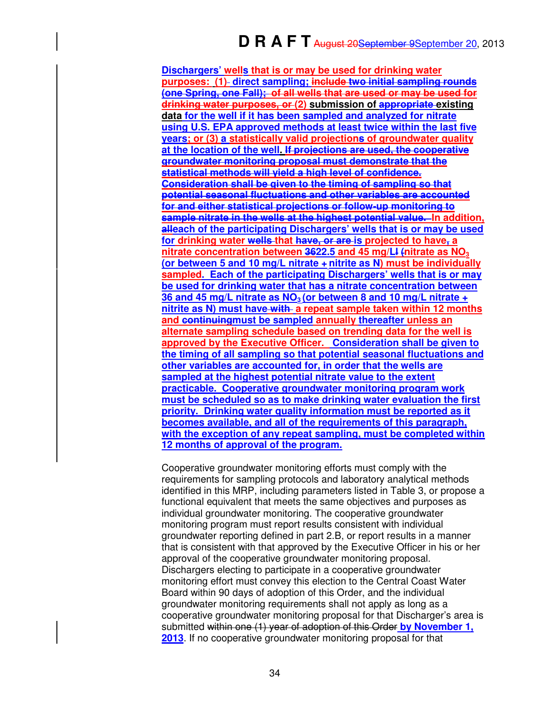**Dischargers' wells that is or may be used for drinking water purposes: (1) direct sampling; include two initial sampling rounds (one Spring, one Fall); of all wells that are used or may be used for drinking water purposes, or (2) submission of appropriate existing data for the well if it has been sampled and analyzed for nitrate using U.S. EPA approved methods at least twice within the last five years; or (3) a statistically valid projections of groundwater quality at the location of the well. If projections are used, the cooperative groundwater monitoring proposal must demonstrate that the statistical methods will yield a high level of confidence. Consideration shall be given to the timing of sampling so that potential seasonal fluctuations and other variables are accounted for and either statistical projections or follow-up monitoring to sample nitrate in the wells at the highest potential value. In addition, alleach of the participating Dischargers' wells that is or may be used for drinking water wells that have, or are is projected to have, a nitrate concentration between 3622.5 and 45 mg/Ll (nitrate as NO<sup>3</sup> (or between 5 and 10 mg/L nitrate + nitrite as N) must be individually sampled. Each of the participating Dischargers' wells that is or may be used for drinking water that has a nitrate concentration between 36 and 45 mg/L nitrate as NO3 (or between 8 and 10 mg/L nitrate + nitrite as N) must have with a repeat sample taken within 12 months and continuingmust be sampled annually thereafter unless an alternate sampling schedule based on trending data for the well is approved by the Executive Officer. Consideration shall be given to the timing of all sampling so that potential seasonal fluctuations and other variables are accounted for, in order that the wells are sampled at the highest potential nitrate value to the extent practicable. Cooperative groundwater monitoring program work must be scheduled so as to make drinking water evaluation the first priority. Drinking water quality information must be reported as it becomes available, and all of the requirements of this paragraph, with the exception of any repeat sampling, must be completed within 12 months of approval of the program.** 

 Cooperative groundwater monitoring efforts must comply with the requirements for sampling protocols and laboratory analytical methods identified in this MRP, including parameters listed in Table 3, or propose a functional equivalent that meets the same objectives and purposes as individual groundwater monitoring. The cooperative groundwater monitoring program must report results consistent with individual groundwater reporting defined in part 2.B, or report results in a manner that is consistent with that approved by the Executive Officer in his or her approval of the cooperative groundwater monitoring proposal. Dischargers electing to participate in a cooperative groundwater monitoring effort must convey this election to the Central Coast Water Board within 90 days of adoption of this Order, and the individual groundwater monitoring requirements shall not apply as long as a cooperative groundwater monitoring proposal for that Discharger's area is submitted within one (1) year of adoption of this Order **by November 1, 2013**. If no cooperative groundwater monitoring proposal for that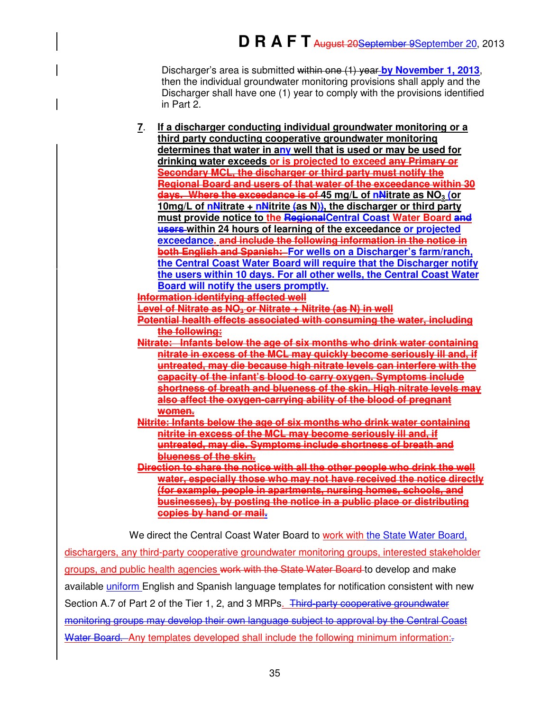Discharger's area is submitted within one (1) year **by November 1, 2013**, then the individual groundwater monitoring provisions shall apply and the Discharger shall have one (1) year to comply with the provisions identified in Part 2.

**7**. **If a discharger conducting individual groundwater monitoring or a third party conducting cooperative groundwater monitoring determines that water in any well that is used or may be used for drinking water exceeds or is projected to exceed any Primary or Secondary MCL, the discharger or third party must notify the Regional Board and users of that water of the exceedance within 30 days. Where the exceedance is of 45 mg/L of nNitrate as NO<sup>3</sup> (or 10mg/L of nNitrate + nNitrite (as N)), the discharger or third party must provide notice to the RegionalCentral Coast Water Board and users within 24 hours of learning of the exceedance or projected exceedance. and include the following information in the notice in both English and Spanish: For wells on a Discharger's farm/ranch, the Central Coast Water Board will require that the Discharger notify the users within 10 days. For all other wells, the Central Coast Water Board will notify the users promptly.**

**Information identifying affected well** 

**Level of Nitrate as NO3 or Nitrate + Nitrite (as N) in well** 

- **Potential health effects associated with consuming the water, including the following:**
- **Nitrate: Infants below the age of six months who drink water containing nitrate in excess of the MCL may quickly become seriously ill and, if untreated, may die because high nitrate levels can interfere with the capacity of the infant's blood to carry oxygen. Symptoms include shortness of breath and blueness of the skin. High nitrate levels may also affect the oxygen-carrying ability of the blood of pregnant women.**
- **Nitrite: Infants below the age of six months who drink water containing nitrite in excess of the MCL may become seriously ill and, if untreated, may die. Symptoms include shortness of breath and blueness of the skin.**
- **Direction to share the notice with all the other people who drink the well water, especially those who may not have received the notice directly (for example, people in apartments, nursing homes, schools, and businesses), by posting the notice in a public place or distributing copies by hand or mail.**

We direct the Central Coast Water Board to work with the State Water Board,

dischargers, any third-party cooperative groundwater monitoring groups, interested stakeholder groups, and public health agencies work with the State Water Board to develop and make available uniform English and Spanish language templates for notification consistent with new Section A.7 of Part 2 of the Tier 1, 2, and 3 MRPs. Third-party cooperative groundwater monitoring groups may develop their own language subject to approval by the Central Coast Water Board. Any templates developed shall include the following minimum information: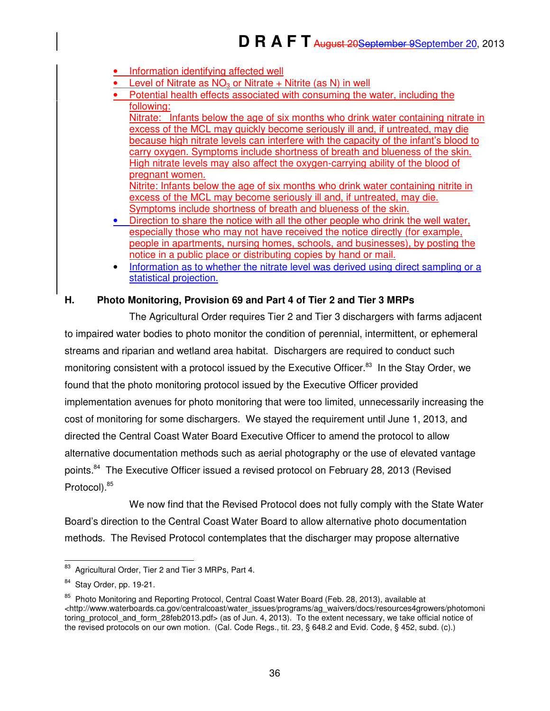- Information identifying affected well
- Level of Nitrate as  $NO<sub>3</sub>$  or Nitrate + Nitrite (as N) in well
- Potential health effects associated with consuming the water, including the following:

Nitrate: Infants below the age of six months who drink water containing nitrate in excess of the MCL may quickly become seriously ill and, if untreated, may die because high nitrate levels can interfere with the capacity of the infant's blood to carry oxygen. Symptoms include shortness of breath and blueness of the skin. High nitrate levels may also affect the oxygen-carrying ability of the blood of pregnant women.

Nitrite: Infants below the age of six months who drink water containing nitrite in excess of the MCL may become seriously ill and, if untreated, may die. Symptoms include shortness of breath and blueness of the skin.

- Direction to share the notice with all the other people who drink the well water, especially those who may not have received the notice directly (for example, people in apartments, nursing homes, schools, and businesses), by posting the notice in a public place or distributing copies by hand or mail.
- Information as to whether the nitrate level was derived using direct sampling or a statistical projection.

## **H. Photo Monitoring, Provision 69 and Part 4 of Tier 2 and Tier 3 MRPs**

The Agricultural Order requires Tier 2 and Tier 3 dischargers with farms adjacent to impaired water bodies to photo monitor the condition of perennial, intermittent, or ephemeral streams and riparian and wetland area habitat. Dischargers are required to conduct such monitoring consistent with a protocol issued by the Executive Officer.<sup>83</sup> In the Stay Order, we found that the photo monitoring protocol issued by the Executive Officer provided implementation avenues for photo monitoring that were too limited, unnecessarily increasing the cost of monitoring for some dischargers. We stayed the requirement until June 1, 2013, and directed the Central Coast Water Board Executive Officer to amend the protocol to allow alternative documentation methods such as aerial photography or the use of elevated vantage points.<sup>84</sup> The Executive Officer issued a revised protocol on February 28, 2013 (Revised Protocol).<sup>85</sup>

We now find that the Revised Protocol does not fully comply with the State Water Board's direction to the Central Coast Water Board to allow alternative photo documentation methods. The Revised Protocol contemplates that the discharger may propose alternative

j Agricultural Order, Tier 2 and Tier 3 MRPs, Part 4.

Stay Order, pp. 19-21.

<sup>&</sup>lt;sup>85</sup> Photo Monitoring and Reporting Protocol, Central Coast Water Board (Feb. 28, 2013), available at <http://www.waterboards.ca.gov/centralcoast/water\_issues/programs/ag\_waivers/docs/resources4growers/photomoni toring\_protocol\_and\_form\_28feb2013.pdf> (as of Jun. 4, 2013). To the extent necessary, we take official notice of the revised protocols on our own motion. (Cal. Code Regs., tit. 23, § 648.2 and Evid. Code, § 452, subd. (c).)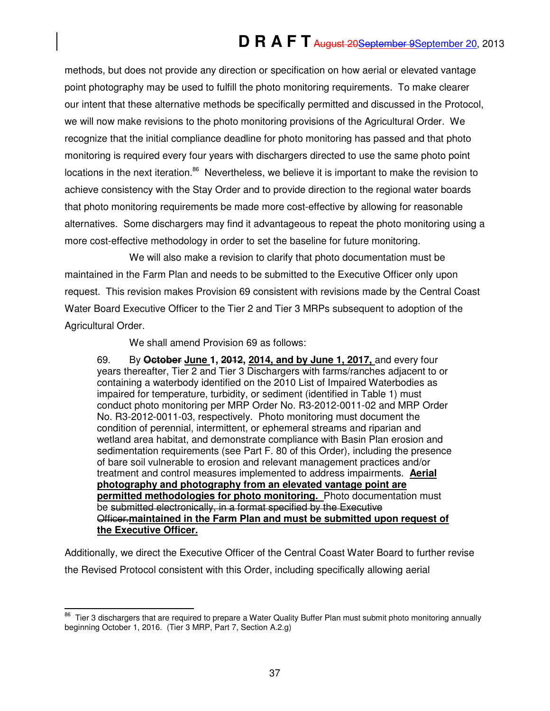methods, but does not provide any direction or specification on how aerial or elevated vantage point photography may be used to fulfill the photo monitoring requirements. To make clearer our intent that these alternative methods be specifically permitted and discussed in the Protocol, we will now make revisions to the photo monitoring provisions of the Agricultural Order. We recognize that the initial compliance deadline for photo monitoring has passed and that photo monitoring is required every four years with dischargers directed to use the same photo point locations in the next iteration.<sup>86</sup> Nevertheless, we believe it is important to make the revision to achieve consistency with the Stay Order and to provide direction to the regional water boards that photo monitoring requirements be made more cost-effective by allowing for reasonable alternatives. Some dischargers may find it advantageous to repeat the photo monitoring using a more cost-effective methodology in order to set the baseline for future monitoring.

We will also make a revision to clarify that photo documentation must be maintained in the Farm Plan and needs to be submitted to the Executive Officer only upon request. This revision makes Provision 69 consistent with revisions made by the Central Coast Water Board Executive Officer to the Tier 2 and Tier 3 MRPs subsequent to adoption of the Agricultural Order.

We shall amend Provision 69 as follows:

69. By **October June 1, 2012, 2014, and by June 1, 2017,** and every four years thereafter, Tier 2 and Tier 3 Dischargers with farms/ranches adjacent to or containing a waterbody identified on the 2010 List of Impaired Waterbodies as impaired for temperature, turbidity, or sediment (identified in Table 1) must conduct photo monitoring per MRP Order No. R3-2012-0011-02 and MRP Order No. R3-2012-0011-03, respectively. Photo monitoring must document the condition of perennial, intermittent, or ephemeral streams and riparian and wetland area habitat, and demonstrate compliance with Basin Plan erosion and sedimentation requirements (see Part F. 80 of this Order), including the presence of bare soil vulnerable to erosion and relevant management practices and/or treatment and control measures implemented to address impairments. **Aerial photography and photography from an elevated vantage point are permitted methodologies for photo monitoring.** Photo documentation must be submitted electronically, in a format specified by the Executive Officer.**maintained in the Farm Plan and must be submitted upon request of the Executive Officer.** 

Additionally, we direct the Executive Officer of the Central Coast Water Board to further revise the Revised Protocol consistent with this Order, including specifically allowing aerial

 $\overline{a}$  $86$  Tier 3 dischargers that are required to prepare a Water Quality Buffer Plan must submit photo monitoring annually beginning October 1, 2016. (Tier 3 MRP, Part 7, Section A.2.g)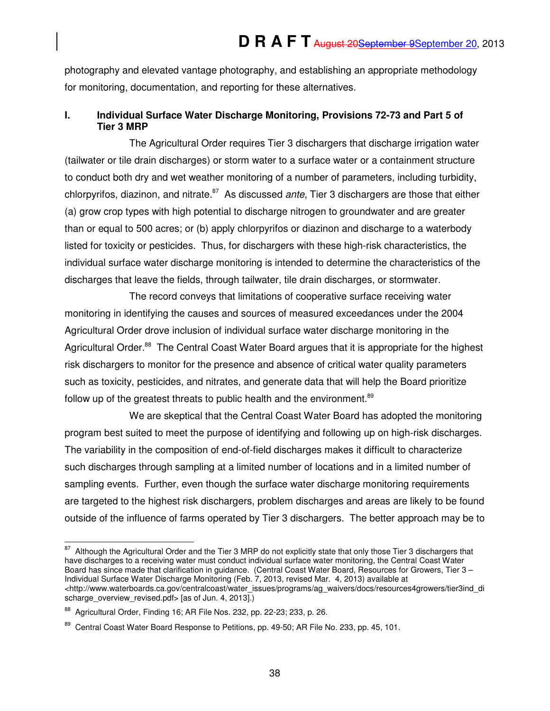photography and elevated vantage photography, and establishing an appropriate methodology for monitoring, documentation, and reporting for these alternatives.

## **I. Individual Surface Water Discharge Monitoring, Provisions 72-73 and Part 5 of Tier 3 MRP**

The Agricultural Order requires Tier 3 dischargers that discharge irrigation water (tailwater or tile drain discharges) or storm water to a surface water or a containment structure to conduct both dry and wet weather monitoring of a number of parameters, including turbidity, chlorpyrifos, diazinon, and nitrate. $87$  As discussed *ante*, Tier 3 dischargers are those that either (a) grow crop types with high potential to discharge nitrogen to groundwater and are greater than or equal to 500 acres; or (b) apply chlorpyrifos or diazinon and discharge to a waterbody listed for toxicity or pesticides. Thus, for dischargers with these high-risk characteristics, the individual surface water discharge monitoring is intended to determine the characteristics of the discharges that leave the fields, through tailwater, tile drain discharges, or stormwater.

The record conveys that limitations of cooperative surface receiving water monitoring in identifying the causes and sources of measured exceedances under the 2004 Agricultural Order drove inclusion of individual surface water discharge monitoring in the Agricultural Order.<sup>88</sup> The Central Coast Water Board argues that it is appropriate for the highest risk dischargers to monitor for the presence and absence of critical water quality parameters such as toxicity, pesticides, and nitrates, and generate data that will help the Board prioritize follow up of the greatest threats to public health and the environment.<sup>89</sup>

We are skeptical that the Central Coast Water Board has adopted the monitoring program best suited to meet the purpose of identifying and following up on high-risk discharges. The variability in the composition of end-of-field discharges makes it difficult to characterize such discharges through sampling at a limited number of locations and in a limited number of sampling events. Further, even though the surface water discharge monitoring requirements are targeted to the highest risk dischargers, problem discharges and areas are likely to be found outside of the influence of farms operated by Tier 3 dischargers. The better approach may be to

j  $87$  Although the Agricultural Order and the Tier 3 MRP do not explicitly state that only those Tier 3 dischargers that have discharges to a receiving water must conduct individual surface water monitoring, the Central Coast Water Board has since made that clarification in guidance. (Central Coast Water Board, Resources for Growers, Tier 3 – Individual Surface Water Discharge Monitoring (Feb. 7, 2013, revised Mar. 4, 2013) available at <http://www.waterboards.ca.gov/centralcoast/water\_issues/programs/ag\_waivers/docs/resources4growers/tier3ind\_di scharge\_overview\_revised.pdf> [as of Jun. 4, 2013].)

<sup>88</sup> Agricultural Order, Finding 16; AR File Nos. 232, pp. 22-23; 233, p. 26.

<sup>&</sup>lt;sup>89</sup> Central Coast Water Board Response to Petitions, pp. 49-50; AR File No. 233, pp. 45, 101.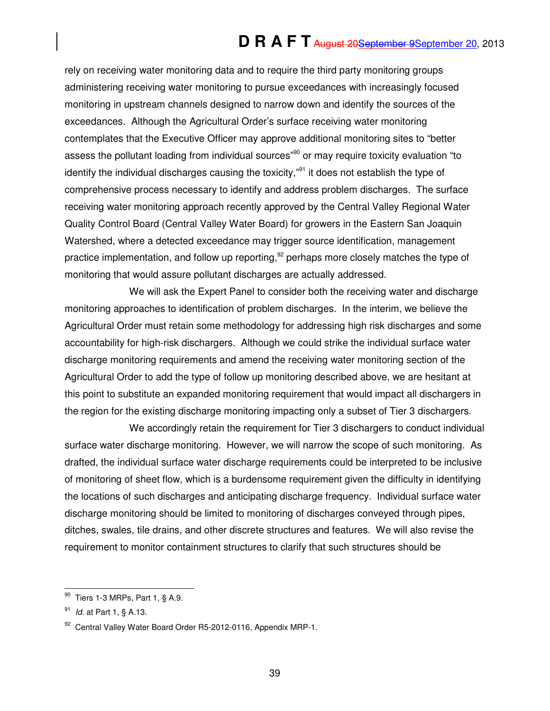rely on receiving water monitoring data and to require the third party monitoring groups administering receiving water monitoring to pursue exceedances with increasingly focused monitoring in upstream channels designed to narrow down and identify the sources of the exceedances. Although the Agricultural Order's surface receiving water monitoring contemplates that the Executive Officer may approve additional monitoring sites to "better assess the pollutant loading from individual sources<sup>"90</sup> or may require toxicity evaluation "to identify the individual discharges causing the toxicity, $"$ <sup>91</sup> it does not establish the type of comprehensive process necessary to identify and address problem discharges. The surface receiving water monitoring approach recently approved by the Central Valley Regional Water Quality Control Board (Central Valley Water Board) for growers in the Eastern San Joaquin Watershed, where a detected exceedance may trigger source identification, management practice implementation, and follow up reporting,  $92$  perhaps more closely matches the type of monitoring that would assure pollutant discharges are actually addressed.

We will ask the Expert Panel to consider both the receiving water and discharge monitoring approaches to identification of problem discharges. In the interim, we believe the Agricultural Order must retain some methodology for addressing high risk discharges and some accountability for high-risk dischargers. Although we could strike the individual surface water discharge monitoring requirements and amend the receiving water monitoring section of the Agricultural Order to add the type of follow up monitoring described above, we are hesitant at this point to substitute an expanded monitoring requirement that would impact all dischargers in the region for the existing discharge monitoring impacting only a subset of Tier 3 dischargers.

We accordingly retain the requirement for Tier 3 dischargers to conduct individual surface water discharge monitoring. However, we will narrow the scope of such monitoring. As drafted, the individual surface water discharge requirements could be interpreted to be inclusive of monitoring of sheet flow, which is a burdensome requirement given the difficulty in identifying the locations of such discharges and anticipating discharge frequency. Individual surface water discharge monitoring should be limited to monitoring of discharges conveyed through pipes, ditches, swales, tile drains, and other discrete structures and features. We will also revise the requirement to monitor containment structures to clarify that such structures should be

 $\overline{a}$  $90$  Tiers 1-3 MRPs, Part 1, § A.9.

<sup>&</sup>lt;sup>91</sup> *Id.* at Part 1, § A.13.

<sup>92</sup> Central Valley Water Board Order R5-2012-0116, Appendix MRP-1.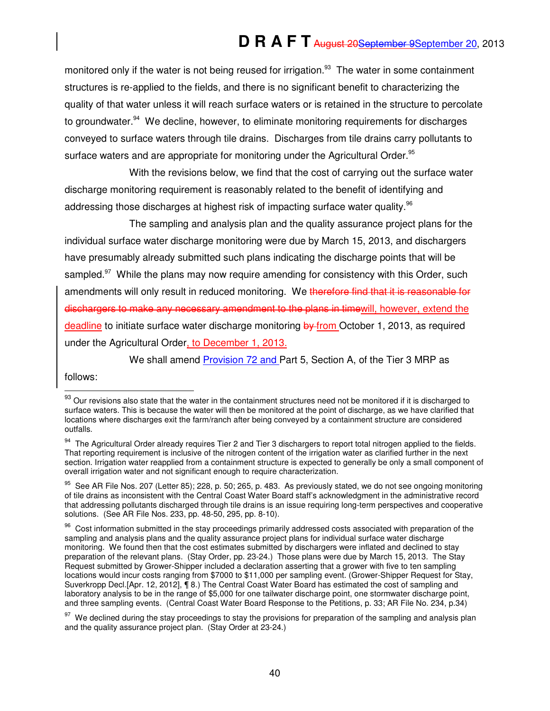monitored only if the water is not being reused for irrigation.<sup>93</sup> The water in some containment structures is re-applied to the fields, and there is no significant benefit to characterizing the quality of that water unless it will reach surface waters or is retained in the structure to percolate to groundwater.<sup>94</sup> We decline, however, to eliminate monitoring requirements for discharges conveyed to surface waters through tile drains. Discharges from tile drains carry pollutants to surface waters and are appropriate for monitoring under the Agricultural Order.<sup>95</sup>

With the revisions below, we find that the cost of carrying out the surface water discharge monitoring requirement is reasonably related to the benefit of identifying and addressing those discharges at highest risk of impacting surface water quality.<sup>96</sup>

The sampling and analysis plan and the quality assurance project plans for the individual surface water discharge monitoring were due by March 15, 2013, and dischargers have presumably already submitted such plans indicating the discharge points that will be sampled.<sup>97</sup> While the plans may now require amending for consistency with this Order, such amendments will only result in reduced monitoring. We therefore find that it is reasonable for dischargers to make any necessary amendment to the plans in timewill, however, extend the deadline to initiate surface water discharge monitoring by from October 1, 2013, as required under the Agricultural Order, to December 1, 2013.

We shall amend **Provision 72 and Part 5, Section A, of the Tier 3 MRP as** 

follows:

j

 $93$  Our revisions also state that the water in the containment structures need not be monitored if it is discharged to surface waters. This is because the water will then be monitored at the point of discharge, as we have clarified that locations where discharges exit the farm/ranch after being conveyed by a containment structure are considered outfalls.

<sup>&</sup>lt;sup>94</sup> The Agricultural Order already requires Tier 2 and Tier 3 dischargers to report total nitrogen applied to the fields. That reporting requirement is inclusive of the nitrogen content of the irrigation water as clarified further in the next section. Irrigation water reapplied from a containment structure is expected to generally be only a small component of overall irrigation water and not significant enough to require characterization.

 $95$  See AR File Nos. 207 (Letter 85); 228, p. 50; 265, p. 483. As previously stated, we do not see ongoing monitoring of tile drains as inconsistent with the Central Coast Water Board staff's acknowledgment in the administrative record that addressing pollutants discharged through tile drains is an issue requiring long-term perspectives and cooperative solutions. (See AR File Nos. 233, pp. 48-50, 295, pp. 8-10).

<sup>&</sup>lt;sup>96</sup> Cost information submitted in the stay proceedings primarily addressed costs associated with preparation of the sampling and analysis plans and the quality assurance project plans for individual surface water discharge monitoring. We found then that the cost estimates submitted by dischargers were inflated and declined to stay preparation of the relevant plans. (Stay Order, pp. 23-24.) Those plans were due by March 15, 2013. The Stay Request submitted by Grower-Shipper included a declaration asserting that a grower with five to ten sampling locations would incur costs ranging from \$7000 to \$11,000 per sampling event. (Grower-Shipper Request for Stay, Suverkropp Decl.[Apr. 12, 2012], ¶ 8.) The Central Coast Water Board has estimated the cost of sampling and laboratory analysis to be in the range of \$5,000 for one tailwater discharge point, one stormwater discharge point, and three sampling events. (Central Coast Water Board Response to the Petitions, p. 33; AR File No. 234, p.34)

 $97$  We declined during the stay proceedings to stay the provisions for preparation of the sampling and analysis plan and the quality assurance project plan. (Stay Order at 23-24.)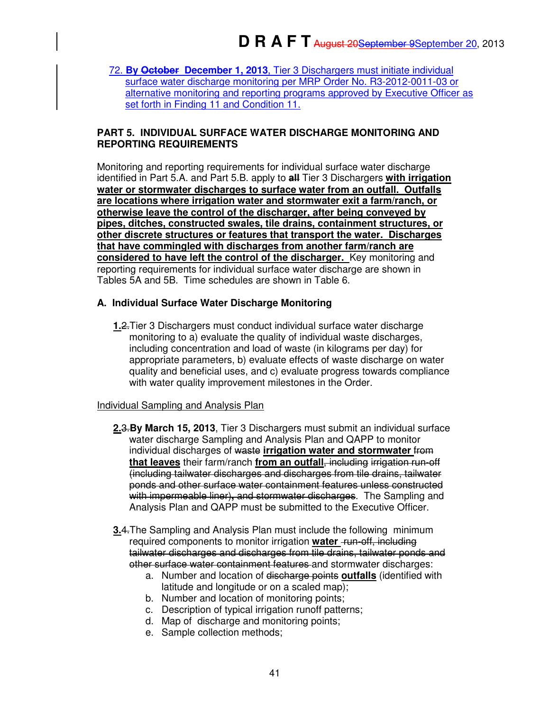72. **By October December 1, 2013**, Tier 3 Dischargers must initiate individual surface water discharge monitoring per MRP Order No. R3-2012-0011-03 or alternative monitoring and reporting programs approved by Executive Officer as set forth in Finding 11 and Condition 11.

#### **PART 5. INDIVIDUAL SURFACE WATER DISCHARGE MONITORING AND REPORTING REQUIREMENTS**

Monitoring and reporting requirements for individual surface water discharge identified in Part 5.A. and Part 5.B. apply to **all** Tier 3 Dischargers **with irrigation water or stormwater discharges to surface water from an outfall. Outfalls are locations where irrigation water and stormwater exit a farm/ranch, or otherwise leave the control of the discharger, after being conveyed by pipes, ditches, constructed swales, tile drains, containment structures, or other discrete structures or features that transport the water. Discharges that have commingled with discharges from another farm/ranch are considered to have left the control of the discharger.** Key monitoring and reporting requirements for individual surface water discharge are shown in Tables 5A and 5B. Time schedules are shown in Table 6.

## **A. Individual Surface Water Discharge Monitoring**

**1.**2.Tier 3 Dischargers must conduct individual surface water discharge monitoring to a) evaluate the quality of individual waste discharges, including concentration and load of waste (in kilograms per day) for appropriate parameters, b) evaluate effects of waste discharge on water quality and beneficial uses, and c) evaluate progress towards compliance with water quality improvement milestones in the Order.

## Individual Sampling and Analysis Plan

- **2.**3.**By March 15, 2013**, Tier 3 Dischargers must submit an individual surface water discharge Sampling and Analysis Plan and QAPP to monitor individual discharges of waste **irrigation water and stormwater** from **that leaves** their farm/ranch **from an outfall**, including irrigation run-off (including tailwater discharges and discharges from tile drains, tailwater ponds and other surface water containment features unless constructed with impermeable liner), and stormwater discharges. The Sampling and Analysis Plan and QAPP must be submitted to the Executive Officer.
- **3.**4.The Sampling and Analysis Plan must include the following minimum required components to monitor irrigation **water** run-off, including tailwater discharges and discharges from tile drains, tailwater ponds and other surface water containment features and stormwater discharges:
	- a. Number and location of discharge points **outfalls** (identified with latitude and longitude or on a scaled map);
	- b. Number and location of monitoring points;
	- c. Description of typical irrigation runoff patterns;
	- d. Map of discharge and monitoring points;
	- e. Sample collection methods;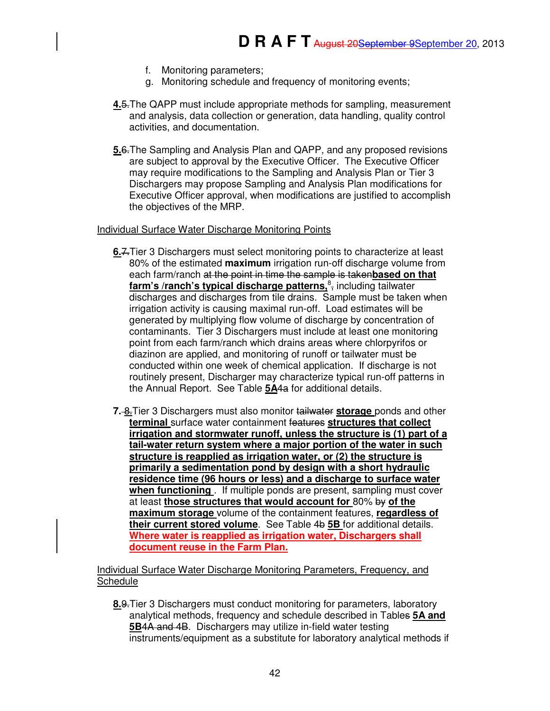- f. Monitoring parameters;
- g. Monitoring schedule and frequency of monitoring events;
- **4.**5.The QAPP must include appropriate methods for sampling, measurement and analysis, data collection or generation, data handling, quality control activities, and documentation.
- **5.**6.The Sampling and Analysis Plan and QAPP, and any proposed revisions are subject to approval by the Executive Officer. The Executive Officer may require modifications to the Sampling and Analysis Plan or Tier 3 Dischargers may propose Sampling and Analysis Plan modifications for Executive Officer approval, when modifications are justified to accomplish the objectives of the MRP.

#### Individual Surface Water Discharge Monitoring Points

- **6.**7.Tier 3 Dischargers must select monitoring points to characterize at least 80% of the estimated **maximum** irrigation run-off discharge volume from each farm/ranch at the point in time the sample is taken**based on that**  farm's /ranch's typical discharge patterns,<sup>8</sup>, including tailwater discharges and discharges from tile drains. Sample must be taken when irrigation activity is causing maximal run-off. Load estimates will be generated by multiplying flow volume of discharge by concentration of contaminants. Tier 3 Dischargers must include at least one monitoring point from each farm/ranch which drains areas where chlorpyrifos or diazinon are applied, and monitoring of runoff or tailwater must be conducted within one week of chemical application. If discharge is not routinely present, Discharger may characterize typical run-off patterns in the Annual Report. See Table **5A**4a for additional details.
- **7.** 8.Tier 3 Dischargers must also monitor tailwater **storage** ponds and other **terminal** surface water containment features **structures that collect irrigation and stormwater runoff, unless the structure is (1) part of a tail-water return system where a major portion of the water in such structure is reapplied as irrigation water, or (2) the structure is primarily a sedimentation pond by design with a short hydraulic residence time (96 hours or less) and a discharge to surface water when functioning** . If multiple ponds are present, sampling must cover at least **those structures that would account for** 80% by **of the maximum storage** volume of the containment features, **regardless of their current stored volume**. See Table 4b **5B** for additional details. **Where water is reapplied as irrigation water, Dischargers shall document reuse in the Farm Plan.**

Individual Surface Water Discharge Monitoring Parameters, Frequency, and **Schedule** 

**8.**9.Tier 3 Dischargers must conduct monitoring for parameters, laboratory analytical methods, frequency and schedule described in Tables **5A and 5B**4A and 4B. Dischargers may utilize in-field water testing instruments/equipment as a substitute for laboratory analytical methods if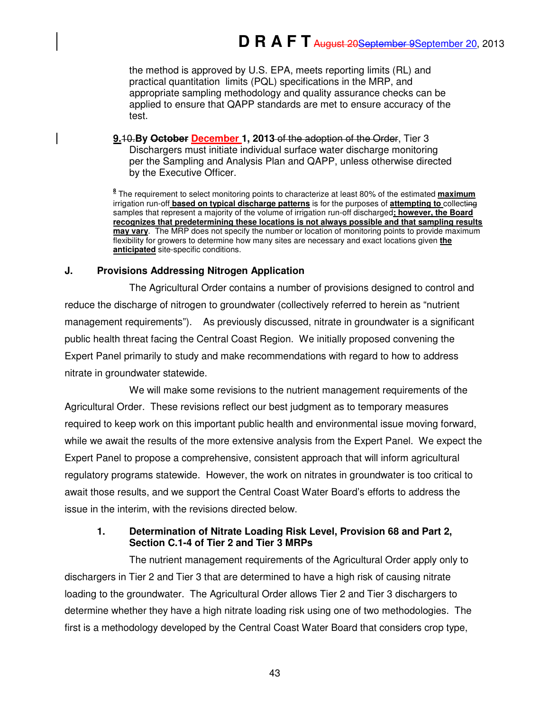the method is approved by U.S. EPA, meets reporting limits (RL) and practical quantitation limits (PQL) specifications in the MRP, and appropriate sampling methodology and quality assurance checks can be applied to ensure that QAPP standards are met to ensure accuracy of the test.

**9.**10.**By October December 1, 2013** of the adoption of the Order, Tier 3 Dischargers must initiate individual surface water discharge monitoring per the Sampling and Analysis Plan and QAPP, unless otherwise directed by the Executive Officer.

**8** The requirement to select monitoring points to characterize at least 80% of the estimated **maximum** irrigation run-off **based on typical discharge patterns** is for the purposes of **attempting to** collecting samples that represent a majority of the volume of irrigation run-off discharged**; however, the Board recognizes that predetermining these locations is not always possible and that sampling results may vary**. The MRP does not specify the number or location of monitoring points to provide maximum flexibility for growers to determine how many sites are necessary and exact locations given **the anticipated** site-specific conditions.

## **J. Provisions Addressing Nitrogen Application**

The Agricultural Order contains a number of provisions designed to control and reduce the discharge of nitrogen to groundwater (collectively referred to herein as "nutrient management requirements"). As previously discussed, nitrate in groundwater is a significant public health threat facing the Central Coast Region. We initially proposed convening the Expert Panel primarily to study and make recommendations with regard to how to address nitrate in groundwater statewide.

We will make some revisions to the nutrient management requirements of the Agricultural Order. These revisions reflect our best judgment as to temporary measures required to keep work on this important public health and environmental issue moving forward, while we await the results of the more extensive analysis from the Expert Panel. We expect the Expert Panel to propose a comprehensive, consistent approach that will inform agricultural regulatory programs statewide. However, the work on nitrates in groundwater is too critical to await those results, and we support the Central Coast Water Board's efforts to address the issue in the interim, with the revisions directed below.

## **1. Determination of Nitrate Loading Risk Level, Provision 68 and Part 2, Section C.1-4 of Tier 2 and Tier 3 MRPs**

The nutrient management requirements of the Agricultural Order apply only to dischargers in Tier 2 and Tier 3 that are determined to have a high risk of causing nitrate loading to the groundwater. The Agricultural Order allows Tier 2 and Tier 3 dischargers to determine whether they have a high nitrate loading risk using one of two methodologies. The first is a methodology developed by the Central Coast Water Board that considers crop type,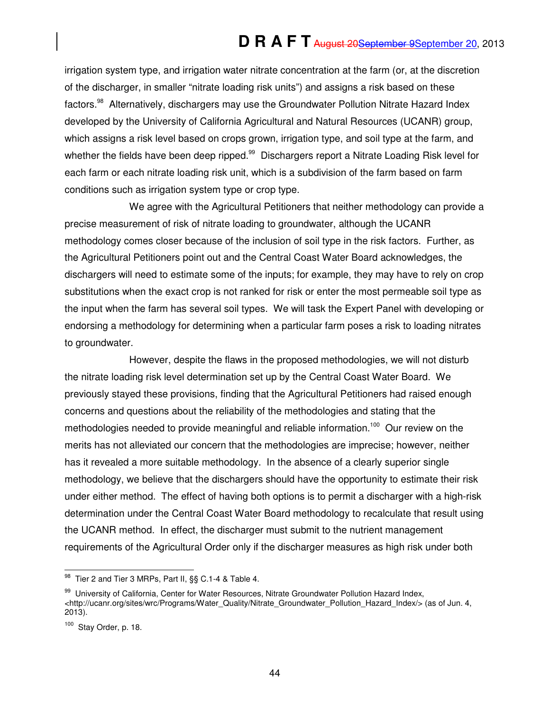irrigation system type, and irrigation water nitrate concentration at the farm (or, at the discretion of the discharger, in smaller "nitrate loading risk units") and assigns a risk based on these factors.<sup>98</sup> Alternatively, dischargers may use the Groundwater Pollution Nitrate Hazard Index developed by the University of California Agricultural and Natural Resources (UCANR) group, which assigns a risk level based on crops grown, irrigation type, and soil type at the farm, and whether the fields have been deep ripped.<sup>99</sup> Dischargers report a Nitrate Loading Risk level for each farm or each nitrate loading risk unit, which is a subdivision of the farm based on farm conditions such as irrigation system type or crop type.

We agree with the Agricultural Petitioners that neither methodology can provide a precise measurement of risk of nitrate loading to groundwater, although the UCANR methodology comes closer because of the inclusion of soil type in the risk factors. Further, as the Agricultural Petitioners point out and the Central Coast Water Board acknowledges, the dischargers will need to estimate some of the inputs; for example, they may have to rely on crop substitutions when the exact crop is not ranked for risk or enter the most permeable soil type as the input when the farm has several soil types. We will task the Expert Panel with developing or endorsing a methodology for determining when a particular farm poses a risk to loading nitrates to groundwater.

However, despite the flaws in the proposed methodologies, we will not disturb the nitrate loading risk level determination set up by the Central Coast Water Board. We previously stayed these provisions, finding that the Agricultural Petitioners had raised enough concerns and questions about the reliability of the methodologies and stating that the methodologies needed to provide meaningful and reliable information.<sup>100</sup> Our review on the merits has not alleviated our concern that the methodologies are imprecise; however, neither has it revealed a more suitable methodology. In the absence of a clearly superior single methodology, we believe that the dischargers should have the opportunity to estimate their risk under either method. The effect of having both options is to permit a discharger with a high-risk determination under the Central Coast Water Board methodology to recalculate that result using the UCANR method. In effect, the discharger must submit to the nutrient management requirements of the Agricultural Order only if the discharger measures as high risk under both

j  $98$  Tier 2 and Tier 3 MRPs, Part II,  $\S\S$  C.1-4 & Table 4.

<sup>99</sup> University of California, Center for Water Resources, Nitrate Groundwater Pollution Hazard Index, <http://ucanr.org/sites/wrc/Programs/Water\_Quality/Nitrate\_Groundwater\_Pollution\_Hazard\_Index/> (as of Jun. 4, 2013).

<sup>100</sup> Stay Order, p. 18.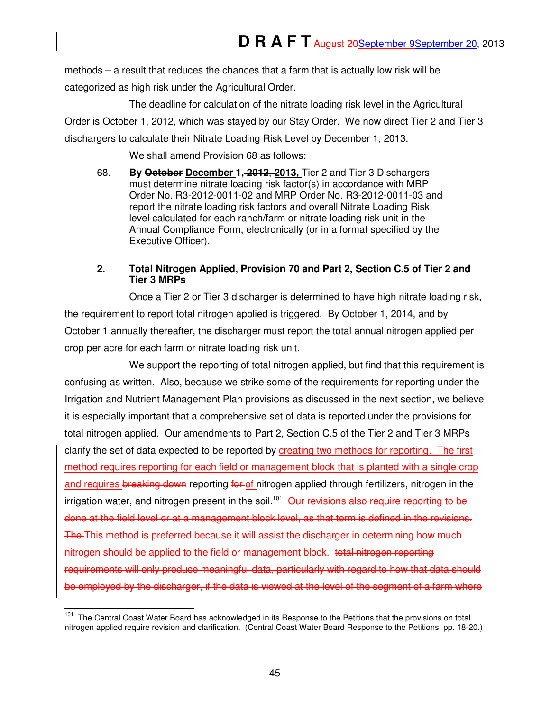methods – a result that reduces the chances that a farm that is actually low risk will be categorized as high risk under the Agricultural Order.

The deadline for calculation of the nitrate loading risk level in the Agricultural Order is October 1, 2012, which was stayed by our Stay Order. We now direct Tier 2 and Tier 3 dischargers to calculate their Nitrate Loading Risk Level by December 1, 2013.

We shall amend Provision 68 as follows:

68. **By October December 1, 2012**, **2013,** Tier 2 and Tier 3 Dischargers must determine nitrate loading risk factor(s) in accordance with MRP Order No. R3-2012-0011-02 and MRP Order No. R3-2012-0011-03 and report the nitrate loading risk factors and overall Nitrate Loading Risk level calculated for each ranch/farm or nitrate loading risk unit in the Annual Compliance Form, electronically (or in a format specified by the Executive Officer).

## **2. Total Nitrogen Applied, Provision 70 and Part 2, Section C.5 of Tier 2 and Tier 3 MRPs**

Once a Tier 2 or Tier 3 discharger is determined to have high nitrate loading risk, the requirement to report total nitrogen applied is triggered. By October 1, 2014, and by October 1 annually thereafter, the discharger must report the total annual nitrogen applied per crop per acre for each farm or nitrate loading risk unit.

We support the reporting of total nitrogen applied, but find that this requirement is confusing as written. Also, because we strike some of the requirements for reporting under the Irrigation and Nutrient Management Plan provisions as discussed in the next section, we believe it is especially important that a comprehensive set of data is reported under the provisions for total nitrogen applied. Our amendments to Part 2, Section C.5 of the Tier 2 and Tier 3 MRPs clarify the set of data expected to be reported by creating two methods for reporting. The first method requires reporting for each field or management block that is planted with a single crop and requires breaking down reporting for of nitrogen applied through fertilizers, nitrogen in the irrigation water, and nitrogen present in the soil.<sup>101</sup> Our revisions also require reporting to be done at the field level or at a management block level, as that term is defined in the revisions. The This method is preferred because it will assist the discharger in determining how much nitrogen should be applied to the field or management block. total nitrogen reporting requirements will only produce meaningful data, particularly with regard to how that data should be employed by the discharger, if the data is viewed at the level of the segment of a farm where

 $\overline{\phantom{a}}$ <sup>101</sup> The Central Coast Water Board has acknowledged in its Response to the Petitions that the provisions on total nitrogen applied require revision and clarification. (Central Coast Water Board Response to the Petitions, pp. 18-20.)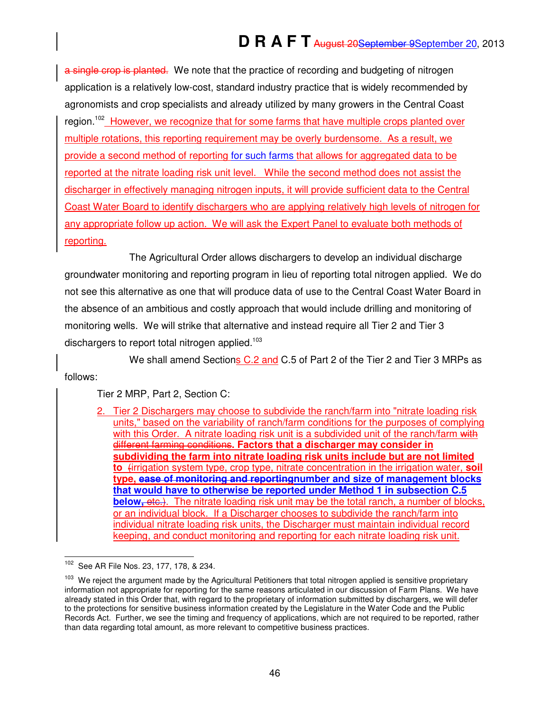a single crop is planted. We note that the practice of recording and budgeting of nitrogen application is a relatively low-cost, standard industry practice that is widely recommended by agronomists and crop specialists and already utilized by many growers in the Central Coast region.<sup>102</sup> However, we recognize that for some farms that have multiple crops planted over multiple rotations, this reporting requirement may be overly burdensome. As a result, we provide a second method of reporting for such farms that allows for aggregated data to be reported at the nitrate loading risk unit level. While the second method does not assist the discharger in effectively managing nitrogen inputs, it will provide sufficient data to the Central Coast Water Board to identify dischargers who are applying relatively high levels of nitrogen for any appropriate follow up action. We will ask the Expert Panel to evaluate both methods of reporting.

The Agricultural Order allows dischargers to develop an individual discharge groundwater monitoring and reporting program in lieu of reporting total nitrogen applied. We do not see this alternative as one that will produce data of use to the Central Coast Water Board in the absence of an ambitious and costly approach that would include drilling and monitoring of monitoring wells. We will strike that alternative and instead require all Tier 2 and Tier 3 dischargers to report total nitrogen applied. $103$ 

We shall amend Sections C.2 and C.5 of Part 2 of the Tier 2 and Tier 3 MRPs as follows:

Tier 2 MRP, Part 2, Section C:

2. Tier 2 Dischargers may choose to subdivide the ranch/farm into "nitrate loading risk units," based on the variability of ranch/farm conditions for the purposes of complying with this Order. A nitrate loading risk unit is a subdivided unit of the ranch/farm with different farming conditions**. Factors that a discharger may consider in subdividing the farm into nitrate loading risk units include but are not limited to** (irrigation system type, crop type, nitrate concentration in the irrigation water, **soil type, ease of monitoring and reportingnumber and size of management blocks that would have to otherwise be reported under Method 1 in subsection C.5 below,** etc.). The nitrate loading risk unit may be the total ranch, a number of blocks, or an individual block. If a Discharger chooses to subdivide the ranch/farm into individual nitrate loading risk units, the Discharger must maintain individual record keeping, and conduct monitoring and reporting for each nitrate loading risk unit.

<sup>102</sup> See AR File Nos. 23, 177, 178, & 234.

We reject the argument made by the Agricultural Petitioners that total nitrogen applied is sensitive proprietary information not appropriate for reporting for the same reasons articulated in our discussion of Farm Plans. We have already stated in this Order that, with regard to the proprietary of information submitted by dischargers, we will defer to the protections for sensitive business information created by the Legislature in the Water Code and the Public Records Act. Further, we see the timing and frequency of applications, which are not required to be reported, rather than data regarding total amount, as more relevant to competitive business practices.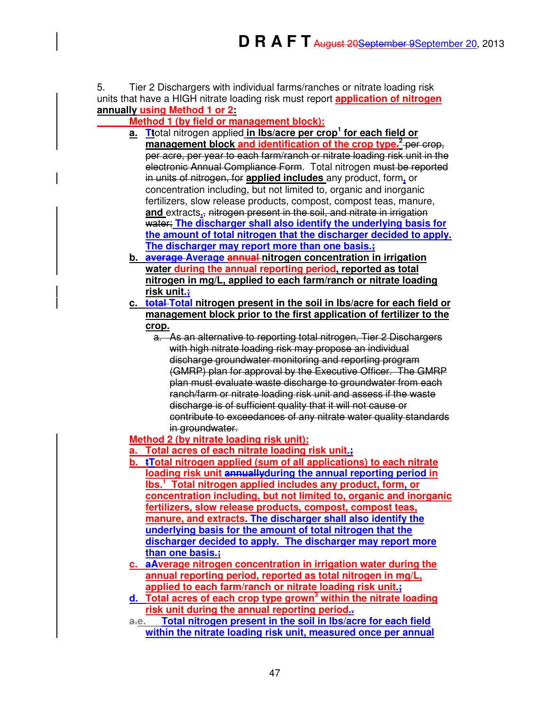5. Tier 2 Dischargers with individual farms/ranches or nitrate loading risk units that have a HIGH nitrate loading risk must report **application of nitrogen annually using Method 1 or 2:** 

## **Method 1 (by field or management block):**

- **a. Tt**otal nitrogen applied **in lbs/acre per crop<sup>1</sup> for each field or**  management block and identification of the crop type.<sup>2</sup> per crop, per acre, per year to each farm/ranch or nitrate loading risk unit in the electronic Annual Compliance Form. Total nitrogen must be reported in units of nitrogen, for **applied includes** any product, form**,** or concentration including, but not limited to, organic and inorganic fertilizers, slow release products, compost, compost teas, manure, **and** extracts**.**, nitrogen present in the soil, and nitrate in irrigation water; **The discharger shall also identify the underlying basis for the amount of total nitrogen that the discharger decided to apply. The discharger may report more than one basis.;**
- **b. average Average annual nitrogen concentration in irrigation water during the annual reporting period, reported as total nitrogen in mg/L, applied to each farm/ranch or nitrate loading risk unit.;**
- **c. total Total nitrogen present in the soil in lbs/acre for each field or management block prior to the first application of fertilizer to the crop.** 
	- a. As an alternative to reporting total nitrogen, Tier 2 Dischargers with high nitrate loading risk may propose an individual discharge groundwater monitoring and reporting program (GMRP) plan for approval by the Executive Officer. The GMRP plan must evaluate waste discharge to groundwater from each ranch/farm or nitrate loading risk unit and assess if the waste discharge is of sufficient quality that it will not cause or contribute to exceedances of any nitrate water quality standards in groundwater.

**Method 2 (by nitrate loading risk unit):** 

- **a. Total acres of each nitrate loading risk unit.;**
- **b. tTotal nitrogen applied (sum of all applications) to each nitrate**
- **loading risk unit annuallyduring the annual reporting period in lbs.<sup>1</sup> Total nitrogen applied includes any product, form, or concentration including, but not limited to, organic and inorganic fertilizers, slow release products, compost, compost teas, manure, and extracts. The discharger shall also identify the underlying basis for the amount of total nitrogen that the discharger decided to apply. The discharger may report more than one basis.;**
- **c. aAverage nitrogen concentration in irrigation water during the annual reporting period, reported as total nitrogen in mg/L, applied to each farm/ranch or nitrate loading risk unit.;**
- **d. Total acres of each crop type grown<sup>3</sup> within the nitrate loading risk unit during the annual reporting period..**
- **a.e. Total nitrogen present in the soil in lbs/acre for each field within the nitrate loading risk unit, measured once per annual**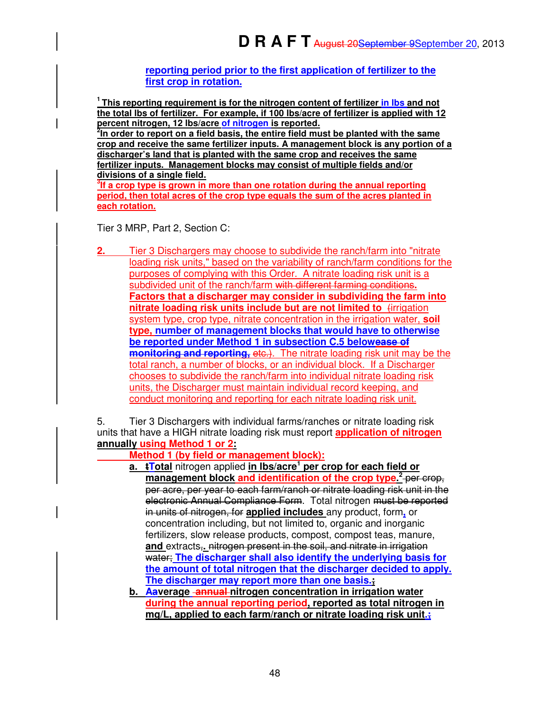**reporting period prior to the first application of fertilizer to the first crop in rotation.**

**<sup>1</sup>This reporting requirement is for the nitrogen content of fertilizer in lbs and not the total lbs of fertilizer. For example, if 100 lbs/acre of fertilizer is applied with 12 percent nitrogen, 12 lbs/acre of nitrogen is reported.** 

**2 In order to report on a field basis, the entire field must be planted with the same crop and receive the same fertilizer inputs. A management block is any portion of a discharger's land that is planted with the same crop and receives the same fertilizer inputs. Management blocks may consist of multiple fields and/or divisions of a single field.**

**3 If a crop type is grown in more than one rotation during the annual reporting period, then total acres of the crop type equals the sum of the acres planted in each rotation.** 

Tier 3 MRP, Part 2, Section C:

**2.** Tier 3 Dischargers may choose to subdivide the ranch/farm into "nitrate loading risk units," based on the variability of ranch/farm conditions for the purposes of complying with this Order. A nitrate loading risk unit is a subdivided unit of the ranch/farm with different farming conditions**. Factors that a discharger may consider in subdividing the farm into nitrate loading risk units include but are not limited to** *firrigation* system type, crop type, nitrate concentration in the irrigation water, **soil type, number of management blocks that would have to otherwise be reported under Method 1 in subsection C.5 belowease of monitoring and reporting, etc.)**. The nitrate loading risk unit may be the total ranch, a number of blocks, or an individual block. If a Discharger chooses to subdivide the ranch/farm into individual nitrate loading risk units, the Discharger must maintain individual record keeping, and conduct monitoring and reporting for each nitrate loading risk unit.

5. Tier 3 Dischargers with individual farms/ranches or nitrate loading risk units that have a HIGH nitrate loading risk must report **application of nitrogen annually using Method 1 or 2:**

 **Method 1 (by field or management block):**

**a. tTotal** nitrogen applied **in lbs/acre<sup>1</sup> per crop for each field or**  management block and identification of the crop type.<sup>2</sup> per crop, per acre, per year to each farm/ranch or nitrate loading risk unit in the electronic Annual Compliance Form. Total nitrogen must be reported in units of nitrogen, for **applied includes** any product, form**,** or concentration including, but not limited to, organic and inorganic fertilizers, slow release products, compost, compost teas, manure, **and** extracts,**.** nitrogen present in the soil, and nitrate in irrigation water; **The discharger shall also identify the underlying basis for the amount of total nitrogen that the discharger decided to apply. The discharger may report more than one basis.;**

**b. Aaverage annual nitrogen concentration in irrigation water during the annual reporting period, reported as total nitrogen in mg/L, applied to each farm/ranch or nitrate loading risk unit.;**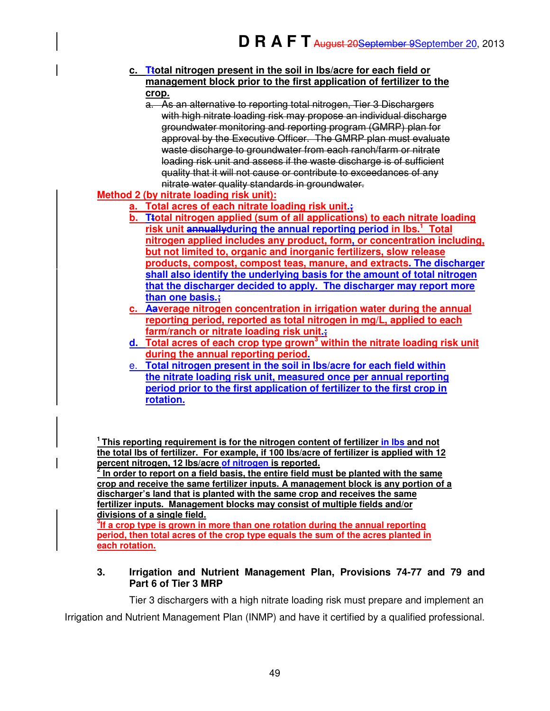- **c. Ttotal nitrogen present in the soil in lbs/acre for each field or management block prior to the first application of fertilizer to the crop.** 
	- a. As an alternative to reporting total nitrogen, Tier 3 Dischargers with high nitrate loading risk may propose an individual discharge groundwater monitoring and reporting program (GMRP) plan for approval by the Executive Officer. The GMRP plan must evaluate waste discharge to groundwater from each ranch/farm or nitrate loading risk unit and assess if the waste discharge is of sufficient quality that it will not cause or contribute to exceedances of any nitrate water quality standards in groundwater.

# **Method 2 (by nitrate loading risk unit):**

- **a. Total acres of each nitrate loading risk unit.;**
- **b. Ttotal nitrogen applied (sum of all applications) to each nitrate loading risk unit annuallyduring the annual reporting period in lbs.<sup>1</sup> Total nitrogen applied includes any product, form, or concentration including, but not limited to, organic and inorganic fertilizers, slow release products, compost, compost teas, manure, and extracts. The discharger shall also identify the underlying basis for the amount of total nitrogen that the discharger decided to apply. The discharger may report more than one basis.;**
- **c. Aaverage nitrogen concentration in irrigation water during the annual reporting period, reported as total nitrogen in mg/L, applied to each farm/ranch or nitrate loading risk unit.;**
- **d. Total acres of each crop type grown<sup>3</sup> within the nitrate loading risk unit during the annual reporting period.**
- e. **Total nitrogen present in the soil in lbs/acre for each field within the nitrate loading risk unit, measured once per annual reporting period prior to the first application of fertilizer to the first crop in rotation.**

**<sup>1</sup>This reporting requirement is for the nitrogen content of fertilizer in lbs and not the total lbs of fertilizer. For example, if 100 lbs/acre of fertilizer is applied with 12 percent nitrogen, 12 lbs/acre of nitrogen is reported.** 

**2 In order to report on a field basis, the entire field must be planted with the same crop and receive the same fertilizer inputs. A management block is any portion of a discharger's land that is planted with the same crop and receives the same fertilizer inputs. Management blocks may consist of multiple fields and/or divisions of a single field.**

**3 If a crop type is grown in more than one rotation during the annual reporting period, then total acres of the crop type equals the sum of the acres planted in each rotation.**

## **3. Irrigation and Nutrient Management Plan, Provisions 74-77 and 79 and Part 6 of Tier 3 MRP**

Tier 3 dischargers with a high nitrate loading risk must prepare and implement an Irrigation and Nutrient Management Plan (INMP) and have it certified by a qualified professional.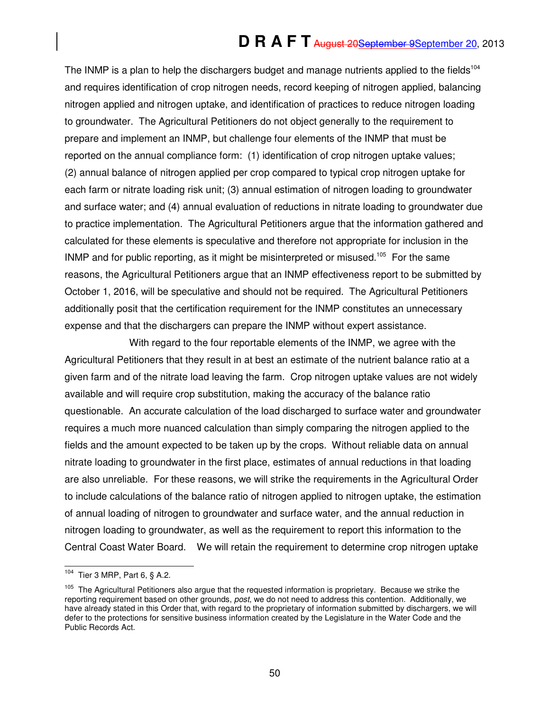# **D R A F T** August 20September 9September 20, 2013

The INMP is a plan to help the dischargers budget and manage nutrients applied to the fields<sup>104</sup> and requires identification of crop nitrogen needs, record keeping of nitrogen applied, balancing nitrogen applied and nitrogen uptake, and identification of practices to reduce nitrogen loading to groundwater. The Agricultural Petitioners do not object generally to the requirement to prepare and implement an INMP, but challenge four elements of the INMP that must be reported on the annual compliance form: (1) identification of crop nitrogen uptake values; (2) annual balance of nitrogen applied per crop compared to typical crop nitrogen uptake for each farm or nitrate loading risk unit; (3) annual estimation of nitrogen loading to groundwater and surface water; and (4) annual evaluation of reductions in nitrate loading to groundwater due to practice implementation. The Agricultural Petitioners argue that the information gathered and calculated for these elements is speculative and therefore not appropriate for inclusion in the INMP and for public reporting, as it might be misinterpreted or misused.<sup>105</sup> For the same reasons, the Agricultural Petitioners argue that an INMP effectiveness report to be submitted by October 1, 2016, will be speculative and should not be required. The Agricultural Petitioners additionally posit that the certification requirement for the INMP constitutes an unnecessary expense and that the dischargers can prepare the INMP without expert assistance.

With regard to the four reportable elements of the INMP, we agree with the Agricultural Petitioners that they result in at best an estimate of the nutrient balance ratio at a given farm and of the nitrate load leaving the farm. Crop nitrogen uptake values are not widely available and will require crop substitution, making the accuracy of the balance ratio questionable. An accurate calculation of the load discharged to surface water and groundwater requires a much more nuanced calculation than simply comparing the nitrogen applied to the fields and the amount expected to be taken up by the crops. Without reliable data on annual nitrate loading to groundwater in the first place, estimates of annual reductions in that loading are also unreliable. For these reasons, we will strike the requirements in the Agricultural Order to include calculations of the balance ratio of nitrogen applied to nitrogen uptake, the estimation of annual loading of nitrogen to groundwater and surface water, and the annual reduction in nitrogen loading to groundwater, as well as the requirement to report this information to the Central Coast Water Board. We will retain the requirement to determine crop nitrogen uptake

<sup>104</sup> Tier 3 MRP, Part  $6, § A.2$ .

<sup>&</sup>lt;sup>105</sup> The Agricultural Petitioners also argue that the requested information is proprietary. Because we strike the reporting requirement based on other grounds, post, we do not need to address this contention. Additionally, we have already stated in this Order that, with regard to the proprietary of information submitted by dischargers, we will defer to the protections for sensitive business information created by the Legislature in the Water Code and the Public Records Act.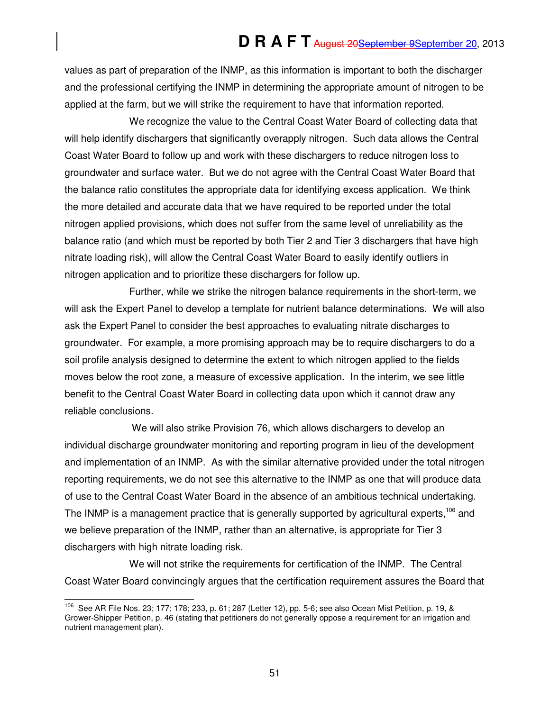values as part of preparation of the INMP, as this information is important to both the discharger and the professional certifying the INMP in determining the appropriate amount of nitrogen to be applied at the farm, but we will strike the requirement to have that information reported.

We recognize the value to the Central Coast Water Board of collecting data that will help identify dischargers that significantly overapply nitrogen. Such data allows the Central Coast Water Board to follow up and work with these dischargers to reduce nitrogen loss to groundwater and surface water. But we do not agree with the Central Coast Water Board that the balance ratio constitutes the appropriate data for identifying excess application. We think the more detailed and accurate data that we have required to be reported under the total nitrogen applied provisions, which does not suffer from the same level of unreliability as the balance ratio (and which must be reported by both Tier 2 and Tier 3 dischargers that have high nitrate loading risk), will allow the Central Coast Water Board to easily identify outliers in nitrogen application and to prioritize these dischargers for follow up.

Further, while we strike the nitrogen balance requirements in the short-term, we will ask the Expert Panel to develop a template for nutrient balance determinations. We will also ask the Expert Panel to consider the best approaches to evaluating nitrate discharges to groundwater. For example, a more promising approach may be to require dischargers to do a soil profile analysis designed to determine the extent to which nitrogen applied to the fields moves below the root zone, a measure of excessive application. In the interim, we see little benefit to the Central Coast Water Board in collecting data upon which it cannot draw any reliable conclusions.

 We will also strike Provision 76, which allows dischargers to develop an individual discharge groundwater monitoring and reporting program in lieu of the development and implementation of an INMP. As with the similar alternative provided under the total nitrogen reporting requirements, we do not see this alternative to the INMP as one that will produce data of use to the Central Coast Water Board in the absence of an ambitious technical undertaking. The INMP is a management practice that is generally supported by agricultural experts,<sup>106</sup> and we believe preparation of the INMP, rather than an alternative, is appropriate for Tier 3 dischargers with high nitrate loading risk.

We will not strike the requirements for certification of the INMP. The Central Coast Water Board convincingly argues that the certification requirement assures the Board that

j

<sup>106</sup> See AR File Nos. 23; 177; 178; 233, p. 61; 287 (Letter 12), pp. 5-6; see also Ocean Mist Petition, p. 19, & Grower-Shipper Petition, p. 46 (stating that petitioners do not generally oppose a requirement for an irrigation and nutrient management plan).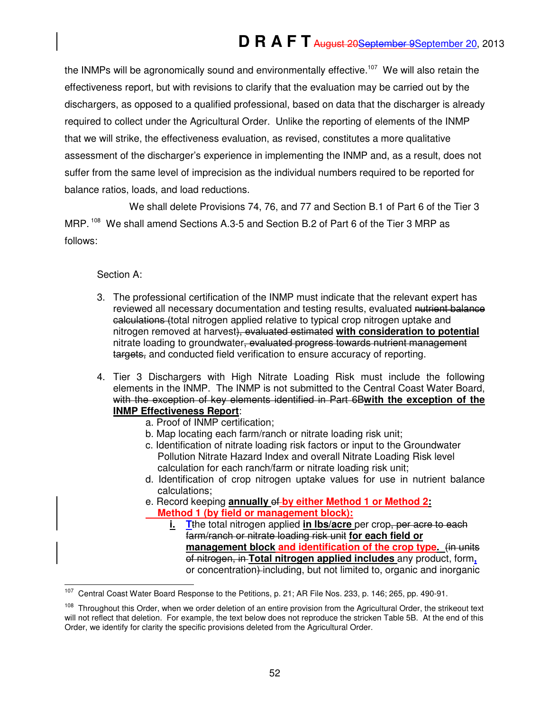the INMPs will be agronomically sound and environmentally effective.<sup>107</sup> We will also retain the effectiveness report, but with revisions to clarify that the evaluation may be carried out by the dischargers, as opposed to a qualified professional, based on data that the discharger is already required to collect under the Agricultural Order. Unlike the reporting of elements of the INMP that we will strike, the effectiveness evaluation, as revised, constitutes a more qualitative assessment of the discharger's experience in implementing the INMP and, as a result, does not suffer from the same level of imprecision as the individual numbers required to be reported for balance ratios, loads, and load reductions.

We shall delete Provisions 74, 76, and 77 and Section B.1 of Part 6 of the Tier 3 MRP.<sup>108</sup> We shall amend Sections A.3-5 and Section B.2 of Part 6 of the Tier 3 MRP as follows:

## Section A:

- 3. The professional certification of the INMP must indicate that the relevant expert has reviewed all necessary documentation and testing results, evaluated nutrient balance ealculations (total nitrogen applied relative to typical crop nitrogen uptake and nitrogen removed at harvest), evaluated estimated **with consideration to potential**  nitrate loading to groundwater, evaluated progress towards nutrient management targets, and conducted field verification to ensure accuracy of reporting.
- 4. Tier 3 Dischargers with High Nitrate Loading Risk must include the following elements in the INMP. The INMP is not submitted to the Central Coast Water Board, with the exception of key elements identified in Part 6B**with the exception of the INMP Effectiveness Report**:
	- a. Proof of INMP certification;
	- b. Map locating each farm/ranch or nitrate loading risk unit;
	- c. Identification of nitrate loading risk factors or input to the Groundwater Pollution Nitrate Hazard Index and overall Nitrate Loading Risk level calculation for each ranch/farm or nitrate loading risk unit;
	- d. Identification of crop nitrogen uptake values for use in nutrient balance calculations;
	- e. Record keeping **annually** of **by either Method 1 or Method 2: Method 1 (by field or management block):**
		- **i. T**the total nitrogen applied **in lbs/acre** per crop, per acre to each farm/ranch or nitrate loading risk unit **for each field or management block and identification of the crop type.** (in units of nitrogen, in **Total nitrogen applied includes** any product, form**,** or concentration) including, but not limited to, organic and inorganic

<sup>107</sup> <sup>107</sup> Central Coast Water Board Response to the Petitions, p. 21; AR File Nos. 233, p. 146; 265, pp. 490-91.

<sup>&</sup>lt;sup>108</sup> Throughout this Order, when we order deletion of an entire provision from the Agricultural Order, the strikeout text will not reflect that deletion. For example, the text below does not reproduce the stricken Table 5B. At the end of this Order, we identify for clarity the specific provisions deleted from the Agricultural Order.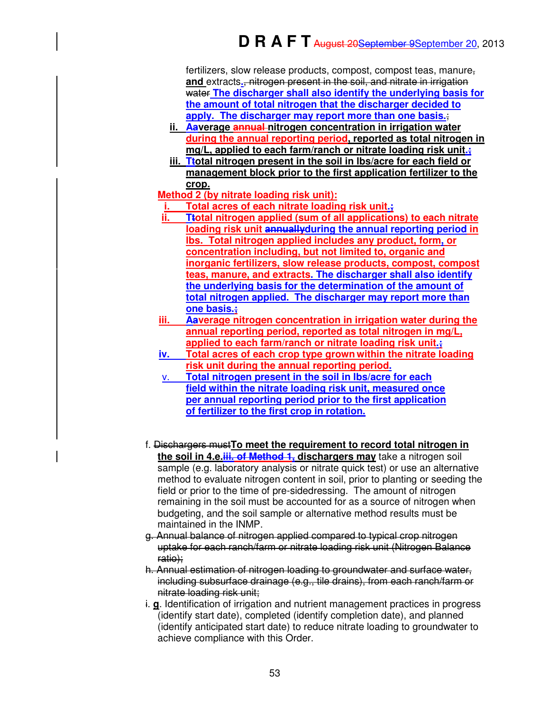fertilizers, slow release products, compost, compost teas, manure, **and** extracts**.**, nitrogen present in the soil, and nitrate in irrigation water **The discharger shall also identify the underlying basis for the amount of total nitrogen that the discharger decided to <u>apply.</u> The discharger may report more than one basis.:** 

- **ii. Aaverage annual nitrogen concentration in irrigation water during the annual reporting period, reported as total nitrogen in mg/L, applied to each farm/ranch or nitrate loading risk unit.;**
- **iii. Ttotal nitrogen present in the soil in lbs/acre for each field or management block prior to the first application fertilizer to the crop.**

## **Method 2 (by nitrate loading risk unit):**

- **i. Total acres of each nitrate loading risk unit.;**
- **ii. Ttotal nitrogen applied (sum of all applications) to each nitrate loading risk unit annuallyduring the annual reporting period in lbs. Total nitrogen applied includes any product, form, or concentration including, but not limited to, organic and inorganic fertilizers, slow release products, compost, compost teas, manure, and extracts. The discharger shall also identify the underlying basis for the determination of the amount of total nitrogen applied. The discharger may report more than one basis.;**
- **iii. Aaverage nitrogen concentration in irrigation water during the annual reporting period, reported as total nitrogen in mg/L, applied to each farm/ranch or nitrate loading risk unit.;**
- **iv. Total acres of each crop type grown within the nitrate loading risk unit during the annual reporting period.**
- v. **Total nitrogen present in the soil in lbs/acre for each field within the nitrate loading risk unit, measured once per annual reporting period prior to the first application of fertilizer to the first crop in rotation.**
- f. Dischargers must**To meet the requirement to record total nitrogen in the soil in 4.e.iii. of Method 1, dischargers may** take a nitrogen soil sample (e.g. laboratory analysis or nitrate quick test) or use an alternative method to evaluate nitrogen content in soil, prior to planting or seeding the field or prior to the time of pre-sidedressing. The amount of nitrogen remaining in the soil must be accounted for as a source of nitrogen when budgeting, and the soil sample or alternative method results must be maintained in the INMP.
- g. Annual balance of nitrogen applied compared to typical crop nitrogen uptake for each ranch/farm or nitrate loading risk unit (Nitrogen Balance ratio);
- h. Annual estimation of nitrogen loading to groundwater and surface water, including subsurface drainage (e.g., tile drains), from each ranch/farm or nitrate loading risk unit;
- i. **g**. Identification of irrigation and nutrient management practices in progress (identify start date), completed (identify completion date), and planned (identify anticipated start date) to reduce nitrate loading to groundwater to achieve compliance with this Order.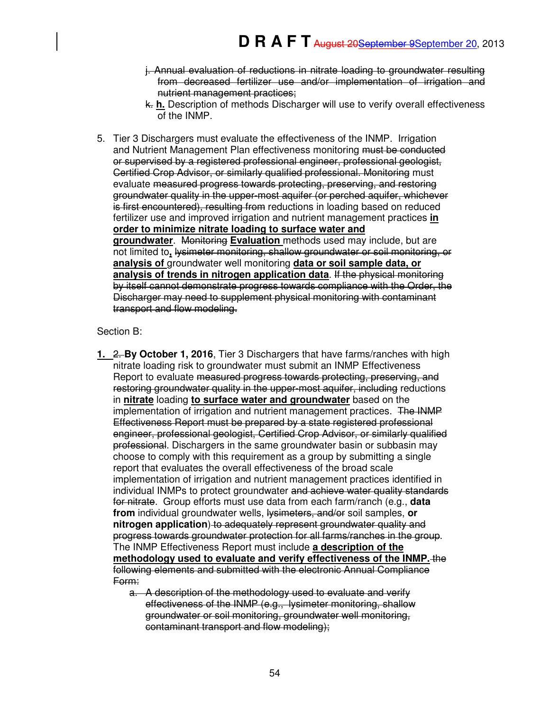- j. Annual evaluation of reductions in nitrate loading to groundwater resulting from decreased fertilizer use and/or implementation of irrigation and nutrient management practices;
- k. **h.** Description of methods Discharger will use to verify overall effectiveness of the INMP.
- 5. Tier 3 Dischargers must evaluate the effectiveness of the INMP. Irrigation and Nutrient Management Plan effectiveness monitoring must be conducted or supervised by a registered professional engineer, professional geologist, Certified Crop Advisor, or similarly qualified professional. Monitoring must evaluate measured progress towards protecting, preserving, and restoring groundwater quality in the upper-most aquifer (or perched aquifer, whichever is first encountered), resulting from reductions in loading based on reduced fertilizer use and improved irrigation and nutrient management practices **in order to minimize nitrate loading to surface water and groundwater**. Monitoring **Evaluation** methods used may include, but are not limited to**,** lysimeter monitoring, shallow groundwater or soil monitoring, or **analysis of** groundwater well monitoring **data or soil sample data, or analysis of trends in nitrogen application data**. If the physical monitoring by itself cannot demonstrate progress towards compliance with the Order, the Discharger may need to supplement physical monitoring with contaminant transport and flow modeling.

## Section B:

- **1.** 2. **By October 1, 2016**, Tier 3 Dischargers that have farms/ranches with high nitrate loading risk to groundwater must submit an INMP Effectiveness Report to evaluate measured progress towards protecting, preserving, and restoring groundwater quality in the upper-most aquifer, including reductions in **nitrate** loading **to surface water and groundwater** based on the implementation of irrigation and nutrient management practices. The INMP Effectiveness Report must be prepared by a state registered professional engineer, professional geologist, Certified Crop Advisor, or similarly qualified professional. Dischargers in the same groundwater basin or subbasin may choose to comply with this requirement as a group by submitting a single report that evaluates the overall effectiveness of the broad scale implementation of irrigation and nutrient management practices identified in individual INMPs to protect groundwater and achieve water quality standards for nitrate. Group efforts must use data from each farm/ranch (e.g., **data from** individual groundwater wells, lysimeters, and/or soil samples, **or nitrogen application**) to adequately represent groundwater quality and progress towards groundwater protection for all farms/ranches in the group. The INMP Effectiveness Report must include **a description of the**  methodology used to evaluate and verify effectiveness of the INMP. the following elements and submitted with the electronic Annual Compliance Form:
	- a. A description of the methodology used to evaluate and verify effectiveness of the INMP (e.g., lysimeter monitoring, shallow groundwater or soil monitoring, groundwater well monitoring, contaminant transport and flow modeling);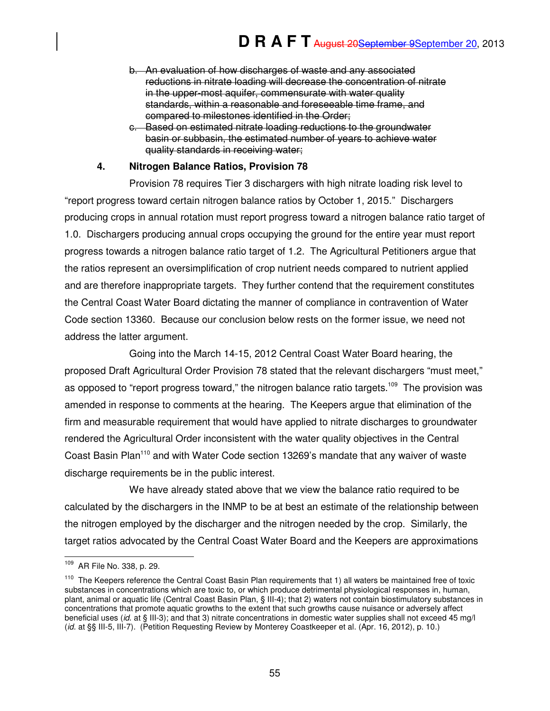- b. An evaluation of how discharges of waste and any associated reductions in nitrate loading will decrease the concentration of nitrate in the upper-most aquifer, commensurate with water quality standards, within a reasonable and foreseeable time frame, and compared to milestones identified in the Order;
- c. Based on estimated nitrate loading reductions to the groundwater basin or subbasin, the estimated number of years to achieve water quality standards in receiving water;

## **4. Nitrogen Balance Ratios, Provision 78**

Provision 78 requires Tier 3 dischargers with high nitrate loading risk level to "report progress toward certain nitrogen balance ratios by October 1, 2015." Dischargers producing crops in annual rotation must report progress toward a nitrogen balance ratio target of 1.0. Dischargers producing annual crops occupying the ground for the entire year must report progress towards a nitrogen balance ratio target of 1.2. The Agricultural Petitioners argue that the ratios represent an oversimplification of crop nutrient needs compared to nutrient applied and are therefore inappropriate targets. They further contend that the requirement constitutes the Central Coast Water Board dictating the manner of compliance in contravention of Water Code section 13360. Because our conclusion below rests on the former issue, we need not address the latter argument.

Going into the March 14-15, 2012 Central Coast Water Board hearing, the proposed Draft Agricultural Order Provision 78 stated that the relevant dischargers "must meet," as opposed to "report progress toward," the nitrogen balance ratio targets.<sup>109</sup> The provision was amended in response to comments at the hearing. The Keepers argue that elimination of the firm and measurable requirement that would have applied to nitrate discharges to groundwater rendered the Agricultural Order inconsistent with the water quality objectives in the Central Coast Basin Plan<sup>110</sup> and with Water Code section 13269's mandate that any waiver of waste discharge requirements be in the public interest.

We have already stated above that we view the balance ratio required to be calculated by the dischargers in the INMP to be at best an estimate of the relationship between the nitrogen employed by the discharger and the nitrogen needed by the crop. Similarly, the target ratios advocated by the Central Coast Water Board and the Keepers are approximations

<sup>109</sup> AR File No. 338, p. 29.

 $110$  The Keepers reference the Central Coast Basin Plan requirements that 1) all waters be maintained free of toxic substances in concentrations which are toxic to, or which produce detrimental physiological responses in, human, plant, animal or aquatic life (Central Coast Basin Plan, § III-4); that 2) waters not contain biostimulatory substances in concentrations that promote aquatic growths to the extent that such growths cause nuisance or adversely affect beneficial uses (id. at § III-3); and that 3) nitrate concentrations in domestic water supplies shall not exceed 45 mg/l (id. at §§ III-5, III-7). (Petition Requesting Review by Monterey Coastkeeper et al. (Apr. 16, 2012), p. 10.)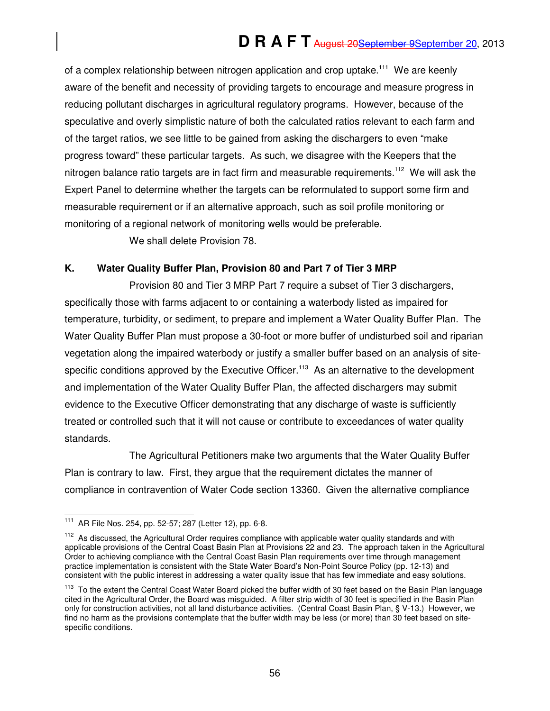of a complex relationship between nitrogen application and crop uptake.<sup>111</sup> We are keenly aware of the benefit and necessity of providing targets to encourage and measure progress in reducing pollutant discharges in agricultural regulatory programs. However, because of the speculative and overly simplistic nature of both the calculated ratios relevant to each farm and of the target ratios, we see little to be gained from asking the dischargers to even "make progress toward" these particular targets. As such, we disagree with the Keepers that the nitrogen balance ratio targets are in fact firm and measurable requirements.<sup>112</sup> We will ask the Expert Panel to determine whether the targets can be reformulated to support some firm and measurable requirement or if an alternative approach, such as soil profile monitoring or monitoring of a regional network of monitoring wells would be preferable.

We shall delete Provision 78.

#### **K. Water Quality Buffer Plan, Provision 80 and Part 7 of Tier 3 MRP**

Provision 80 and Tier 3 MRP Part 7 require a subset of Tier 3 dischargers, specifically those with farms adjacent to or containing a waterbody listed as impaired for temperature, turbidity, or sediment, to prepare and implement a Water Quality Buffer Plan. The Water Quality Buffer Plan must propose a 30-foot or more buffer of undisturbed soil and riparian vegetation along the impaired waterbody or justify a smaller buffer based on an analysis of sitespecific conditions approved by the Executive Officer.<sup>113</sup> As an alternative to the development and implementation of the Water Quality Buffer Plan, the affected dischargers may submit evidence to the Executive Officer demonstrating that any discharge of waste is sufficiently treated or controlled such that it will not cause or contribute to exceedances of water quality standards.

The Agricultural Petitioners make two arguments that the Water Quality Buffer Plan is contrary to law. First, they argue that the requirement dictates the manner of compliance in contravention of Water Code section 13360. Given the alternative compliance

 $\overline{a}$ 

<sup>111</sup> AR File Nos. 254, pp. 52-57; 287 (Letter 12), pp. 6-8.

<sup>&</sup>lt;sup>112</sup> As discussed, the Agricultural Order requires compliance with applicable water quality standards and with applicable provisions of the Central Coast Basin Plan at Provisions 22 and 23. The approach taken in the Agricultural Order to achieving compliance with the Central Coast Basin Plan requirements over time through management practice implementation is consistent with the State Water Board's Non-Point Source Policy (pp. 12-13) and consistent with the public interest in addressing a water quality issue that has few immediate and easy solutions.

<sup>&</sup>lt;sup>113</sup> To the extent the Central Coast Water Board picked the buffer width of 30 feet based on the Basin Plan language cited in the Agricultural Order, the Board was misguided. A filter strip width of 30 feet is specified in the Basin Plan only for construction activities, not all land disturbance activities. (Central Coast Basin Plan, § V-13.) However, we find no harm as the provisions contemplate that the buffer width may be less (or more) than 30 feet based on sitespecific conditions.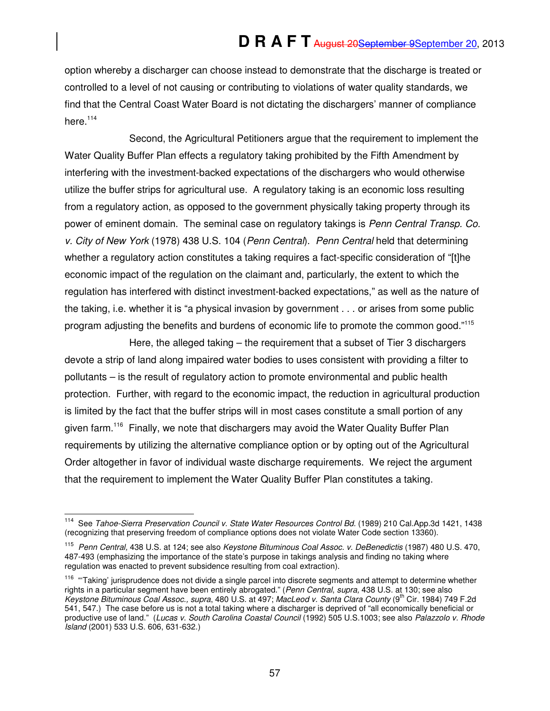option whereby a discharger can choose instead to demonstrate that the discharge is treated or controlled to a level of not causing or contributing to violations of water quality standards, we find that the Central Coast Water Board is not dictating the dischargers' manner of compliance here $114$ 

Second, the Agricultural Petitioners argue that the requirement to implement the Water Quality Buffer Plan effects a regulatory taking prohibited by the Fifth Amendment by interfering with the investment-backed expectations of the dischargers who would otherwise utilize the buffer strips for agricultural use. A regulatory taking is an economic loss resulting from a regulatory action, as opposed to the government physically taking property through its power of eminent domain. The seminal case on regulatory takings is Penn Central Transp. Co. v. City of New York (1978) 438 U.S. 104 (Penn Central). Penn Central held that determining whether a regulatory action constitutes a taking requires a fact-specific consideration of "[t]he economic impact of the regulation on the claimant and, particularly, the extent to which the regulation has interfered with distinct investment-backed expectations," as well as the nature of the taking, i.e. whether it is "a physical invasion by government . . . or arises from some public program adjusting the benefits and burdens of economic life to promote the common good."<sup>115</sup>

Here, the alleged taking – the requirement that a subset of Tier 3 dischargers devote a strip of land along impaired water bodies to uses consistent with providing a filter to pollutants – is the result of regulatory action to promote environmental and public health protection. Further, with regard to the economic impact, the reduction in agricultural production is limited by the fact that the buffer strips will in most cases constitute a small portion of any given farm.<sup>116</sup> Finally, we note that dischargers may avoid the Water Quality Buffer Plan requirements by utilizing the alternative compliance option or by opting out of the Agricultural Order altogether in favor of individual waste discharge requirements. We reject the argument that the requirement to implement the Water Quality Buffer Plan constitutes a taking.

 $\overline{a}$ <sup>114</sup> See Tahoe-Sierra Preservation Council v. State Water Resources Control Bd. (1989) 210 Cal.App.3d 1421, 1438 (recognizing that preserving freedom of compliance options does not violate Water Code section 13360).

<sup>&</sup>lt;sup>115</sup> Penn Central, 438 U.S. at 124; see also Keystone Bituminous Coal Assoc. v. DeBenedictis (1987) 480 U.S. 470, 487-493 (emphasizing the importance of the state's purpose in takings analysis and finding no taking where regulation was enacted to prevent subsidence resulting from coal extraction).

<sup>&</sup>lt;sup>116</sup> "Taking' jurisprudence does not divide a single parcel into discrete segments and attempt to determine whether rights in a particular segment have been entirely abrogated." (Penn Central, supra, 438 U.S. at 130; see also Keystone Bituminous Coal Assoc., supra, 480 U.S. at 497; MacLeod v. Santa Clara County (9<sup>th</sup> Cir. 1984) 749 F.2d 541, 547.) The case before us is not a total taking where a discharger is deprived of "all economically beneficial or productive use of land." (Lucas v. South Carolina Coastal Council (1992) 505 U.S.1003; see also Palazzolo v. Rhode Island (2001) 533 U.S. 606, 631-632.)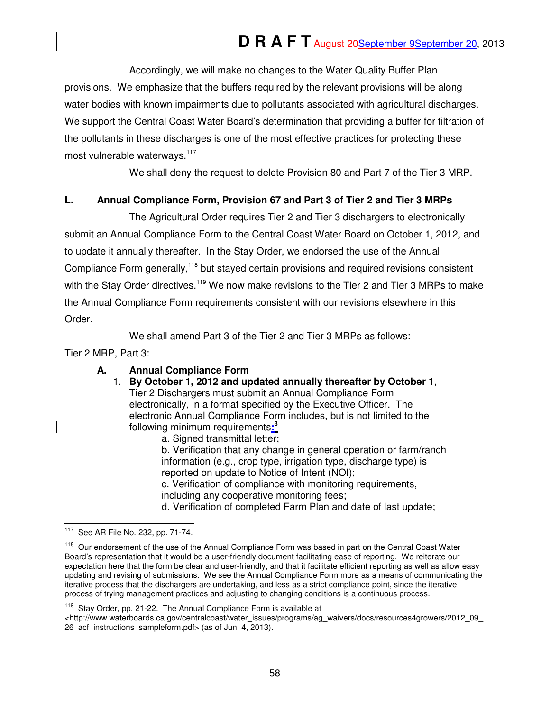Accordingly, we will make no changes to the Water Quality Buffer Plan provisions. We emphasize that the buffers required by the relevant provisions will be along water bodies with known impairments due to pollutants associated with agricultural discharges. We support the Central Coast Water Board's determination that providing a buffer for filtration of the pollutants in these discharges is one of the most effective practices for protecting these most vulnerable waterways.<sup>117</sup>

We shall deny the request to delete Provision 80 and Part 7 of the Tier 3 MRP.

## **L. Annual Compliance Form, Provision 67 and Part 3 of Tier 2 and Tier 3 MRPs**

The Agricultural Order requires Tier 2 and Tier 3 dischargers to electronically submit an Annual Compliance Form to the Central Coast Water Board on October 1, 2012, and to update it annually thereafter. In the Stay Order, we endorsed the use of the Annual Compliance Form generally,<sup>118</sup> but stayed certain provisions and required revisions consistent with the Stay Order directives.<sup>119</sup> We now make revisions to the Tier 2 and Tier 3 MRPs to make the Annual Compliance Form requirements consistent with our revisions elsewhere in this Order.

We shall amend Part 3 of the Tier 2 and Tier 3 MRPs as follows:

Tier 2 MRP, Part 3:

## **A. Annual Compliance Form**

## 1. **By October 1, 2012 and updated annually thereafter by October 1**,

Tier 2 Dischargers must submit an Annual Compliance Form electronically, in a format specified by the Executive Officer. The electronic Annual Compliance Form includes, but is not limited to the following minimum requirements**: 3**

a. Signed transmittal letter;

b. Verification that any change in general operation or farm/ranch information (e.g., crop type, irrigation type, discharge type) is reported on update to Notice of Intent (NOI);

c. Verification of compliance with monitoring requirements, including any cooperative monitoring fees;

d. Verification of completed Farm Plan and date of last update;

<sup>119</sup> Stay Order, pp. 21-22. The Annual Compliance Form is available at

<sup>117</sup> See AR File No. 232, pp. 71-74.

<sup>&</sup>lt;sup>118</sup> Our endorsement of the use of the Annual Compliance Form was based in part on the Central Coast Water Board's representation that it would be a user-friendly document facilitating ease of reporting. We reiterate our expectation here that the form be clear and user-friendly, and that it facilitate efficient reporting as well as allow easy updating and revising of submissions. We see the Annual Compliance Form more as a means of communicating the iterative process that the dischargers are undertaking, and less as a strict compliance point, since the iterative process of trying management practices and adjusting to changing conditions is a continuous process.

 $\lt$ http://www.waterboards.ca.gov/centralcoast/water\_issues/programs/ag\_waivers/docs/resources4growers/2012\_09\_ 26\_acf\_instructions\_sampleform.pdf> (as of Jun. 4, 2013).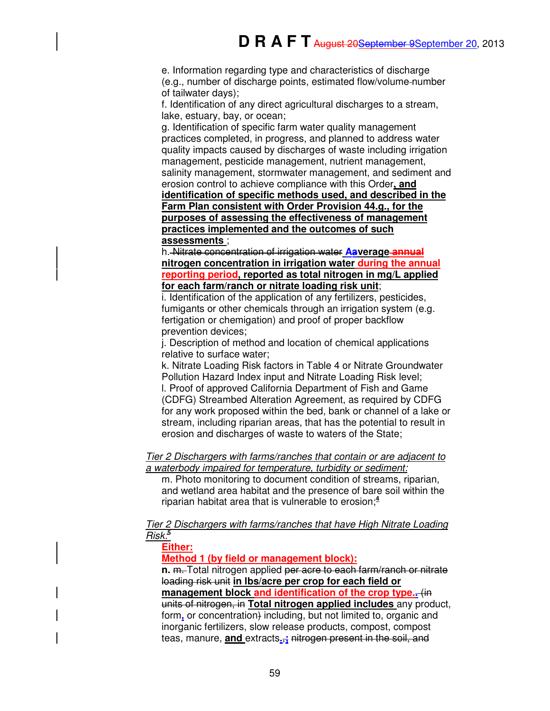e. Information regarding type and characteristics of discharge (e.g., number of discharge points, estimated flow/volume number of tailwater days);

f. Identification of any direct agricultural discharges to a stream, lake, estuary, bay, or ocean;

g. Identification of specific farm water quality management practices completed, in progress, and planned to address water quality impacts caused by discharges of waste including irrigation management, pesticide management, nutrient management, salinity management, stormwater management, and sediment and erosion control to achieve compliance with this Order**, and identification of specific methods used, and described in the Farm Plan consistent with Order Provision 44.g., for the purposes of assessing the effectiveness of management practices implemented and the outcomes of such assessments** ;

h. Nitrate concentration of irrigation water **Aaverage annual nitrogen concentration in irrigation water during the annual reporting period, reported as total nitrogen in mg/L applied for each farm/ranch or nitrate loading risk unit**;

i. Identification of the application of any fertilizers, pesticides, fumigants or other chemicals through an irrigation system (e.g. fertigation or chemigation) and proof of proper backflow prevention devices;

j. Description of method and location of chemical applications relative to surface water;

k. Nitrate Loading Risk factors in Table 4 or Nitrate Groundwater Pollution Hazard Index input and Nitrate Loading Risk level; l. Proof of approved California Department of Fish and Game (CDFG) Streambed Alteration Agreement, as required by CDFG for any work proposed within the bed, bank or channel of a lake or stream, including riparian areas, that has the potential to result in erosion and discharges of waste to waters of the State;

Tier 2 Dischargers with farms/ranches that contain or are adjacent to a waterbody impaired for temperature, turbidity or sediment:

m. Photo monitoring to document condition of streams, riparian, and wetland area habitat and the presence of bare soil within the riparian habitat area that is vulnerable to erosion; **4**

Tier 2 Dischargers with farms/ranches that have High Nitrate Loading Risk:**<sup>5</sup>**

**Either:** 

**Method 1 (by field or management block):** 

**n.** m. Total nitrogen applied per acre to each farm/ranch or nitrate loading risk unit **in lbs/acre per crop for each field or management block and identification of the crop type..** (in units of nitrogen, in **Total nitrogen applied includes** any product, form**,** or concentration) including, but not limited to, organic and inorganic fertilizers, slow release products, compost, compost teas, manure, **and** extracts**.**,**;** nitrogen present in the soil, and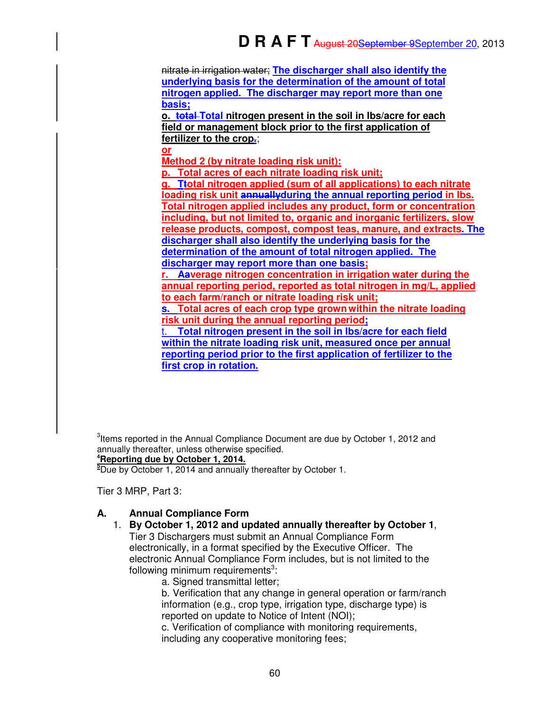nitrate in irrigation water; **The discharger shall also identify the underlying basis for the determination of the amount of total nitrogen applied. The discharger may report more than one basis;**

**o. total Total nitrogen present in the soil in lbs/acre for each field or management block prior to the first application of fertilizer to the crop.**;

**or** 

**Method 2 (by nitrate loading risk unit):** 

**p. Total acres of each nitrate loading risk unit;** 

**q. Ttotal nitrogen applied (sum of all applications) to each nitrate loading risk unit annuallyduring the annual reporting period in lbs. Total nitrogen applied includes any product, form or concentration including, but not limited to, organic and inorganic fertilizers, slow release products, compost, compost teas, manure, and extracts. The discharger shall also identify the underlying basis for the determination of the amount of total nitrogen applied. The discharger may report more than one basis; r. Aaverage nitrogen concentration in irrigation water during the annual reporting period, reported as total nitrogen in mg/L, applied to each farm/ranch or nitrate loading risk unit; s. Total acres of each crop type grown within the nitrate loading risk unit during the annual reporting period; Total nitrogen present in the soil in lbs/acre for each field within the nitrate loading risk unit, measured once per annual reporting period prior to the first application of fertilizer to the first crop in rotation.**

 $3$ Items reported in the Annual Compliance Document are due by October 1, 2012 and annually thereafter, unless otherwise specified. **<sup>4</sup>Reporting due by October 1, 2014.** 

**<sup>5</sup>**Due by October 1, 2014 and annually thereafter by October 1.

Tier 3 MRP, Part 3:

## **A. Annual Compliance Form**

- 1. **By October 1, 2012 and updated annually thereafter by October 1**, Tier 3 Dischargers must submit an Annual Compliance Form electronically, in a format specified by the Executive Officer. The electronic Annual Compliance Form includes, but is not limited to the following minimum requirements<sup>3</sup>:
	- a. Signed transmittal letter;

b. Verification that any change in general operation or farm/ranch information (e.g., crop type, irrigation type, discharge type) is reported on update to Notice of Intent (NOI);

c. Verification of compliance with monitoring requirements, including any cooperative monitoring fees;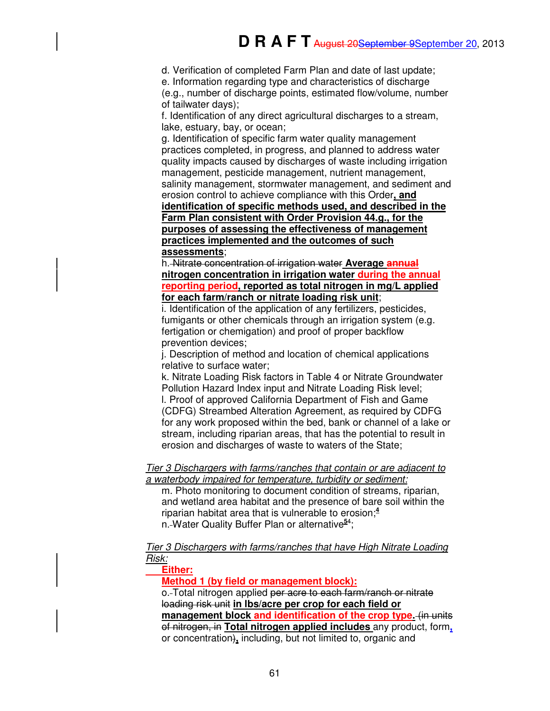d. Verification of completed Farm Plan and date of last update;

e. Information regarding type and characteristics of discharge

(e.g., number of discharge points, estimated flow/volume, number of tailwater days);

f. Identification of any direct agricultural discharges to a stream, lake, estuary, bay, or ocean;

g. Identification of specific farm water quality management practices completed, in progress, and planned to address water quality impacts caused by discharges of waste including irrigation management, pesticide management, nutrient management, salinity management, stormwater management, and sediment and erosion control to achieve compliance with this Order**, and identification of specific methods used, and described in the Farm Plan consistent with Order Provision 44.g., for the purposes of assessing the effectiveness of management practices implemented and the outcomes of such assessments**;

h. Nitrate concentration of irrigation water **Average annual nitrogen concentration in irrigation water during the annual reporting period, reported as total nitrogen in mg/L applied for each farm/ranch or nitrate loading risk unit**;

i. Identification of the application of any fertilizers, pesticides, fumigants or other chemicals through an irrigation system (e.g. fertigation or chemigation) and proof of proper backflow prevention devices;

j. Description of method and location of chemical applications relative to surface water;

k. Nitrate Loading Risk factors in Table 4 or Nitrate Groundwater Pollution Hazard Index input and Nitrate Loading Risk level; l. Proof of approved California Department of Fish and Game (CDFG) Streambed Alteration Agreement, as required by CDFG for any work proposed within the bed, bank or channel of a lake or stream, including riparian areas, that has the potential to result in erosion and discharges of waste to waters of the State;

#### Tier 3 Dischargers with farms/ranches that contain or are adjacent to a waterbody impaired for temperature, turbidity or sediment:

m. Photo monitoring to document condition of streams, riparian, and wetland area habitat and the presence of bare soil within the riparian habitat area that is vulnerable to erosion; **4** n. Water Quality Buffer Plan or alternative**<sup>5</sup>**<sup>4</sup> ;

Tier 3 Dischargers with farms/ranches that have High Nitrate Loading Risk:

## **Either:**

**Method 1 (by field or management block):**

o. Total nitrogen applied per acre to each farm/ranch or nitrate loading risk unit **in lbs/acre per crop for each field or management block and identification of the crop type.** (in units of nitrogen, in **Total nitrogen applied includes** any product, form**,** or concentration)**,** including, but not limited to, organic and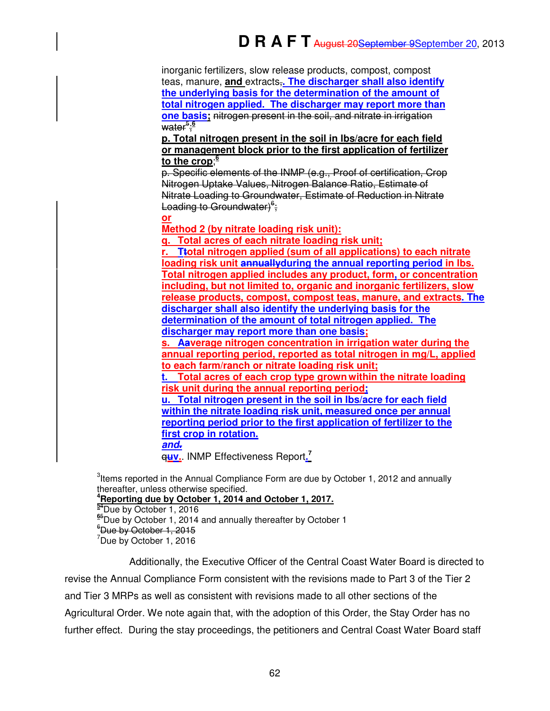inorganic fertilizers, slow release products, compost, compost teas, manure, **and** extracts,**. The discharger shall also identify the underlying basis for the determination of the amount of total nitrogen applied. The discharger may report more than one basis:** nitrogen present in the soil, and nitrate in irrigation water<sup>5</sup> ; **6** 

**p. Total nitrogen present in the soil in lbs/acre for each field or management block prior to the first application of fertilizer to the crop**; **6** 

p. Specific elements of the INMP (e.g., Proof of certification, Crop Nitrogen Uptake Values, Nitrogen Balance Ratio, Estimate of Nitrate Loading to Groundwater, Estimate of Reduction in Nitrate Loading to Groundwater)<sup>6</sup>;

**or** 

**Method 2 (by nitrate loading risk unit):** 

**q. Total acres of each nitrate loading risk unit; r. Ttotal nitrogen applied (sum of all applications) to each nitrate loading risk unit annuallyduring the annual reporting period in lbs. Total nitrogen applied includes any product, form, or concentration including, but not limited to, organic and inorganic fertilizers, slow release products, compost, compost teas, manure, and extracts. The discharger shall also identify the underlying basis for the determination of the amount of total nitrogen applied. The discharger may report more than one basis;** 

**s. Aaverage nitrogen concentration in irrigation water during the annual reporting period, reported as total nitrogen in mg/L, applied to each farm/ranch or nitrate loading risk unit;** 

**t. Total acres of each crop type grown within the nitrate loading risk unit during the annual reporting period;** 

**u. Total nitrogen present in the soil in lbs/acre for each field within the nitrate loading risk unit, measured once per annual reporting period prior to the first application of fertilizer to the first crop in rotation.**

**and.**

q**uv.**. INMP Effectiveness Report**. 7**

Items reported in the Annual Compliance Form are due by October 1, 2012 and annually thereafter, unless otherwise specified. **Reporting due by October 1, 2014 and October 1, 2017.**  <sup>4</sup>Due by October 1, 2016 <sup>5</sup>Due by October 1, 2014 and annually thereafter by October 1  $^6$ Due by October 1, 2015

 $7$ Due by October 1, 2016

Additionally, the Executive Officer of the Central Coast Water Board is directed to revise the Annual Compliance Form consistent with the revisions made to Part 3 of the Tier 2 and Tier 3 MRPs as well as consistent with revisions made to all other sections of the Agricultural Order. We note again that, with the adoption of this Order, the Stay Order has no further effect. During the stay proceedings, the petitioners and Central Coast Water Board staff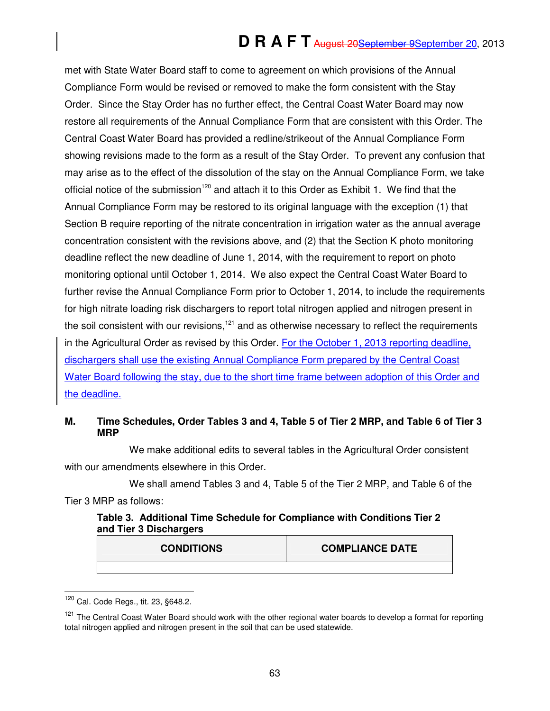# **D R A F T** August 20September 9September 20, 2013

met with State Water Board staff to come to agreement on which provisions of the Annual Compliance Form would be revised or removed to make the form consistent with the Stay Order. Since the Stay Order has no further effect, the Central Coast Water Board may now restore all requirements of the Annual Compliance Form that are consistent with this Order. The Central Coast Water Board has provided a redline/strikeout of the Annual Compliance Form showing revisions made to the form as a result of the Stay Order. To prevent any confusion that may arise as to the effect of the dissolution of the stay on the Annual Compliance Form, we take official notice of the submission<sup>120</sup> and attach it to this Order as Exhibit 1. We find that the Annual Compliance Form may be restored to its original language with the exception (1) that Section B require reporting of the nitrate concentration in irrigation water as the annual average concentration consistent with the revisions above, and (2) that the Section K photo monitoring deadline reflect the new deadline of June 1, 2014, with the requirement to report on photo monitoring optional until October 1, 2014. We also expect the Central Coast Water Board to further revise the Annual Compliance Form prior to October 1, 2014, to include the requirements for high nitrate loading risk dischargers to report total nitrogen applied and nitrogen present in the soil consistent with our revisions, $121$  and as otherwise necessary to reflect the requirements in the Agricultural Order as revised by this Order. For the October 1, 2013 reporting deadline, dischargers shall use the existing Annual Compliance Form prepared by the Central Coast Water Board following the stay, due to the short time frame between adoption of this Order and the deadline.

## **M. Time Schedules, Order Tables 3 and 4, Table 5 of Tier 2 MRP, and Table 6 of Tier 3 MRP**

We make additional edits to several tables in the Agricultural Order consistent with our amendments elsewhere in this Order.

We shall amend Tables 3 and 4, Table 5 of the Tier 2 MRP, and Table 6 of the Tier 3 MRP as follows:

| Table 3. Additional Time Schedule for Compliance with Conditions Tier 2 |  |  |
|-------------------------------------------------------------------------|--|--|
| and Tier 3 Dischargers                                                  |  |  |

| <b>CONDITIONS</b> | <b>COMPLIANCE DATE</b> |
|-------------------|------------------------|
|                   |                        |
|                   |                        |

 $\overline{1}$ <sup>120</sup> Cal. Code Regs., tit. 23, §648.2.

<sup>&</sup>lt;sup>121</sup> The Central Coast Water Board should work with the other regional water boards to develop a format for reporting total nitrogen applied and nitrogen present in the soil that can be used statewide.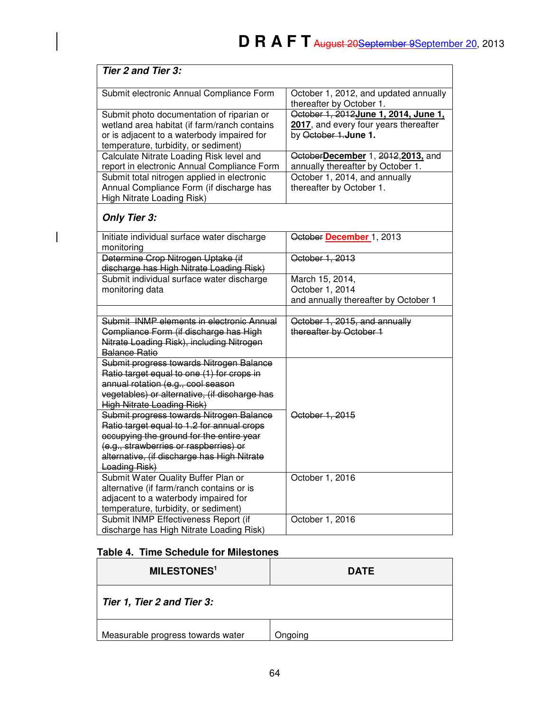| Tier 2 and Tier 3:                                                                                                                                                                                                                                                                                                                                                                                 |                                                                                                        |
|----------------------------------------------------------------------------------------------------------------------------------------------------------------------------------------------------------------------------------------------------------------------------------------------------------------------------------------------------------------------------------------------------|--------------------------------------------------------------------------------------------------------|
| Submit electronic Annual Compliance Form                                                                                                                                                                                                                                                                                                                                                           | October 1, 2012, and updated annually<br>thereafter by October 1.                                      |
| Submit photo documentation of riparian or<br>wetland area habitat (if farm/ranch contains<br>or is adjacent to a waterbody impaired for<br>temperature, turbidity, or sediment)                                                                                                                                                                                                                    | October 1, 2012 June 1, 2014, June 1,<br>2017, and every four years thereafter<br>by October 1.June 1. |
| Calculate Nitrate Loading Risk level and<br>report in electronic Annual Compliance Form                                                                                                                                                                                                                                                                                                            | OctoberDecember 1, 2012, 2013, and<br>annually thereafter by October 1.                                |
| Submit total nitrogen applied in electronic<br>Annual Compliance Form (if discharge has<br>High Nitrate Loading Risk)                                                                                                                                                                                                                                                                              | October 1, 2014, and annually<br>thereafter by October 1.                                              |
| <b>Only Tier 3:</b>                                                                                                                                                                                                                                                                                                                                                                                |                                                                                                        |
| Initiate individual surface water discharge<br>monitoring                                                                                                                                                                                                                                                                                                                                          | October December 1, 2013                                                                               |
| Determine Crop Nitrogen Uptake (if<br>discharge has High Nitrate Loading Risk)                                                                                                                                                                                                                                                                                                                     | October 1, 2013                                                                                        |
| Submit individual surface water discharge<br>monitoring data                                                                                                                                                                                                                                                                                                                                       | March 15, 2014,<br>October 1, 2014<br>and annually thereafter by October 1                             |
| Submit INMP elements in electronic Annual<br>Compliance Form (if discharge has High<br>Nitrate Loading Risk), including Nitrogen<br><b>Balance Ratio</b>                                                                                                                                                                                                                                           | October 1, 2015, and annually<br>thereafter by October 1                                               |
| Submit progress towards Nitrogen Balance<br>Ratio target equal to one (1) for crops in<br>annual rotation (e.g., cool season<br>vegetables) or alternative, (if discharge has<br><b>High Nitrate Loading Risk)</b><br>Submit progress towards Nitrogen Balance<br>Ratio target equal to 1.2 for annual crops<br>occupying the ground for the entire year<br>(e.g., strawberries or raspberries) or | October 1, 2015                                                                                        |
| alternative, (if discharge has High Nitrate<br><b>Loading Risk)</b>                                                                                                                                                                                                                                                                                                                                |                                                                                                        |
| Submit Water Quality Buffer Plan or<br>alternative (if farm/ranch contains or is<br>adjacent to a waterbody impaired for<br>temperature, turbidity, or sediment)                                                                                                                                                                                                                                   | October 1, 2016                                                                                        |
| Submit INMP Effectiveness Report (if<br>discharge has High Nitrate Loading Risk)                                                                                                                                                                                                                                                                                                                   | October 1, 2016                                                                                        |

# **Table 4. Time Schedule for Milestones**

 $\overline{\phantom{a}}$ 

| <b>MILESTONES1</b>                | <b>DATE</b> |
|-----------------------------------|-------------|
| Tier 1, Tier 2 and Tier 3:        |             |
| Measurable progress towards water | Onaoina     |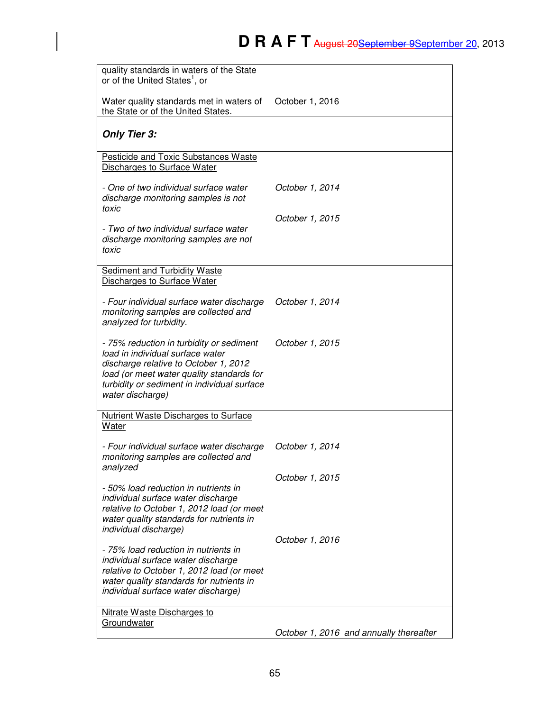| quality standards in waters of the State<br>or of the United States <sup>1</sup> , or                                                                                                                                                 |                                         |
|---------------------------------------------------------------------------------------------------------------------------------------------------------------------------------------------------------------------------------------|-----------------------------------------|
| Water quality standards met in waters of<br>the State or of the United States.                                                                                                                                                        | October 1, 2016                         |
| <b>Only Tier 3:</b>                                                                                                                                                                                                                   |                                         |
| <b>Pesticide and Toxic Substances Waste</b><br>Discharges to Surface Water                                                                                                                                                            |                                         |
| - One of two individual surface water<br>discharge monitoring samples is not<br>toxic                                                                                                                                                 | October 1, 2014                         |
| - Two of two individual surface water<br>discharge monitoring samples are not<br>toxic                                                                                                                                                | October 1, 2015                         |
| Sediment and Turbidity Waste<br>Discharges to Surface Water                                                                                                                                                                           |                                         |
| - Four individual surface water discharge<br>monitoring samples are collected and<br>analyzed for turbidity.                                                                                                                          | October 1, 2014                         |
| - 75% reduction in turbidity or sediment<br>load in individual surface water<br>discharge relative to October 1, 2012<br>load (or meet water quality standards for<br>turbidity or sediment in individual surface<br>water discharge) | October 1, 2015                         |
| <b>Nutrient Waste Discharges to Surface</b><br>Water                                                                                                                                                                                  |                                         |
| - Four individual surface water discharge<br>monitoring samples are collected and<br>analyzed                                                                                                                                         | October 1, 2014                         |
| - 50% load reduction in nutrients in<br>individual surface water discharge<br>relative to October 1, 2012 load (or meet<br>water quality standards for nutrients in                                                                   | October 1, 2015                         |
| individual discharge)<br>- 75% load reduction in nutrients in<br>individual surface water discharge<br>relative to October 1, 2012 load (or meet<br>water quality standards for nutrients in<br>individual surface water discharge)   | October 1, 2016                         |
| Nitrate Waste Discharges to<br>Groundwater                                                                                                                                                                                            | October 1, 2016 and annually thereafter |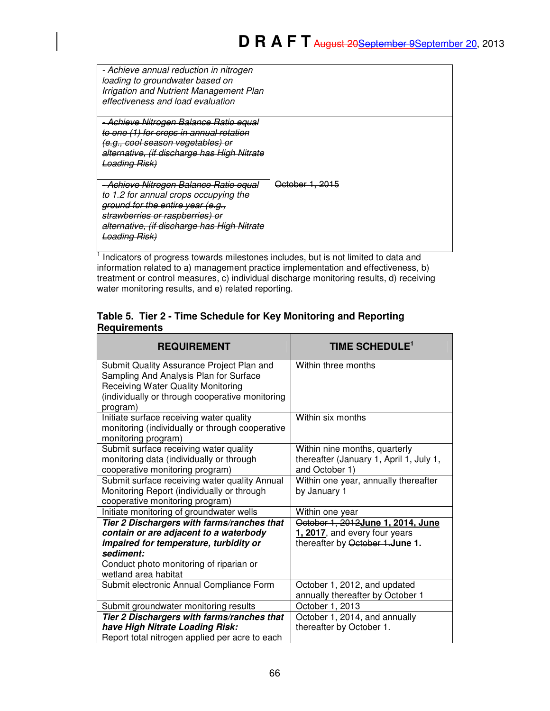| - Achieve annual reduction in nitrogen<br>loading to groundwater based on<br>Irrigation and Nutrient Management Plan<br>effectiveness and load evaluation                                                                         |                            |
|-----------------------------------------------------------------------------------------------------------------------------------------------------------------------------------------------------------------------------------|----------------------------|
| <u>- Achieve Nitrogen Balance Ratio equal</u><br>to one (1) for crops in annual rotation<br>(e.g., cool season vegetables) or<br>alternative, (if discharge has High Nitrate<br><b>Loading Risk)</b>                              |                            |
| - Achieve Nitrogen Balance Ratio equal<br>to 1.2 for annual crops occupying the<br>ground for the entire year (e.g.,<br>strawberries or raspberries) or<br>alternative, (if discharge has High Nitrate<br><del>Loading Risk</del> | <del>October 1, 2015</del> |

<sup>1</sup> Indicators of progress towards milestones includes, but is not limited to data and information related to a) management practice implementation and effectiveness, b) treatment or control measures, c) individual discharge monitoring results, d) receiving water monitoring results, and e) related reporting.

## **Table 5. Tier 2 - Time Schedule for Key Monitoring and Reporting Requirements**

| <b>REQUIREMENT</b>                                                                                                                                                                                             | TIME SCHEDULE <sup>1</sup>                                                                              |
|----------------------------------------------------------------------------------------------------------------------------------------------------------------------------------------------------------------|---------------------------------------------------------------------------------------------------------|
| Submit Quality Assurance Project Plan and<br>Sampling And Analysis Plan for Surface<br>Receiving Water Quality Monitoring<br>(individually or through cooperative monitoring<br>program)                       | Within three months                                                                                     |
| Initiate surface receiving water quality<br>monitoring (individually or through cooperative<br>monitoring program)                                                                                             | Within six months                                                                                       |
| Submit surface receiving water quality<br>monitoring data (individually or through<br>cooperative monitoring program)                                                                                          | Within nine months, quarterly<br>thereafter (January 1, April 1, July 1,<br>and October 1)              |
| Submit surface receiving water quality Annual<br>Monitoring Report (individually or through<br>cooperative monitoring program)                                                                                 | Within one year, annually thereafter<br>by January 1                                                    |
| Initiate monitoring of groundwater wells                                                                                                                                                                       | Within one year                                                                                         |
| Tier 2 Dischargers with farms/ranches that<br>contain or are adjacent to a waterbody<br>impaired for temperature, turbidity or<br>sediment:<br>Conduct photo monitoring of riparian or<br>wetland area habitat | October 1, 2012 June 1, 2014, June<br>1, 2017, and every four years<br>thereafter by October 1. June 1. |
| Submit electronic Annual Compliance Form                                                                                                                                                                       | October 1, 2012, and updated<br>annually thereafter by October 1                                        |
| Submit groundwater monitoring results                                                                                                                                                                          | October 1, 2013                                                                                         |
| Tier 2 Dischargers with farms/ranches that<br>have High Nitrate Loading Risk:<br>Report total nitrogen applied per acre to each                                                                                | October 1, 2014, and annually<br>thereafter by October 1.                                               |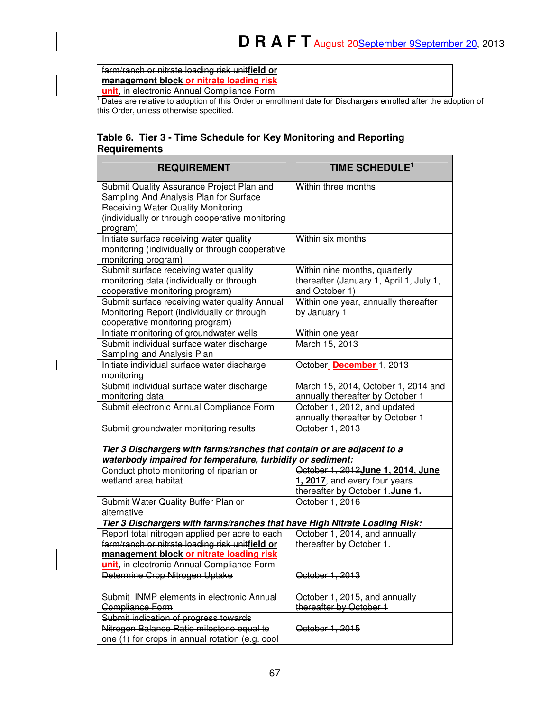farm/ranch or nitrate loading risk unit**field or management block or nitrate loading risk** 

**unit**, in electronic Annual Compliance Form

 $\overline{\phantom{a}}$ 

<sup>1</sup> Dates are relative to adoption of this Order or enrollment date for Dischargers enrolled after the adoption of this Order, unless otherwise specified.

## **Table 6. Tier 3 - Time Schedule for Key Monitoring and Reporting Requirements**

| <b>REQUIREMENT</b>                                                                                                                                                                              | TIME SCHEDULE <sup>1</sup>                                                                 |
|-------------------------------------------------------------------------------------------------------------------------------------------------------------------------------------------------|--------------------------------------------------------------------------------------------|
| Submit Quality Assurance Project Plan and<br>Sampling And Analysis Plan for Surface<br><b>Receiving Water Quality Monitoring</b><br>(individually or through cooperative monitoring<br>program) | Within three months                                                                        |
| Initiate surface receiving water quality<br>monitoring (individually or through cooperative<br>monitoring program)                                                                              | Within six months                                                                          |
| Submit surface receiving water quality<br>monitoring data (individually or through<br>cooperative monitoring program)                                                                           | Within nine months, quarterly<br>thereafter (January 1, April 1, July 1,<br>and October 1) |
| Submit surface receiving water quality Annual<br>Monitoring Report (individually or through<br>cooperative monitoring program)                                                                  | Within one year, annually thereafter<br>by January 1                                       |
| Initiate monitoring of groundwater wells                                                                                                                                                        | Within one year                                                                            |
| Submit individual surface water discharge<br>Sampling and Analysis Plan                                                                                                                         | March 15, 2013                                                                             |
| Initiate individual surface water discharge<br>monitoring                                                                                                                                       | October-December 1, 2013                                                                   |
| Submit individual surface water discharge<br>monitoring data                                                                                                                                    | March 15, 2014, October 1, 2014 and<br>annually thereafter by October 1                    |
| Submit electronic Annual Compliance Form                                                                                                                                                        | October 1, 2012, and updated<br>annually thereafter by October 1                           |
| Submit groundwater monitoring results                                                                                                                                                           | October 1, 2013                                                                            |
| Tier 3 Dischargers with farms/ranches that contain or are adjacent to a<br>waterbody impaired for temperature, turbidity or sediment:                                                           |                                                                                            |
| Conduct photo monitoring of riparian or                                                                                                                                                         | October 1, 2012 June 1, 2014, June                                                         |
| wetland area habitat                                                                                                                                                                            | 1, 2017, and every four years                                                              |
|                                                                                                                                                                                                 | thereafter by October 1.June 1.                                                            |
| Submit Water Quality Buffer Plan or<br>alternative                                                                                                                                              | October 1, 2016                                                                            |
| Tier 3 Dischargers with farms/ranches that have High Nitrate Loading Risk:                                                                                                                      |                                                                                            |
| Report total nitrogen applied per acre to each<br>farm/ranch or nitrate loading risk unitfield or                                                                                               | October 1, 2014, and annually<br>thereafter by October 1.                                  |
| management block or nitrate loading risk<br>unit, in electronic Annual Compliance Form                                                                                                          |                                                                                            |
| Determine Crop Nitrogen Uptake                                                                                                                                                                  | October 1, 2013                                                                            |
|                                                                                                                                                                                                 |                                                                                            |
| Submit INMP elements in electronic Annual<br>Compliance Form                                                                                                                                    | October 1, 2015, and annually<br>thereafter by October 1                                   |
| Submit indication of progress towards                                                                                                                                                           |                                                                                            |
| Nitrogen Balance Ratio milestone equal to                                                                                                                                                       | October 1, 2015                                                                            |
| one (1) for crops in annual rotation (e.g. cool                                                                                                                                                 |                                                                                            |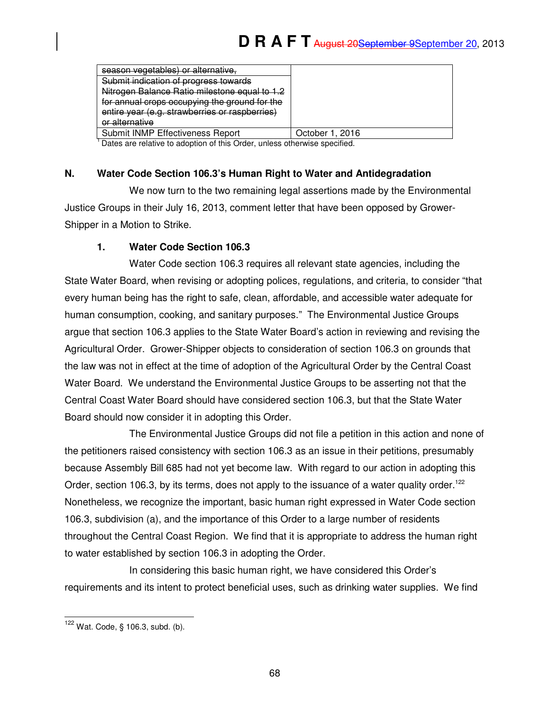| season vegetables) or alternative.             |                 |
|------------------------------------------------|-----------------|
| Submit indication of progress towards          |                 |
| Nitrogen Balance Ratio milestone equal to 1.2  |                 |
| for annual crops occupying the ground for the  |                 |
| entire year (e.g. strawberries or raspberries) |                 |
| or alternative                                 |                 |
| Submit INMP Effectiveness Report               | October 1, 2016 |

<sup>1</sup> Dates are relative to adoption of this Order, unless otherwise specified.

## **N. Water Code Section 106.3's Human Right to Water and Antidegradation**

We now turn to the two remaining legal assertions made by the Environmental Justice Groups in their July 16, 2013, comment letter that have been opposed by Grower-Shipper in a Motion to Strike.

## **1. Water Code Section 106.3**

Water Code section 106.3 requires all relevant state agencies, including the State Water Board, when revising or adopting polices, regulations, and criteria, to consider "that every human being has the right to safe, clean, affordable, and accessible water adequate for human consumption, cooking, and sanitary purposes." The Environmental Justice Groups argue that section 106.3 applies to the State Water Board's action in reviewing and revising the Agricultural Order. Grower-Shipper objects to consideration of section 106.3 on grounds that the law was not in effect at the time of adoption of the Agricultural Order by the Central Coast Water Board. We understand the Environmental Justice Groups to be asserting not that the Central Coast Water Board should have considered section 106.3, but that the State Water Board should now consider it in adopting this Order.

The Environmental Justice Groups did not file a petition in this action and none of the petitioners raised consistency with section 106.3 as an issue in their petitions, presumably because Assembly Bill 685 had not yet become law. With regard to our action in adopting this Order, section 106.3, by its terms, does not apply to the issuance of a water quality order.<sup>122</sup> Nonetheless, we recognize the important, basic human right expressed in Water Code section 106.3, subdivision (a), and the importance of this Order to a large number of residents throughout the Central Coast Region. We find that it is appropriate to address the human right to water established by section 106.3 in adopting the Order.

In considering this basic human right, we have considered this Order's requirements and its intent to protect beneficial uses, such as drinking water supplies. We find

j  $122$  Wat. Code, § 106.3, subd. (b).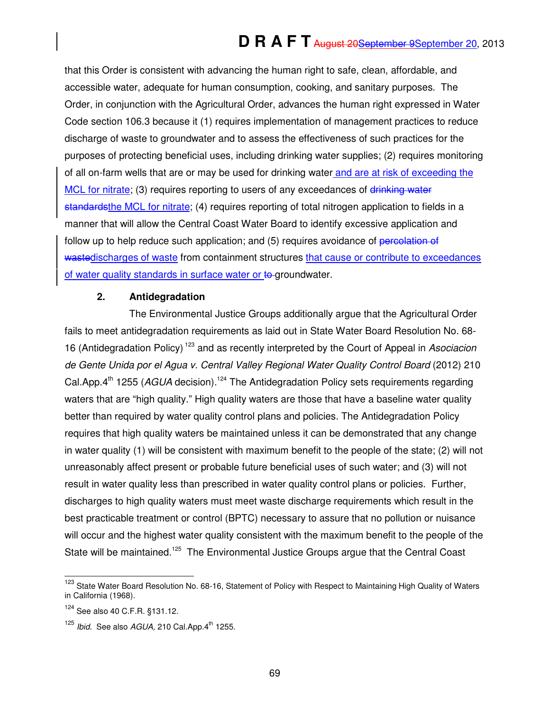that this Order is consistent with advancing the human right to safe, clean, affordable, and accessible water, adequate for human consumption, cooking, and sanitary purposes. The Order, in conjunction with the Agricultural Order, advances the human right expressed in Water Code section 106.3 because it (1) requires implementation of management practices to reduce discharge of waste to groundwater and to assess the effectiveness of such practices for the purposes of protecting beneficial uses, including drinking water supplies; (2) requires monitoring of all on-farm wells that are or may be used for drinking water and are at risk of exceeding the MCL for nitrate; (3) requires reporting to users of any exceedances of drinking water standardsthe MCL for nitrate; (4) requires reporting of total nitrogen application to fields in a manner that will allow the Central Coast Water Board to identify excessive application and follow up to help reduce such application; and (5) requires avoidance of percolation of wastedischarges of waste from containment structures that cause or contribute to exceedances of water quality standards in surface water or to groundwater.

#### **2. Antidegradation**

The Environmental Justice Groups additionally argue that the Agricultural Order fails to meet antidegradation requirements as laid out in State Water Board Resolution No. 68- 16 (Antidegradation Policy)<sup>123</sup> and as recently interpreted by the Court of Appeal in Asociacion de Gente Unida por el Agua v. Central Valley Regional Water Quality Control Board (2012) 210 Cal.App. $4<sup>th</sup>$  1255 (AGUA decision).<sup>124</sup> The Antidegradation Policy sets requirements regarding waters that are "high quality." High quality waters are those that have a baseline water quality better than required by water quality control plans and policies. The Antidegradation Policy requires that high quality waters be maintained unless it can be demonstrated that any change in water quality (1) will be consistent with maximum benefit to the people of the state; (2) will not unreasonably affect present or probable future beneficial uses of such water; and (3) will not result in water quality less than prescribed in water quality control plans or policies. Further, discharges to high quality waters must meet waste discharge requirements which result in the best practicable treatment or control (BPTC) necessary to assure that no pollution or nuisance will occur and the highest water quality consistent with the maximum benefit to the people of the State will be maintained.<sup>125</sup> The Environmental Justice Groups argue that the Central Coast

 $\overline{a}$ 

<sup>&</sup>lt;sup>123</sup> State Water Board Resolution No. 68-16, Statement of Policy with Respect to Maintaining High Quality of Waters in California (1968).

<sup>124</sup> See also 40 C.F.R. §131.12.

 $125$  Ibid. See also AGUA, 210 Cal. App.  $4^{\text{th}}$  1255.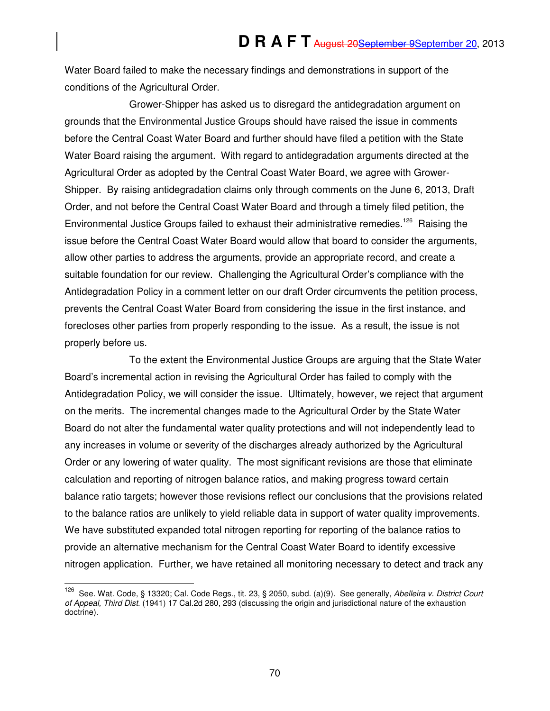Water Board failed to make the necessary findings and demonstrations in support of the conditions of the Agricultural Order.

Grower-Shipper has asked us to disregard the antidegradation argument on grounds that the Environmental Justice Groups should have raised the issue in comments before the Central Coast Water Board and further should have filed a petition with the State Water Board raising the argument. With regard to antidegradation arguments directed at the Agricultural Order as adopted by the Central Coast Water Board, we agree with Grower-Shipper. By raising antidegradation claims only through comments on the June 6, 2013, Draft Order, and not before the Central Coast Water Board and through a timely filed petition, the Environmental Justice Groups failed to exhaust their administrative remedies.<sup>126</sup> Raising the issue before the Central Coast Water Board would allow that board to consider the arguments, allow other parties to address the arguments, provide an appropriate record, and create a suitable foundation for our review. Challenging the Agricultural Order's compliance with the Antidegradation Policy in a comment letter on our draft Order circumvents the petition process, prevents the Central Coast Water Board from considering the issue in the first instance, and forecloses other parties from properly responding to the issue. As a result, the issue is not properly before us.

To the extent the Environmental Justice Groups are arguing that the State Water Board's incremental action in revising the Agricultural Order has failed to comply with the Antidegradation Policy, we will consider the issue. Ultimately, however, we reject that argument on the merits. The incremental changes made to the Agricultural Order by the State Water Board do not alter the fundamental water quality protections and will not independently lead to any increases in volume or severity of the discharges already authorized by the Agricultural Order or any lowering of water quality. The most significant revisions are those that eliminate calculation and reporting of nitrogen balance ratios, and making progress toward certain balance ratio targets; however those revisions reflect our conclusions that the provisions related to the balance ratios are unlikely to yield reliable data in support of water quality improvements. We have substituted expanded total nitrogen reporting for reporting of the balance ratios to provide an alternative mechanism for the Central Coast Water Board to identify excessive nitrogen application. Further, we have retained all monitoring necessary to detect and track any

 $\overline{a}$ 

<sup>&</sup>lt;sup>126</sup> See. Wat. Code, § 13320; Cal. Code Regs., tit. 23, § 2050, subd. (a)(9). See generally, Abelleira v. District Court of Appeal, Third Dist. (1941) 17 Cal.2d 280, 293 (discussing the origin and jurisdictional nature of the exhaustion doctrine).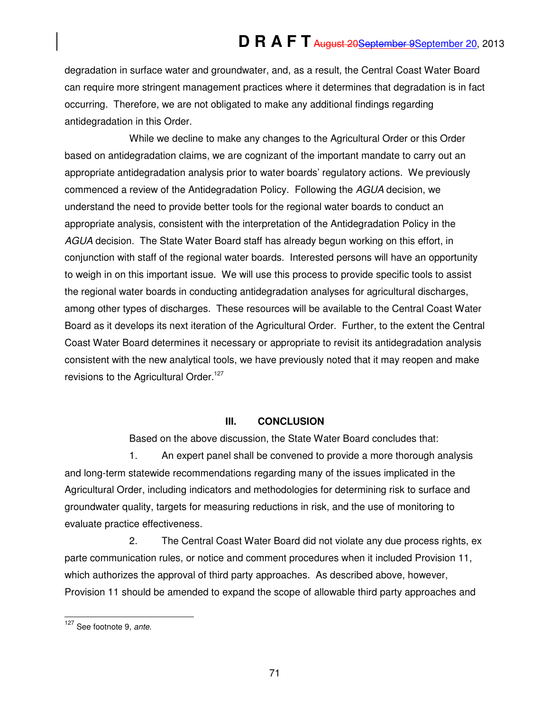degradation in surface water and groundwater, and, as a result, the Central Coast Water Board can require more stringent management practices where it determines that degradation is in fact occurring. Therefore, we are not obligated to make any additional findings regarding antidegradation in this Order.

While we decline to make any changes to the Agricultural Order or this Order based on antidegradation claims, we are cognizant of the important mandate to carry out an appropriate antidegradation analysis prior to water boards' regulatory actions. We previously commenced a review of the Antidegradation Policy. Following the AGUA decision, we understand the need to provide better tools for the regional water boards to conduct an appropriate analysis, consistent with the interpretation of the Antidegradation Policy in the AGUA decision. The State Water Board staff has already begun working on this effort, in conjunction with staff of the regional water boards. Interested persons will have an opportunity to weigh in on this important issue. We will use this process to provide specific tools to assist the regional water boards in conducting antidegradation analyses for agricultural discharges, among other types of discharges. These resources will be available to the Central Coast Water Board as it develops its next iteration of the Agricultural Order. Further, to the extent the Central Coast Water Board determines it necessary or appropriate to revisit its antidegradation analysis consistent with the new analytical tools, we have previously noted that it may reopen and make revisions to the Agricultural Order.<sup>127</sup>

## **III. CONCLUSION**

Based on the above discussion, the State Water Board concludes that:

1. An expert panel shall be convened to provide a more thorough analysis and long-term statewide recommendations regarding many of the issues implicated in the Agricultural Order, including indicators and methodologies for determining risk to surface and groundwater quality, targets for measuring reductions in risk, and the use of monitoring to evaluate practice effectiveness.

2. The Central Coast Water Board did not violate any due process rights, ex parte communication rules, or notice and comment procedures when it included Provision 11, which authorizes the approval of third party approaches. As described above, however, Provision 11 should be amended to expand the scope of allowable third party approaches and

 $\overline{a}$ <sup>127</sup> See footnote 9, ante.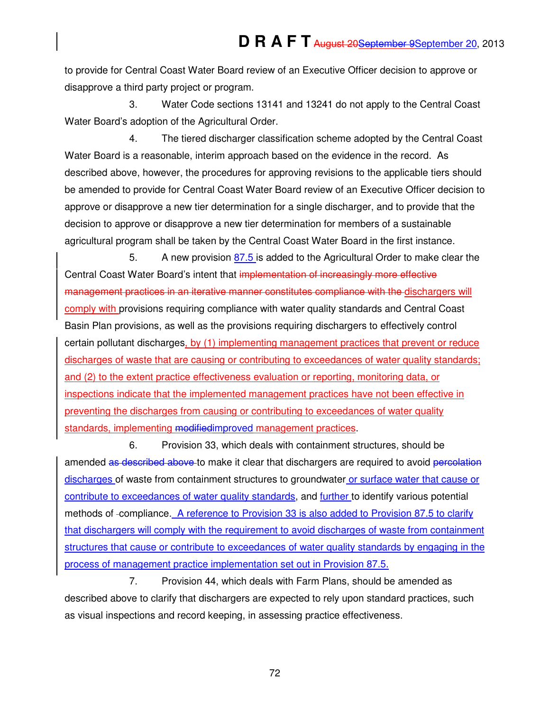to provide for Central Coast Water Board review of an Executive Officer decision to approve or disapprove a third party project or program.

3. Water Code sections 13141 and 13241 do not apply to the Central Coast Water Board's adoption of the Agricultural Order.

4. The tiered discharger classification scheme adopted by the Central Coast Water Board is a reasonable, interim approach based on the evidence in the record. As described above, however, the procedures for approving revisions to the applicable tiers should be amended to provide for Central Coast Water Board review of an Executive Officer decision to approve or disapprove a new tier determination for a single discharger, and to provide that the decision to approve or disapprove a new tier determination for members of a sustainable agricultural program shall be taken by the Central Coast Water Board in the first instance.

5. A new provision 87.5 is added to the Agricultural Order to make clear the Central Coast Water Board's intent that implementation of increasingly more effective management practices in an iterative manner constitutes compliance with the dischargers will comply with provisions requiring compliance with water quality standards and Central Coast Basin Plan provisions, as well as the provisions requiring dischargers to effectively control certain pollutant discharges, by (1) implementing management practices that prevent or reduce discharges of waste that are causing or contributing to exceedances of water quality standards; and (2) to the extent practice effectiveness evaluation or reporting, monitoring data, or inspections indicate that the implemented management practices have not been effective in preventing the discharges from causing or contributing to exceedances of water quality standards, implementing modified improved management practices.

6. Provision 33, which deals with containment structures, should be amended as described above to make it clear that dischargers are required to avoid percolation discharges of waste from containment structures to groundwater or surface water that cause or contribute to exceedances of water quality standards, and further to identify various potential methods of compliance. A reference to Provision 33 is also added to Provision 87.5 to clarify that dischargers will comply with the requirement to avoid discharges of waste from containment structures that cause or contribute to exceedances of water quality standards by engaging in the process of management practice implementation set out in Provision 87.5.

7. Provision 44, which deals with Farm Plans, should be amended as described above to clarify that dischargers are expected to rely upon standard practices, such as visual inspections and record keeping, in assessing practice effectiveness.

72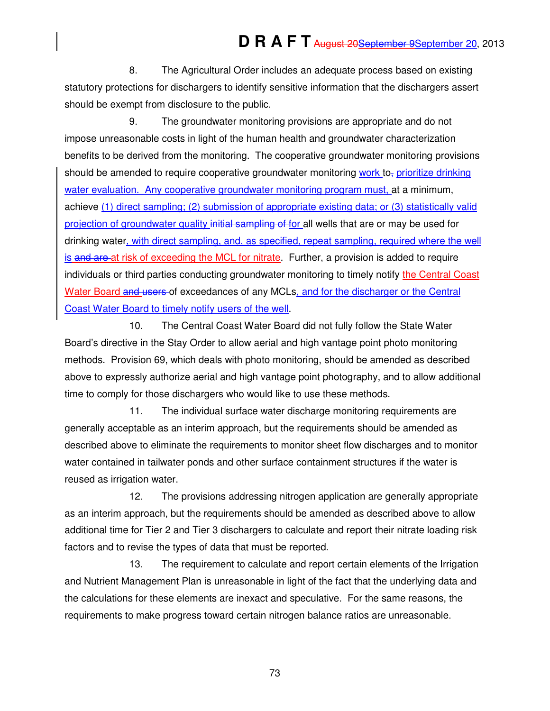8. The Agricultural Order includes an adequate process based on existing statutory protections for dischargers to identify sensitive information that the dischargers assert should be exempt from disclosure to the public.

9. The groundwater monitoring provisions are appropriate and do not impose unreasonable costs in light of the human health and groundwater characterization benefits to be derived from the monitoring. The cooperative groundwater monitoring provisions should be amended to require cooperative groundwater monitoring work to<sub>r</sub> prioritize drinking water evaluation. Any cooperative groundwater monitoring program must, at a minimum, achieve (1) direct sampling; (2) submission of appropriate existing data; or (3) statistically valid projection of groundwater quality initial sampling of for all wells that are or may be used for drinking water, with direct sampling, and, as specified, repeat sampling, required where the well is and are at risk of exceeding the MCL for nitrate. Further, a provision is added to require individuals or third parties conducting groundwater monitoring to timely notify the Central Coast Water Board and users of exceedances of any MCLs, and for the discharger or the Central Coast Water Board to timely notify users of the well.

10. The Central Coast Water Board did not fully follow the State Water Board's directive in the Stay Order to allow aerial and high vantage point photo monitoring methods. Provision 69, which deals with photo monitoring, should be amended as described above to expressly authorize aerial and high vantage point photography, and to allow additional time to comply for those dischargers who would like to use these methods.

11. The individual surface water discharge monitoring requirements are generally acceptable as an interim approach, but the requirements should be amended as described above to eliminate the requirements to monitor sheet flow discharges and to monitor water contained in tailwater ponds and other surface containment structures if the water is reused as irrigation water.

12. The provisions addressing nitrogen application are generally appropriate as an interim approach, but the requirements should be amended as described above to allow additional time for Tier 2 and Tier 3 dischargers to calculate and report their nitrate loading risk factors and to revise the types of data that must be reported.

13. The requirement to calculate and report certain elements of the Irrigation and Nutrient Management Plan is unreasonable in light of the fact that the underlying data and the calculations for these elements are inexact and speculative. For the same reasons, the requirements to make progress toward certain nitrogen balance ratios are unreasonable.

73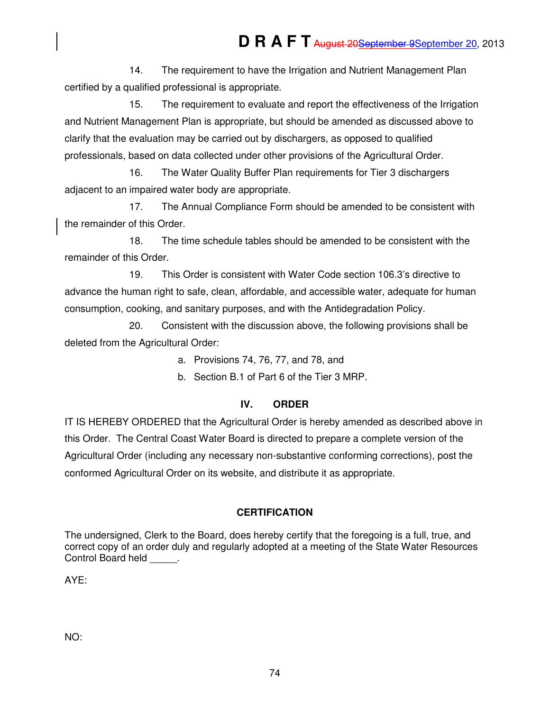14. The requirement to have the Irrigation and Nutrient Management Plan certified by a qualified professional is appropriate.

15. The requirement to evaluate and report the effectiveness of the Irrigation and Nutrient Management Plan is appropriate, but should be amended as discussed above to clarify that the evaluation may be carried out by dischargers, as opposed to qualified professionals, based on data collected under other provisions of the Agricultural Order.

16. The Water Quality Buffer Plan requirements for Tier 3 dischargers adjacent to an impaired water body are appropriate.

17. The Annual Compliance Form should be amended to be consistent with the remainder of this Order.

18. The time schedule tables should be amended to be consistent with the remainder of this Order.

19. This Order is consistent with Water Code section 106.3's directive to advance the human right to safe, clean, affordable, and accessible water, adequate for human consumption, cooking, and sanitary purposes, and with the Antidegradation Policy.

20. Consistent with the discussion above, the following provisions shall be deleted from the Agricultural Order:

a. Provisions 74, 76, 77, and 78, and

b. Section B.1 of Part 6 of the Tier 3 MRP.

## **IV. ORDER**

IT IS HEREBY ORDERED that the Agricultural Order is hereby amended as described above in this Order. The Central Coast Water Board is directed to prepare a complete version of the Agricultural Order (including any necessary non-substantive conforming corrections), post the conformed Agricultural Order on its website, and distribute it as appropriate.

## **CERTIFICATION**

The undersigned, Clerk to the Board, does hereby certify that the foregoing is a full, true, and correct copy of an order duly and regularly adopted at a meeting of the State Water Resources Control Board held \_\_\_\_\_.

AYE:

NO: